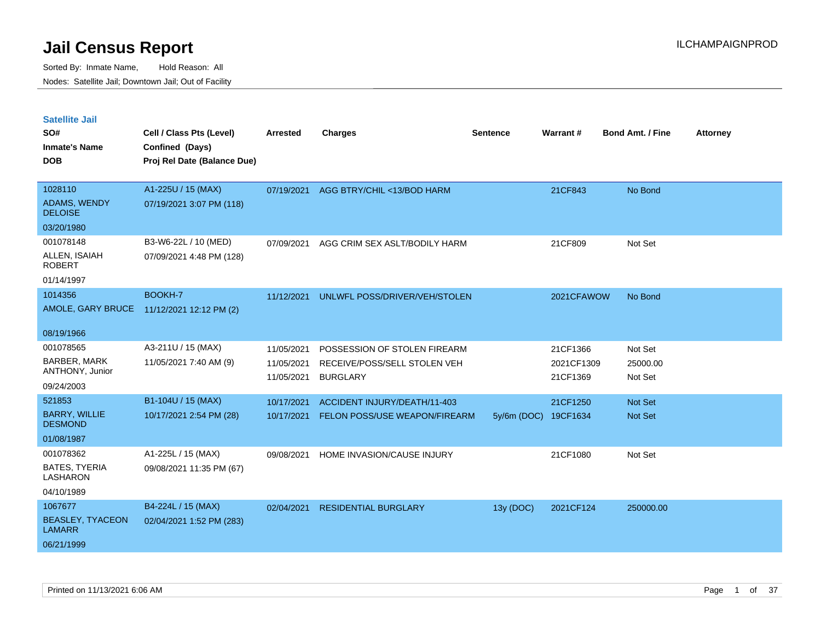Sorted By: Inmate Name, Hold Reason: All Nodes: Satellite Jail; Downtown Jail; Out of Facility

| <b>Satellite Jail</b><br>SO#<br><b>Inmate's Name</b><br><b>DOB</b> | Cell / Class Pts (Level)<br>Confined (Days)<br>Proj Rel Date (Balance Due) | Arrested                 | <b>Charges</b>                                  | Sentence    | Warrant#               | <b>Bond Amt. / Fine</b> | <b>Attorney</b> |
|--------------------------------------------------------------------|----------------------------------------------------------------------------|--------------------------|-------------------------------------------------|-------------|------------------------|-------------------------|-----------------|
| 1028110                                                            | A1-225U / 15 (MAX)                                                         | 07/19/2021               | AGG BTRY/CHIL <13/BOD HARM                      |             | 21CF843                | No Bond                 |                 |
| ADAMS, WENDY<br><b>DELOISE</b>                                     | 07/19/2021 3:07 PM (118)                                                   |                          |                                                 |             |                        |                         |                 |
| 03/20/1980                                                         |                                                                            |                          |                                                 |             |                        |                         |                 |
| 001078148                                                          | B3-W6-22L / 10 (MED)                                                       | 07/09/2021               | AGG CRIM SEX ASLT/BODILY HARM                   |             | 21CF809                | Not Set                 |                 |
| ALLEN, ISAIAH<br><b>ROBERT</b>                                     | 07/09/2021 4:48 PM (128)                                                   |                          |                                                 |             |                        |                         |                 |
| 01/14/1997                                                         |                                                                            |                          |                                                 |             |                        |                         |                 |
| 1014356                                                            | BOOKH-7                                                                    | 11/12/2021               | UNLWFL POSS/DRIVER/VEH/STOLEN                   |             | 2021CFAWOW             | No Bond                 |                 |
|                                                                    | AMOLE, GARY BRUCE 11/12/2021 12:12 PM (2)                                  |                          |                                                 |             |                        |                         |                 |
| 08/19/1966                                                         |                                                                            |                          |                                                 |             |                        |                         |                 |
| 001078565                                                          | A3-211U / 15 (MAX)                                                         | 11/05/2021               | POSSESSION OF STOLEN FIREARM                    |             | 21CF1366               | Not Set                 |                 |
| <b>BARBER, MARK</b><br>ANTHONY, Junior                             | 11/05/2021 7:40 AM (9)                                                     | 11/05/2021<br>11/05/2021 | RECEIVE/POSS/SELL STOLEN VEH<br><b>BURGLARY</b> |             | 2021CF1309<br>21CF1369 | 25000.00<br>Not Set     |                 |
| 09/24/2003                                                         |                                                                            |                          |                                                 |             |                        |                         |                 |
| 521853                                                             | B1-104U / 15 (MAX)                                                         | 10/17/2021               | ACCIDENT INJURY/DEATH/11-403                    |             | 21CF1250               | <b>Not Set</b>          |                 |
| <b>BARRY, WILLIE</b><br><b>DESMOND</b>                             | 10/17/2021 2:54 PM (28)                                                    | 10/17/2021               | FELON POSS/USE WEAPON/FIREARM                   | 5y/6m (DOC) | 19CF1634               | <b>Not Set</b>          |                 |
| 01/08/1987                                                         |                                                                            |                          |                                                 |             |                        |                         |                 |
| 001078362                                                          | A1-225L / 15 (MAX)                                                         | 09/08/2021               | HOME INVASION/CAUSE INJURY                      |             | 21CF1080               | Not Set                 |                 |
| <b>BATES, TYERIA</b><br>LASHARON                                   | 09/08/2021 11:35 PM (67)                                                   |                          |                                                 |             |                        |                         |                 |
| 04/10/1989                                                         |                                                                            |                          |                                                 |             |                        |                         |                 |
| 1067677                                                            | B4-224L / 15 (MAX)                                                         | 02/04/2021               | <b>RESIDENTIAL BURGLARY</b>                     | 13y (DOC)   | 2021CF124              | 250000.00               |                 |
| <b>BEASLEY, TYACEON</b><br><b>LAMARR</b>                           | 02/04/2021 1:52 PM (283)                                                   |                          |                                                 |             |                        |                         |                 |

06/21/1999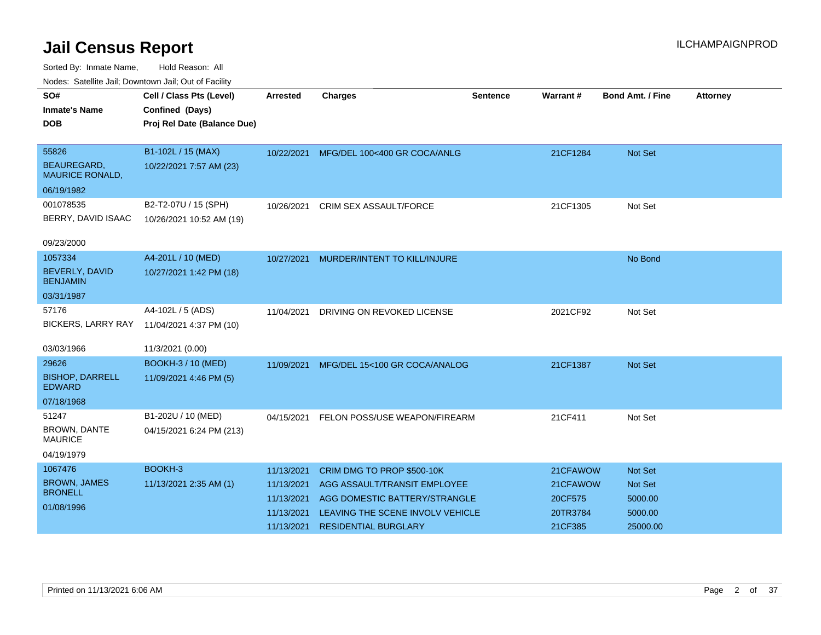| Noucs. Calcillite sail, Downtown sail, Out of Facility |                                            |                 |                                         |                 |          |                         |                 |
|--------------------------------------------------------|--------------------------------------------|-----------------|-----------------------------------------|-----------------|----------|-------------------------|-----------------|
| SO#                                                    | Cell / Class Pts (Level)                   | <b>Arrested</b> | <b>Charges</b>                          | <b>Sentence</b> | Warrant# | <b>Bond Amt. / Fine</b> | <b>Attorney</b> |
| <b>Inmate's Name</b>                                   | Confined (Days)                            |                 |                                         |                 |          |                         |                 |
| <b>DOB</b>                                             | Proj Rel Date (Balance Due)                |                 |                                         |                 |          |                         |                 |
|                                                        |                                            |                 |                                         |                 |          |                         |                 |
| 55826                                                  | B1-102L / 15 (MAX)                         |                 | 10/22/2021 MFG/DEL 100<400 GR COCA/ANLG |                 | 21CF1284 | Not Set                 |                 |
| <b>BEAUREGARD,</b><br><b>MAURICE RONALD,</b>           | 10/22/2021 7:57 AM (23)                    |                 |                                         |                 |          |                         |                 |
| 06/19/1982                                             |                                            |                 |                                         |                 |          |                         |                 |
| 001078535                                              | B2-T2-07U / 15 (SPH)                       | 10/26/2021      | <b>CRIM SEX ASSAULT/FORCE</b>           |                 | 21CF1305 | Not Set                 |                 |
| BERRY, DAVID ISAAC                                     | 10/26/2021 10:52 AM (19)                   |                 |                                         |                 |          |                         |                 |
|                                                        |                                            |                 |                                         |                 |          |                         |                 |
| 09/23/2000                                             |                                            |                 |                                         |                 |          |                         |                 |
| 1057334                                                | A4-201L / 10 (MED)                         | 10/27/2021      | MURDER/INTENT TO KILL/INJURE            |                 |          | No Bond                 |                 |
| <b>BEVERLY, DAVID</b><br><b>BENJAMIN</b>               | 10/27/2021 1:42 PM (18)                    |                 |                                         |                 |          |                         |                 |
| 03/31/1987                                             |                                            |                 |                                         |                 |          |                         |                 |
| 57176                                                  | A4-102L / 5 (ADS)                          | 11/04/2021      | DRIVING ON REVOKED LICENSE              |                 | 2021CF92 | Not Set                 |                 |
|                                                        | BICKERS, LARRY RAY 11/04/2021 4:37 PM (10) |                 |                                         |                 |          |                         |                 |
|                                                        |                                            |                 |                                         |                 |          |                         |                 |
| 03/03/1966                                             | 11/3/2021 (0.00)                           |                 |                                         |                 |          |                         |                 |
| 29626                                                  | <b>BOOKH-3 / 10 (MED)</b>                  | 11/09/2021      | MFG/DEL 15<100 GR COCA/ANALOG           |                 | 21CF1387 | <b>Not Set</b>          |                 |
| <b>BISHOP, DARRELL</b><br><b>EDWARD</b>                | 11/09/2021 4:46 PM (5)                     |                 |                                         |                 |          |                         |                 |
| 07/18/1968                                             |                                            |                 |                                         |                 |          |                         |                 |
| 51247                                                  | B1-202U / 10 (MED)                         | 04/15/2021      | FELON POSS/USE WEAPON/FIREARM           |                 | 21CF411  | Not Set                 |                 |
| <b>BROWN, DANTE</b><br><b>MAURICE</b>                  | 04/15/2021 6:24 PM (213)                   |                 |                                         |                 |          |                         |                 |
| 04/19/1979                                             |                                            |                 |                                         |                 |          |                         |                 |
| 1067476                                                | BOOKH-3                                    | 11/13/2021      | CRIM DMG TO PROP \$500-10K              |                 | 21CFAWOW | <b>Not Set</b>          |                 |
| <b>BROWN, JAMES</b>                                    | 11/13/2021 2:35 AM (1)                     | 11/13/2021      | AGG ASSAULT/TRANSIT EMPLOYEE            |                 | 21CFAWOW | <b>Not Set</b>          |                 |
| <b>BRONELL</b>                                         |                                            | 11/13/2021      | AGG DOMESTIC BATTERY/STRANGLE           |                 | 20CF575  | 5000.00                 |                 |
| 01/08/1996                                             |                                            | 11/13/2021      | LEAVING THE SCENE INVOLV VEHICLE        |                 | 20TR3784 | 5000.00                 |                 |
|                                                        |                                            | 11/13/2021      | <b>RESIDENTIAL BURGLARY</b>             |                 | 21CF385  | 25000.00                |                 |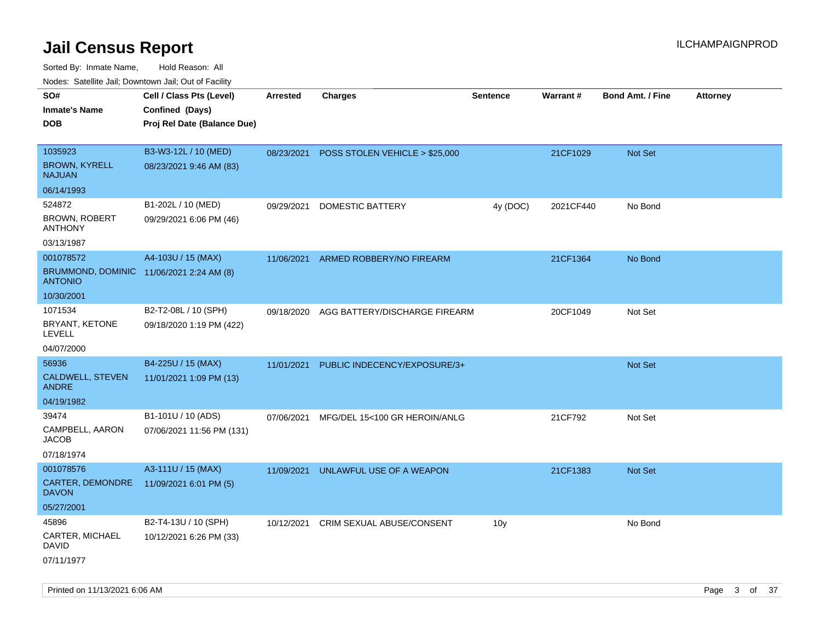| rouco. Calcinic Jan, Downtown Jan, Out of Facility         |                             |                 |                                     |                 |           |                         |                 |
|------------------------------------------------------------|-----------------------------|-----------------|-------------------------------------|-----------------|-----------|-------------------------|-----------------|
| SO#                                                        | Cell / Class Pts (Level)    | <b>Arrested</b> | <b>Charges</b>                      | <b>Sentence</b> | Warrant#  | <b>Bond Amt. / Fine</b> | <b>Attorney</b> |
| Inmate's Name                                              | Confined (Days)             |                 |                                     |                 |           |                         |                 |
| <b>DOB</b>                                                 | Proj Rel Date (Balance Due) |                 |                                     |                 |           |                         |                 |
|                                                            |                             |                 |                                     |                 |           |                         |                 |
| 1035923                                                    | B3-W3-12L / 10 (MED)        | 08/23/2021      | POSS STOLEN VEHICLE > \$25,000      |                 | 21CF1029  | Not Set                 |                 |
| <b>BROWN, KYRELL</b><br>NAJUAN                             | 08/23/2021 9:46 AM (83)     |                 |                                     |                 |           |                         |                 |
| 06/14/1993                                                 |                             |                 |                                     |                 |           |                         |                 |
| 524872                                                     | B1-202L / 10 (MED)          | 09/29/2021      | DOMESTIC BATTERY                    | 4y (DOC)        | 2021CF440 | No Bond                 |                 |
| <b>BROWN, ROBERT</b><br>ANTHONY                            | 09/29/2021 6:06 PM (46)     |                 |                                     |                 |           |                         |                 |
| 03/13/1987                                                 |                             |                 |                                     |                 |           |                         |                 |
| 001078572                                                  | A4-103U / 15 (MAX)          | 11/06/2021      | ARMED ROBBERY/NO FIREARM            |                 | 21CF1364  | No Bond                 |                 |
| BRUMMOND, DOMINIC 11/06/2021 2:24 AM (8)<br><b>ANTONIO</b> |                             |                 |                                     |                 |           |                         |                 |
| 10/30/2001                                                 |                             |                 |                                     |                 |           |                         |                 |
| 1071534                                                    | B2-T2-08L / 10 (SPH)        | 09/18/2020      | AGG BATTERY/DISCHARGE FIREARM       |                 | 20CF1049  | Not Set                 |                 |
| BRYANT, KETONE<br>LEVELL                                   | 09/18/2020 1:19 PM (422)    |                 |                                     |                 |           |                         |                 |
| 04/07/2000                                                 |                             |                 |                                     |                 |           |                         |                 |
| 56936                                                      | B4-225U / 15 (MAX)          | 11/01/2021      | PUBLIC INDECENCY/EXPOSURE/3+        |                 |           | <b>Not Set</b>          |                 |
| CALDWELL, STEVEN<br>ANDRE                                  | 11/01/2021 1:09 PM (13)     |                 |                                     |                 |           |                         |                 |
| 04/19/1982                                                 |                             |                 |                                     |                 |           |                         |                 |
| 39474                                                      | B1-101U / 10 (ADS)          | 07/06/2021      | MFG/DEL 15<100 GR HEROIN/ANLG       |                 | 21CF792   | Not Set                 |                 |
| CAMPBELL, AARON<br>JACOB                                   | 07/06/2021 11:56 PM (131)   |                 |                                     |                 |           |                         |                 |
| 07/18/1974                                                 |                             |                 |                                     |                 |           |                         |                 |
| 001078576                                                  | A3-111U / 15 (MAX)          |                 | 11/09/2021 UNLAWFUL USE OF A WEAPON |                 | 21CF1383  | Not Set                 |                 |
| CARTER, DEMONDRE<br>DAVON                                  | 11/09/2021 6:01 PM (5)      |                 |                                     |                 |           |                         |                 |
| 05/27/2001                                                 |                             |                 |                                     |                 |           |                         |                 |
| 45896                                                      | B2-T4-13U / 10 (SPH)        | 10/12/2021      | CRIM SEXUAL ABUSE/CONSENT           | 10 <sub>y</sub> |           | No Bond                 |                 |
| CARTER, MICHAEL<br>David                                   | 10/12/2021 6:26 PM (33)     |                 |                                     |                 |           |                         |                 |
| 07/11/1977                                                 |                             |                 |                                     |                 |           |                         |                 |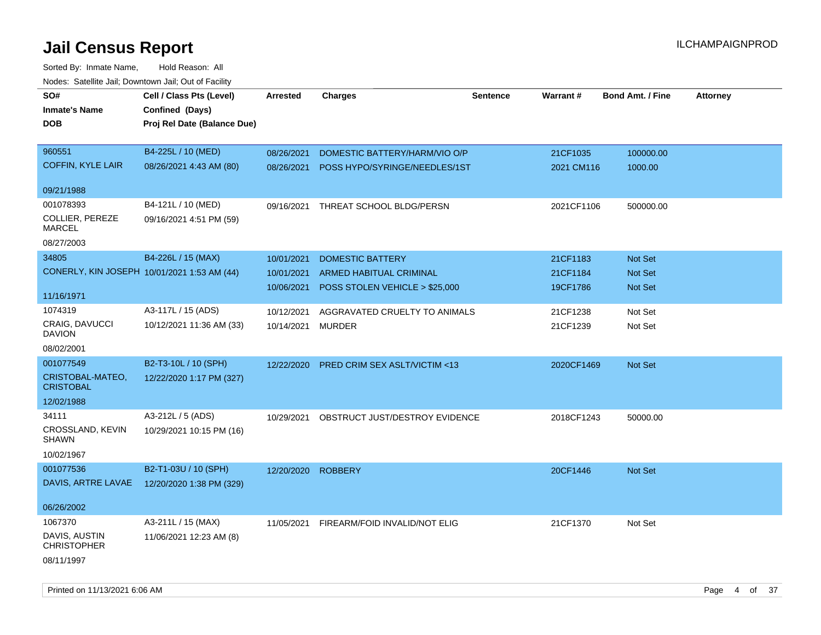| SO#<br><b>Inmate's Name</b><br><b>DOB</b>            | Cell / Class Pts (Level)<br>Confined (Days)<br>Proj Rel Date (Balance Due) | Arrested                               | <b>Charges</b>                                                                              | <b>Sentence</b> | <b>Warrant#</b>                  | <b>Bond Amt. / Fine</b>       | <b>Attorney</b> |
|------------------------------------------------------|----------------------------------------------------------------------------|----------------------------------------|---------------------------------------------------------------------------------------------|-----------------|----------------------------------|-------------------------------|-----------------|
| 960551<br><b>COFFIN, KYLE LAIR</b>                   | B4-225L / 10 (MED)<br>08/26/2021 4:43 AM (80)                              | 08/26/2021<br>08/26/2021               | DOMESTIC BATTERY/HARM/VIO O/P<br>POSS HYPO/SYRINGE/NEEDLES/1ST                              |                 | 21CF1035<br>2021 CM116           | 100000.00<br>1000.00          |                 |
| 09/21/1988                                           |                                                                            |                                        |                                                                                             |                 |                                  |                               |                 |
| 001078393                                            | B4-121L / 10 (MED)                                                         | 09/16/2021                             | THREAT SCHOOL BLDG/PERSN                                                                    |                 | 2021CF1106                       | 500000.00                     |                 |
| COLLIER, PEREZE<br><b>MARCEL</b>                     | 09/16/2021 4:51 PM (59)                                                    |                                        |                                                                                             |                 |                                  |                               |                 |
| 08/27/2003                                           |                                                                            |                                        |                                                                                             |                 |                                  |                               |                 |
| 34805<br>CONERLY, KIN JOSEPH 10/01/2021 1:53 AM (44) | B4-226L / 15 (MAX)                                                         | 10/01/2021<br>10/01/2021<br>10/06/2021 | <b>DOMESTIC BATTERY</b><br><b>ARMED HABITUAL CRIMINAL</b><br>POSS STOLEN VEHICLE > \$25,000 |                 | 21CF1183<br>21CF1184<br>19CF1786 | Not Set<br>Not Set<br>Not Set |                 |
| 11/16/1971                                           |                                                                            |                                        |                                                                                             |                 |                                  |                               |                 |
| 1074319<br>CRAIG, DAVUCCI<br><b>DAVION</b>           | A3-117L / 15 (ADS)<br>10/12/2021 11:36 AM (33)                             | 10/12/2021<br>10/14/2021               | AGGRAVATED CRUELTY TO ANIMALS<br><b>MURDER</b>                                              |                 | 21CF1238<br>21CF1239             | Not Set<br>Not Set            |                 |
| 08/02/2001                                           |                                                                            |                                        |                                                                                             |                 |                                  |                               |                 |
| 001077549                                            | B2-T3-10L / 10 (SPH)                                                       | 12/22/2020                             | PRED CRIM SEX ASLT/VICTIM <13                                                               |                 | 2020CF1469                       | Not Set                       |                 |
| CRISTOBAL-MATEO,<br><b>CRISTOBAL</b>                 | 12/22/2020 1:17 PM (327)                                                   |                                        |                                                                                             |                 |                                  |                               |                 |
| 12/02/1988                                           |                                                                            |                                        |                                                                                             |                 |                                  |                               |                 |
| 34111                                                | A3-212L / 5 (ADS)                                                          | 10/29/2021                             | OBSTRUCT JUST/DESTROY EVIDENCE                                                              |                 | 2018CF1243                       | 50000.00                      |                 |
| CROSSLAND, KEVIN<br><b>SHAWN</b>                     | 10/29/2021 10:15 PM (16)                                                   |                                        |                                                                                             |                 |                                  |                               |                 |
| 10/02/1967                                           |                                                                            |                                        |                                                                                             |                 |                                  |                               |                 |
| 001077536                                            | B2-T1-03U / 10 (SPH)                                                       | 12/20/2020                             | <b>ROBBERY</b>                                                                              |                 | 20CF1446                         | Not Set                       |                 |
| DAVIS, ARTRE LAVAE                                   | 12/20/2020 1:38 PM (329)                                                   |                                        |                                                                                             |                 |                                  |                               |                 |
| 06/26/2002                                           |                                                                            |                                        |                                                                                             |                 |                                  |                               |                 |
| 1067370                                              | A3-211L / 15 (MAX)                                                         | 11/05/2021                             | FIREARM/FOID INVALID/NOT ELIG                                                               |                 | 21CF1370                         | Not Set                       |                 |
| DAVIS, AUSTIN<br><b>CHRISTOPHER</b><br>08/11/1997    | 11/06/2021 12:23 AM (8)                                                    |                                        |                                                                                             |                 |                                  |                               |                 |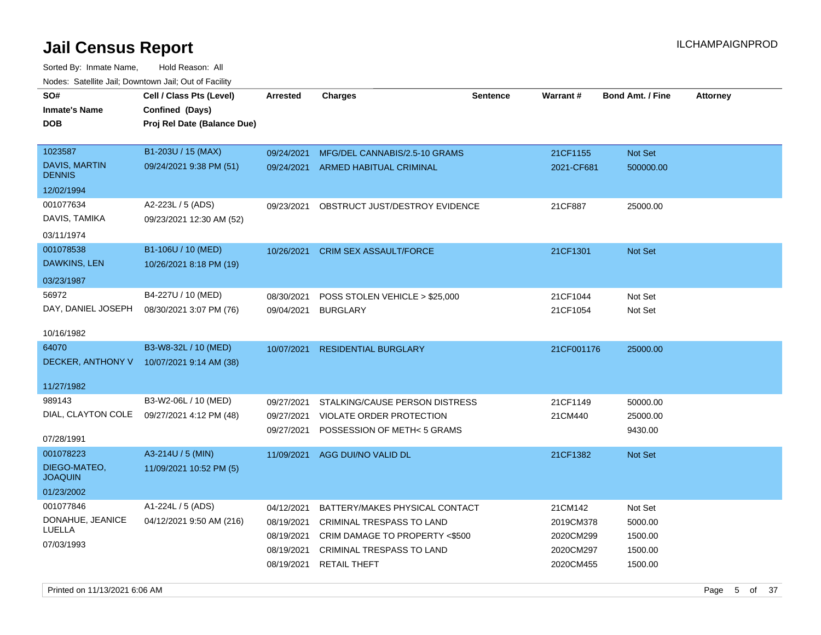| SO#<br><b>Inmate's Name</b><br><b>DOB</b>                 | Cell / Class Pts (Level)<br>Confined (Days)<br>Proj Rel Date (Balance Due) | Arrested                                             | <b>Charges</b>                                                                                                                                        | <b>Sentence</b> | <b>Warrant#</b>                                             | <b>Bond Amt. / Fine</b>                             | <b>Attorney</b> |
|-----------------------------------------------------------|----------------------------------------------------------------------------|------------------------------------------------------|-------------------------------------------------------------------------------------------------------------------------------------------------------|-----------------|-------------------------------------------------------------|-----------------------------------------------------|-----------------|
| 1023587<br>DAVIS, MARTIN<br><b>DENNIS</b><br>12/02/1994   | B1-203U / 15 (MAX)<br>09/24/2021 9:38 PM (51)                              | 09/24/2021                                           | MFG/DEL CANNABIS/2.5-10 GRAMS<br>09/24/2021 ARMED HABITUAL CRIMINAL                                                                                   |                 | 21CF1155<br>2021-CF681                                      | Not Set<br>500000.00                                |                 |
| 001077634<br>DAVIS, TAMIKA<br>03/11/1974                  | A2-223L / 5 (ADS)<br>09/23/2021 12:30 AM (52)                              | 09/23/2021                                           | OBSTRUCT JUST/DESTROY EVIDENCE                                                                                                                        |                 | 21CF887                                                     | 25000.00                                            |                 |
| 001078538<br><b>DAWKINS, LEN</b><br>03/23/1987            | B1-106U / 10 (MED)<br>10/26/2021 8:18 PM (19)                              | 10/26/2021                                           | <b>CRIM SEX ASSAULT/FORCE</b>                                                                                                                         |                 | 21CF1301                                                    | Not Set                                             |                 |
| 56972<br>DAY, DANIEL JOSEPH<br>10/16/1982                 | B4-227U / 10 (MED)<br>08/30/2021 3:07 PM (76)                              | 08/30/2021<br>09/04/2021                             | POSS STOLEN VEHICLE > \$25,000<br><b>BURGLARY</b>                                                                                                     |                 | 21CF1044<br>21CF1054                                        | Not Set<br>Not Set                                  |                 |
| 64070<br>DECKER, ANTHONY V<br>11/27/1982                  | B3-W8-32L / 10 (MED)<br>10/07/2021 9:14 AM (38)                            | 10/07/2021                                           | <b>RESIDENTIAL BURGLARY</b>                                                                                                                           |                 | 21CF001176                                                  | 25000.00                                            |                 |
| 989143<br>DIAL, CLAYTON COLE<br>07/28/1991                | B3-W2-06L / 10 (MED)<br>09/27/2021 4:12 PM (48)                            | 09/27/2021<br>09/27/2021<br>09/27/2021               | STALKING/CAUSE PERSON DISTRESS<br>VIOLATE ORDER PROTECTION<br>POSSESSION OF METH< 5 GRAMS                                                             |                 | 21CF1149<br>21CM440                                         | 50000.00<br>25000.00<br>9430.00                     |                 |
| 001078223<br>DIEGO-MATEO,<br><b>JOAQUIN</b><br>01/23/2002 | A3-214U / 5 (MIN)<br>11/09/2021 10:52 PM (5)                               | 11/09/2021                                           | AGG DUI/NO VALID DL                                                                                                                                   |                 | 21CF1382                                                    | Not Set                                             |                 |
| 001077846<br>DONAHUE, JEANICE<br>LUELLA<br>07/03/1993     | A1-224L / 5 (ADS)<br>04/12/2021 9:50 AM (216)                              | 04/12/2021<br>08/19/2021<br>08/19/2021<br>08/19/2021 | BATTERY/MAKES PHYSICAL CONTACT<br>CRIMINAL TRESPASS TO LAND<br>CRIM DAMAGE TO PROPERTY <\$500<br>CRIMINAL TRESPASS TO LAND<br>08/19/2021 RETAIL THEFT |                 | 21CM142<br>2019CM378<br>2020CM299<br>2020CM297<br>2020CM455 | Not Set<br>5000.00<br>1500.00<br>1500.00<br>1500.00 |                 |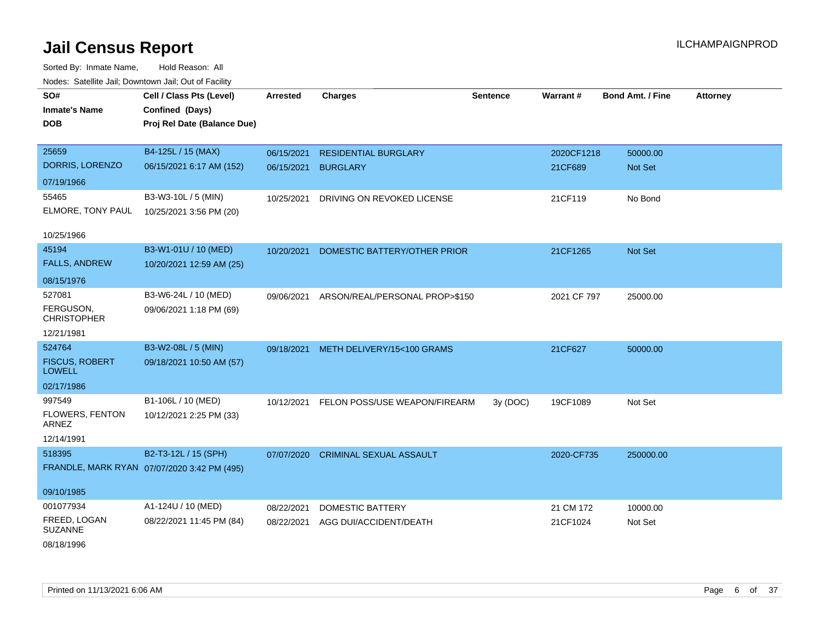| SO#<br><b>Inmate's Name</b><br><b>DOB</b>                      | Cell / Class Pts (Level)<br>Confined (Days)<br>Proj Rel Date (Balance Due) | <b>Arrested</b>          | <b>Charges</b>                                 | <b>Sentence</b> | Warrant#              | <b>Bond Amt. / Fine</b> | <b>Attorney</b> |
|----------------------------------------------------------------|----------------------------------------------------------------------------|--------------------------|------------------------------------------------|-----------------|-----------------------|-------------------------|-----------------|
| 25659<br>DORRIS, LORENZO<br>07/19/1966                         | B4-125L / 15 (MAX)<br>06/15/2021 6:17 AM (152)                             | 06/15/2021<br>06/15/2021 | <b>RESIDENTIAL BURGLARY</b><br><b>BURGLARY</b> |                 | 2020CF1218<br>21CF689 | 50000.00<br>Not Set     |                 |
| 55465<br>ELMORE, TONY PAUL                                     | B3-W3-10L / 5 (MIN)<br>10/25/2021 3:56 PM (20)                             | 10/25/2021               | DRIVING ON REVOKED LICENSE                     |                 | 21CF119               | No Bond                 |                 |
| 10/25/1966<br>45194<br><b>FALLS, ANDREW</b><br>08/15/1976      | B3-W1-01U / 10 (MED)<br>10/20/2021 12:59 AM (25)                           | 10/20/2021               | DOMESTIC BATTERY/OTHER PRIOR                   |                 | 21CF1265              | Not Set                 |                 |
| 527081<br>FERGUSON,<br><b>CHRISTOPHER</b><br>12/21/1981        | B3-W6-24L / 10 (MED)<br>09/06/2021 1:18 PM (69)                            | 09/06/2021               | ARSON/REAL/PERSONAL PROP>\$150                 |                 | 2021 CF 797           | 25000.00                |                 |
| 524764<br><b>FISCUS, ROBERT</b><br><b>LOWELL</b><br>02/17/1986 | B3-W2-08L / 5 (MIN)<br>09/18/2021 10:50 AM (57)                            | 09/18/2021               | METH DELIVERY/15<100 GRAMS                     |                 | 21CF627               | 50000.00                |                 |
| 997549<br>FLOWERS, FENTON<br>ARNEZ<br>12/14/1991               | B1-106L / 10 (MED)<br>10/12/2021 2:25 PM (33)                              | 10/12/2021               | FELON POSS/USE WEAPON/FIREARM                  | 3y (DOC)        | 19CF1089              | Not Set                 |                 |
| 518395<br>09/10/1985                                           | B2-T3-12L / 15 (SPH)<br>FRANDLE, MARK RYAN 07/07/2020 3:42 PM (495)        | 07/07/2020               | <b>CRIMINAL SEXUAL ASSAULT</b>                 |                 | 2020-CF735            | 250000.00               |                 |
| 001077934<br>FREED, LOGAN<br><b>SUZANNE</b><br>08/18/1996      | A1-124U / 10 (MED)<br>08/22/2021 11:45 PM (84)                             | 08/22/2021<br>08/22/2021 | DOMESTIC BATTERY<br>AGG DUI/ACCIDENT/DEATH     |                 | 21 CM 172<br>21CF1024 | 10000.00<br>Not Set     |                 |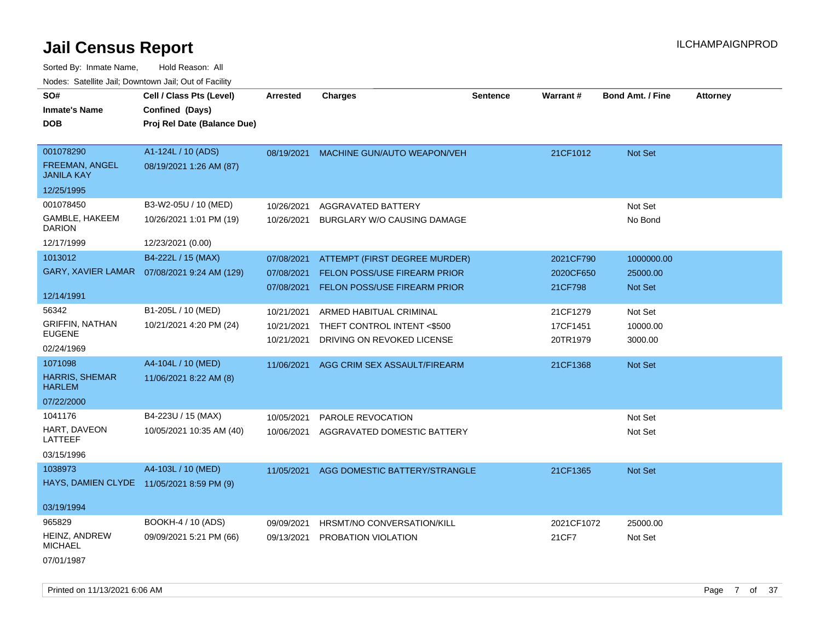| SO#                                        | Cell / Class Pts (Level)                     | <b>Arrested</b> | <b>Charges</b>                      | <b>Sentence</b> | Warrant#   | <b>Bond Amt. / Fine</b> | <b>Attorney</b> |
|--------------------------------------------|----------------------------------------------|-----------------|-------------------------------------|-----------------|------------|-------------------------|-----------------|
| <b>Inmate's Name</b>                       | Confined (Days)                              |                 |                                     |                 |            |                         |                 |
| <b>DOB</b>                                 | Proj Rel Date (Balance Due)                  |                 |                                     |                 |            |                         |                 |
|                                            |                                              |                 |                                     |                 |            |                         |                 |
| 001078290                                  | A1-124L / 10 (ADS)                           | 08/19/2021      | MACHINE GUN/AUTO WEAPON/VEH         |                 | 21CF1012   | Not Set                 |                 |
| <b>FREEMAN, ANGEL</b><br><b>JANILA KAY</b> | 08/19/2021 1:26 AM (87)                      |                 |                                     |                 |            |                         |                 |
| 12/25/1995                                 |                                              |                 |                                     |                 |            |                         |                 |
| 001078450                                  | B3-W2-05U / 10 (MED)                         | 10/26/2021      | AGGRAVATED BATTERY                  |                 |            | Not Set                 |                 |
| GAMBLE, HAKEEM<br><b>DARION</b>            | 10/26/2021 1:01 PM (19)                      | 10/26/2021      | BURGLARY W/O CAUSING DAMAGE         |                 |            | No Bond                 |                 |
| 12/17/1999                                 | 12/23/2021 (0.00)                            |                 |                                     |                 |            |                         |                 |
| 1013012                                    | B4-222L / 15 (MAX)                           | 07/08/2021      | ATTEMPT (FIRST DEGREE MURDER)       |                 | 2021CF790  | 1000000.00              |                 |
|                                            | GARY, XAVIER LAMAR  07/08/2021 9:24 AM (129) | 07/08/2021      | <b>FELON POSS/USE FIREARM PRIOR</b> |                 | 2020CF650  | 25000.00                |                 |
|                                            |                                              | 07/08/2021      | <b>FELON POSS/USE FIREARM PRIOR</b> |                 | 21CF798    | <b>Not Set</b>          |                 |
| 12/14/1991                                 |                                              |                 |                                     |                 |            |                         |                 |
| 56342                                      | B1-205L / 10 (MED)                           | 10/21/2021      | ARMED HABITUAL CRIMINAL             |                 | 21CF1279   | Not Set                 |                 |
| <b>GRIFFIN, NATHAN</b>                     | 10/21/2021 4:20 PM (24)                      | 10/21/2021      | THEFT CONTROL INTENT <\$500         |                 | 17CF1451   | 10000.00                |                 |
| <b>EUGENE</b>                              |                                              | 10/21/2021      | DRIVING ON REVOKED LICENSE          |                 | 20TR1979   | 3000.00                 |                 |
| 02/24/1969                                 |                                              |                 |                                     |                 |            |                         |                 |
| 1071098                                    | A4-104L / 10 (MED)                           | 11/06/2021      | AGG CRIM SEX ASSAULT/FIREARM        |                 | 21CF1368   | Not Set                 |                 |
| <b>HARRIS, SHEMAR</b><br><b>HARLEM</b>     | 11/06/2021 8:22 AM (8)                       |                 |                                     |                 |            |                         |                 |
| 07/22/2000                                 |                                              |                 |                                     |                 |            |                         |                 |
| 1041176                                    | B4-223U / 15 (MAX)                           | 10/05/2021      | PAROLE REVOCATION                   |                 |            | Not Set                 |                 |
| HART, DAVEON<br>LATTEEF                    | 10/05/2021 10:35 AM (40)                     | 10/06/2021      | AGGRAVATED DOMESTIC BATTERY         |                 |            | Not Set                 |                 |
| 03/15/1996                                 |                                              |                 |                                     |                 |            |                         |                 |
| 1038973                                    | A4-103L / 10 (MED)                           | 11/05/2021      | AGG DOMESTIC BATTERY/STRANGLE       |                 | 21CF1365   | Not Set                 |                 |
| HAYS, DAMIEN CLYDE 11/05/2021 8:59 PM (9)  |                                              |                 |                                     |                 |            |                         |                 |
|                                            |                                              |                 |                                     |                 |            |                         |                 |
| 03/19/1994                                 |                                              |                 |                                     |                 |            |                         |                 |
| 965829                                     | BOOKH-4 / 10 (ADS)                           | 09/09/2021      | HRSMT/NO CONVERSATION/KILL          |                 | 2021CF1072 | 25000.00                |                 |
| HEINZ, ANDREW<br><b>MICHAEL</b>            | 09/09/2021 5:21 PM (66)                      | 09/13/2021      | PROBATION VIOLATION                 |                 | 21CF7      | Not Set                 |                 |
| 07/01/1987                                 |                                              |                 |                                     |                 |            |                         |                 |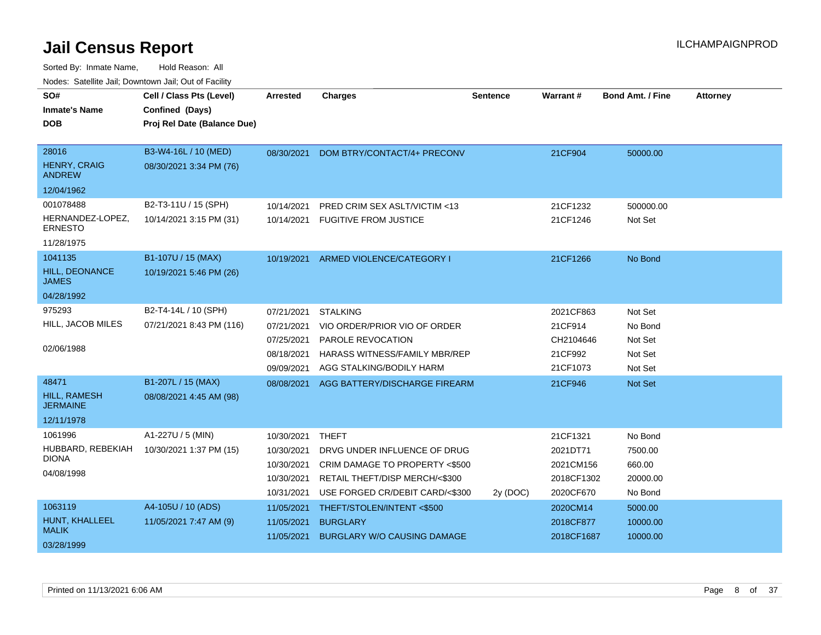| SO#                                    | Cell / Class Pts (Level)    | <b>Arrested</b> | <b>Charges</b>                           | <b>Sentence</b> | Warrant#   | <b>Bond Amt. / Fine</b> | <b>Attorney</b> |
|----------------------------------------|-----------------------------|-----------------|------------------------------------------|-----------------|------------|-------------------------|-----------------|
| <b>Inmate's Name</b>                   | Confined (Days)             |                 |                                          |                 |            |                         |                 |
| <b>DOB</b>                             | Proj Rel Date (Balance Due) |                 |                                          |                 |            |                         |                 |
|                                        |                             |                 |                                          |                 |            |                         |                 |
| 28016                                  | B3-W4-16L / 10 (MED)        | 08/30/2021      | DOM BTRY/CONTACT/4+ PRECONV              |                 | 21CF904    | 50000.00                |                 |
| <b>HENRY, CRAIG</b><br><b>ANDREW</b>   | 08/30/2021 3:34 PM (76)     |                 |                                          |                 |            |                         |                 |
| 12/04/1962                             |                             |                 |                                          |                 |            |                         |                 |
| 001078488                              | B2-T3-11U / 15 (SPH)        | 10/14/2021      | PRED CRIM SEX ASLT/VICTIM <13            |                 | 21CF1232   | 500000.00               |                 |
| HERNANDEZ-LOPEZ.<br><b>ERNESTO</b>     | 10/14/2021 3:15 PM (31)     |                 | 10/14/2021 FUGITIVE FROM JUSTICE         |                 | 21CF1246   | Not Set                 |                 |
| 11/28/1975                             |                             |                 |                                          |                 |            |                         |                 |
| 1041135                                | B1-107U / 15 (MAX)          |                 | 10/19/2021 ARMED VIOLENCE/CATEGORY I     |                 | 21CF1266   | No Bond                 |                 |
| HILL, DEONANCE<br><b>JAMES</b>         | 10/19/2021 5:46 PM (26)     |                 |                                          |                 |            |                         |                 |
| 04/28/1992                             |                             |                 |                                          |                 |            |                         |                 |
| 975293                                 | B2-T4-14L / 10 (SPH)        | 07/21/2021      | <b>STALKING</b>                          |                 | 2021CF863  | Not Set                 |                 |
| HILL, JACOB MILES                      | 07/21/2021 8:43 PM (116)    | 07/21/2021      | VIO ORDER/PRIOR VIO OF ORDER             |                 | 21CF914    | No Bond                 |                 |
|                                        |                             | 07/25/2021      | PAROLE REVOCATION                        |                 | CH2104646  | Not Set                 |                 |
| 02/06/1988                             |                             | 08/18/2021      | HARASS WITNESS/FAMILY MBR/REP            |                 | 21CF992    | Not Set                 |                 |
|                                        |                             | 09/09/2021      | AGG STALKING/BODILY HARM                 |                 | 21CF1073   | Not Set                 |                 |
| 48471                                  | B1-207L / 15 (MAX)          |                 | 08/08/2021 AGG BATTERY/DISCHARGE FIREARM |                 | 21CF946    | Not Set                 |                 |
| <b>HILL, RAMESH</b><br><b>JERMAINE</b> | 08/08/2021 4:45 AM (98)     |                 |                                          |                 |            |                         |                 |
| 12/11/1978                             |                             |                 |                                          |                 |            |                         |                 |
| 1061996                                | A1-227U / 5 (MIN)           | 10/30/2021      | <b>THEFT</b>                             |                 | 21CF1321   | No Bond                 |                 |
| HUBBARD, REBEKIAH                      | 10/30/2021 1:37 PM (15)     | 10/30/2021      | DRVG UNDER INFLUENCE OF DRUG             |                 | 2021DT71   | 7500.00                 |                 |
| <b>DIONA</b>                           |                             | 10/30/2021      | CRIM DAMAGE TO PROPERTY <\$500           |                 | 2021CM156  | 660.00                  |                 |
| 04/08/1998                             |                             | 10/30/2021      | RETAIL THEFT/DISP MERCH/<\$300           |                 | 2018CF1302 | 20000.00                |                 |
|                                        |                             | 10/31/2021      | USE FORGED CR/DEBIT CARD/<\$300          | 2y (DOC)        | 2020CF670  | No Bond                 |                 |
| 1063119                                | A4-105U / 10 (ADS)          | 11/05/2021      | THEFT/STOLEN/INTENT<\$500                |                 | 2020CM14   | 5000.00                 |                 |
| HUNT, KHALLEEL                         | 11/05/2021 7:47 AM (9)      | 11/05/2021      | <b>BURGLARY</b>                          |                 | 2018CF877  | 10000.00                |                 |
| <b>MALIK</b><br>03/28/1999             |                             | 11/05/2021      | <b>BURGLARY W/O CAUSING DAMAGE</b>       |                 | 2018CF1687 | 10000.00                |                 |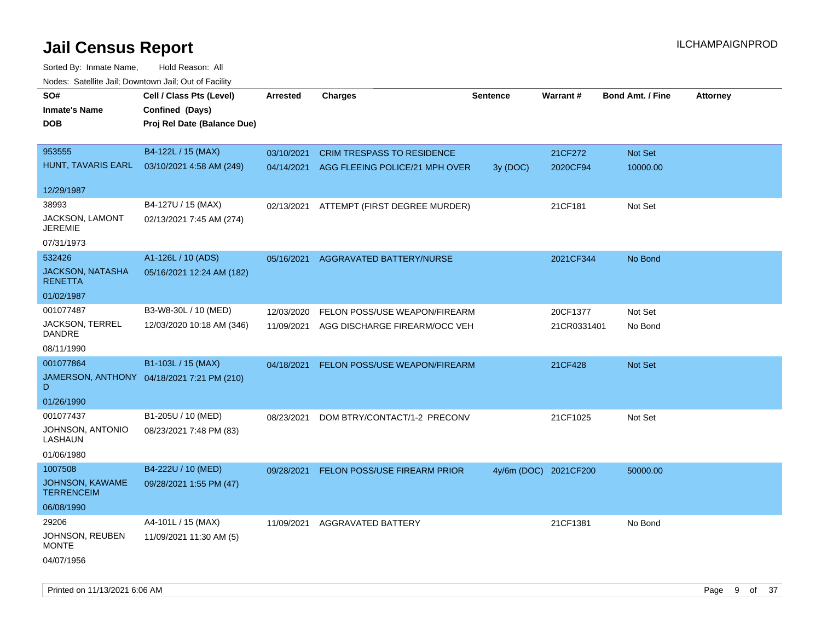| rougs. Calcing Jan, Downtown Jan, Out of Facility |                                            |                 |                                           |                 |                       |                         |                 |
|---------------------------------------------------|--------------------------------------------|-----------------|-------------------------------------------|-----------------|-----------------------|-------------------------|-----------------|
| SO#                                               | Cell / Class Pts (Level)                   | <b>Arrested</b> | <b>Charges</b>                            | <b>Sentence</b> | Warrant#              | <b>Bond Amt. / Fine</b> | <b>Attorney</b> |
| <b>Inmate's Name</b>                              | Confined (Days)                            |                 |                                           |                 |                       |                         |                 |
| <b>DOB</b>                                        | Proj Rel Date (Balance Due)                |                 |                                           |                 |                       |                         |                 |
|                                                   |                                            |                 |                                           |                 |                       |                         |                 |
| 953555                                            | B4-122L / 15 (MAX)                         | 03/10/2021      | <b>CRIM TRESPASS TO RESIDENCE</b>         |                 | 21CF272               | Not Set                 |                 |
| HUNT, TAVARIS EARL                                | 03/10/2021 4:58 AM (249)                   |                 | 04/14/2021 AGG FLEEING POLICE/21 MPH OVER | 3y (DOC)        | 2020CF94              | 10000.00                |                 |
|                                                   |                                            |                 |                                           |                 |                       |                         |                 |
| 12/29/1987                                        |                                            |                 |                                           |                 |                       |                         |                 |
| 38993                                             | B4-127U / 15 (MAX)                         |                 | 02/13/2021 ATTEMPT (FIRST DEGREE MURDER)  |                 | 21CF181               | Not Set                 |                 |
| JACKSON, LAMONT<br><b>JEREMIE</b>                 | 02/13/2021 7:45 AM (274)                   |                 |                                           |                 |                       |                         |                 |
| 07/31/1973                                        |                                            |                 |                                           |                 |                       |                         |                 |
| 532426                                            | A1-126L / 10 (ADS)                         | 05/16/2021      | AGGRAVATED BATTERY/NURSE                  |                 | 2021CF344             | No Bond                 |                 |
| <b>JACKSON, NATASHA</b><br><b>RENETTA</b>         | 05/16/2021 12:24 AM (182)                  |                 |                                           |                 |                       |                         |                 |
| 01/02/1987                                        |                                            |                 |                                           |                 |                       |                         |                 |
| 001077487                                         | B3-W8-30L / 10 (MED)                       | 12/03/2020      | FELON POSS/USE WEAPON/FIREARM             |                 | 20CF1377              | Not Set                 |                 |
| JACKSON, TERREL<br><b>DANDRE</b>                  | 12/03/2020 10:18 AM (346)                  |                 | 11/09/2021 AGG DISCHARGE FIREARM/OCC VEH  |                 | 21CR0331401           | No Bond                 |                 |
| 08/11/1990                                        |                                            |                 |                                           |                 |                       |                         |                 |
| 001077864                                         | B1-103L / 15 (MAX)                         | 04/18/2021      | FELON POSS/USE WEAPON/FIREARM             |                 | 21CF428               | Not Set                 |                 |
| D.                                                | JAMERSON, ANTHONY 04/18/2021 7:21 PM (210) |                 |                                           |                 |                       |                         |                 |
| 01/26/1990                                        |                                            |                 |                                           |                 |                       |                         |                 |
| 001077437                                         | B1-205U / 10 (MED)                         | 08/23/2021      | DOM BTRY/CONTACT/1-2 PRECONV              |                 | 21CF1025              | Not Set                 |                 |
| JOHNSON, ANTONIO<br>LASHAUN                       | 08/23/2021 7:48 PM (83)                    |                 |                                           |                 |                       |                         |                 |
| 01/06/1980                                        |                                            |                 |                                           |                 |                       |                         |                 |
| 1007508                                           | B4-222U / 10 (MED)                         | 09/28/2021      | FELON POSS/USE FIREARM PRIOR              |                 | 4y/6m (DOC) 2021CF200 | 50000.00                |                 |
| JOHNSON, KAWAME<br><b>TERRENCEIM</b>              | 09/28/2021 1:55 PM (47)                    |                 |                                           |                 |                       |                         |                 |
| 06/08/1990                                        |                                            |                 |                                           |                 |                       |                         |                 |
| 29206                                             | A4-101L / 15 (MAX)                         | 11/09/2021      | AGGRAVATED BATTERY                        |                 | 21CF1381              | No Bond                 |                 |
| JOHNSON, REUBEN<br><b>MONTE</b>                   | 11/09/2021 11:30 AM (5)                    |                 |                                           |                 |                       |                         |                 |
| 04/07/1956                                        |                                            |                 |                                           |                 |                       |                         |                 |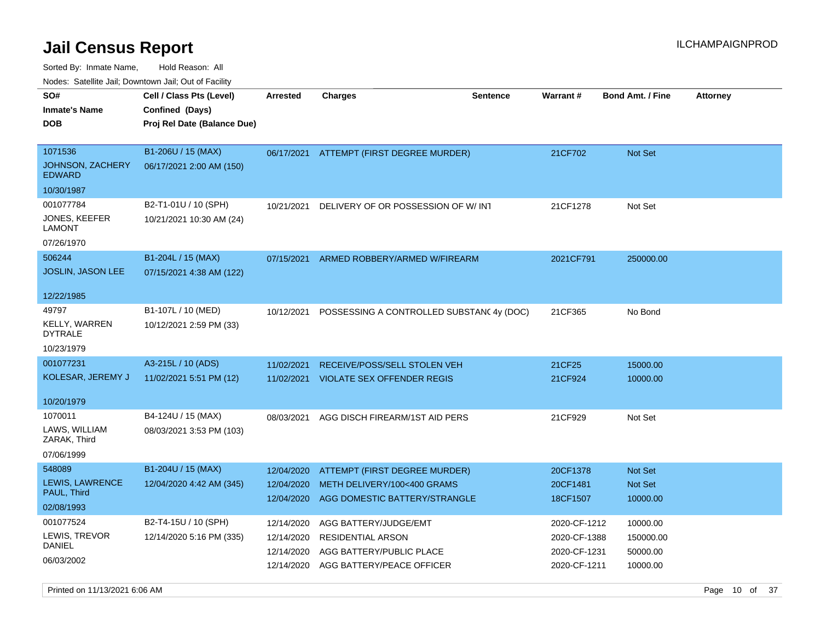Sorted By: Inmate Name, Hold Reason: All

|                                        | Nodes: Satellite Jail; Downtown Jail; Out of Facility |                 |                                          |                 |              |                         |                 |
|----------------------------------------|-------------------------------------------------------|-----------------|------------------------------------------|-----------------|--------------|-------------------------|-----------------|
| SO#                                    | Cell / Class Pts (Level)                              | <b>Arrested</b> | <b>Charges</b>                           | <b>Sentence</b> | Warrant#     | <b>Bond Amt. / Fine</b> | <b>Attorney</b> |
| <b>Inmate's Name</b>                   | Confined (Days)                                       |                 |                                          |                 |              |                         |                 |
| <b>DOB</b>                             | Proj Rel Date (Balance Due)                           |                 |                                          |                 |              |                         |                 |
|                                        |                                                       |                 |                                          |                 |              |                         |                 |
| 1071536                                | B1-206U / 15 (MAX)                                    | 06/17/2021      | ATTEMPT (FIRST DEGREE MURDER)            |                 | 21CF702      | Not Set                 |                 |
| JOHNSON, ZACHERY<br><b>EDWARD</b>      | 06/17/2021 2:00 AM (150)                              |                 |                                          |                 |              |                         |                 |
| 10/30/1987                             |                                                       |                 |                                          |                 |              |                         |                 |
| 001077784                              | B2-T1-01U / 10 (SPH)                                  | 10/21/2021      | DELIVERY OF OR POSSESSION OF W/INT       |                 | 21CF1278     | Not Set                 |                 |
| JONES, KEEFER                          | 10/21/2021 10:30 AM (24)                              |                 |                                          |                 |              |                         |                 |
| <b>LAMONT</b>                          |                                                       |                 |                                          |                 |              |                         |                 |
| 07/26/1970                             |                                                       |                 |                                          |                 |              |                         |                 |
| 506244                                 | B1-204L / 15 (MAX)                                    | 07/15/2021      | ARMED ROBBERY/ARMED W/FIREARM            |                 | 2021CF791    | 250000.00               |                 |
| <b>JOSLIN, JASON LEE</b>               | 07/15/2021 4:38 AM (122)                              |                 |                                          |                 |              |                         |                 |
|                                        |                                                       |                 |                                          |                 |              |                         |                 |
| 12/22/1985                             |                                                       |                 |                                          |                 |              |                         |                 |
| 49797                                  | B1-107L / 10 (MED)                                    | 10/12/2021      | POSSESSING A CONTROLLED SUBSTAN(4y (DOC) |                 | 21CF365      | No Bond                 |                 |
| <b>KELLY, WARREN</b><br><b>DYTRALE</b> | 10/12/2021 2:59 PM (33)                               |                 |                                          |                 |              |                         |                 |
| 10/23/1979                             |                                                       |                 |                                          |                 |              |                         |                 |
| 001077231                              | A3-215L / 10 (ADS)                                    | 11/02/2021      | RECEIVE/POSS/SELL STOLEN VEH             |                 | 21CF25       | 15000.00                |                 |
| KOLESAR, JEREMY J                      | 11/02/2021 5:51 PM (12)                               | 11/02/2021      | <b>VIOLATE SEX OFFENDER REGIS</b>        |                 | 21CF924      | 10000.00                |                 |
|                                        |                                                       |                 |                                          |                 |              |                         |                 |
| 10/20/1979                             |                                                       |                 |                                          |                 |              |                         |                 |
| 1070011                                | B4-124U / 15 (MAX)                                    | 08/03/2021      | AGG DISCH FIREARM/1ST AID PERS           |                 | 21CF929      | Not Set                 |                 |
| LAWS, WILLIAM<br>ZARAK, Third          | 08/03/2021 3:53 PM (103)                              |                 |                                          |                 |              |                         |                 |
| 07/06/1999                             |                                                       |                 |                                          |                 |              |                         |                 |
| 548089                                 | B1-204U / 15 (MAX)                                    | 12/04/2020      | ATTEMPT (FIRST DEGREE MURDER)            |                 | 20CF1378     | Not Set                 |                 |
| LEWIS, LAWRENCE                        | 12/04/2020 4:42 AM (345)                              | 12/04/2020      | METH DELIVERY/100<400 GRAMS              |                 | 20CF1481     | Not Set                 |                 |
| PAUL, Third                            |                                                       | 12/04/2020      | AGG DOMESTIC BATTERY/STRANGLE            |                 | 18CF1507     | 10000.00                |                 |
| 02/08/1993                             |                                                       |                 |                                          |                 |              |                         |                 |
| 001077524                              | B2-T4-15U / 10 (SPH)                                  | 12/14/2020      | AGG BATTERY/JUDGE/EMT                    |                 | 2020-CF-1212 | 10000.00                |                 |
| LEWIS, TREVOR                          | 12/14/2020 5:16 PM (335)                              | 12/14/2020      | <b>RESIDENTIAL ARSON</b>                 |                 | 2020-CF-1388 | 150000.00               |                 |
| DANIEL                                 |                                                       | 12/14/2020      | AGG BATTERY/PUBLIC PLACE                 |                 | 2020-CF-1231 | 50000.00                |                 |
| 06/03/2002                             |                                                       | 12/14/2020      | AGG BATTERY/PEACE OFFICER                |                 | 2020-CF-1211 | 10000.00                |                 |
|                                        |                                                       |                 |                                          |                 |              |                         |                 |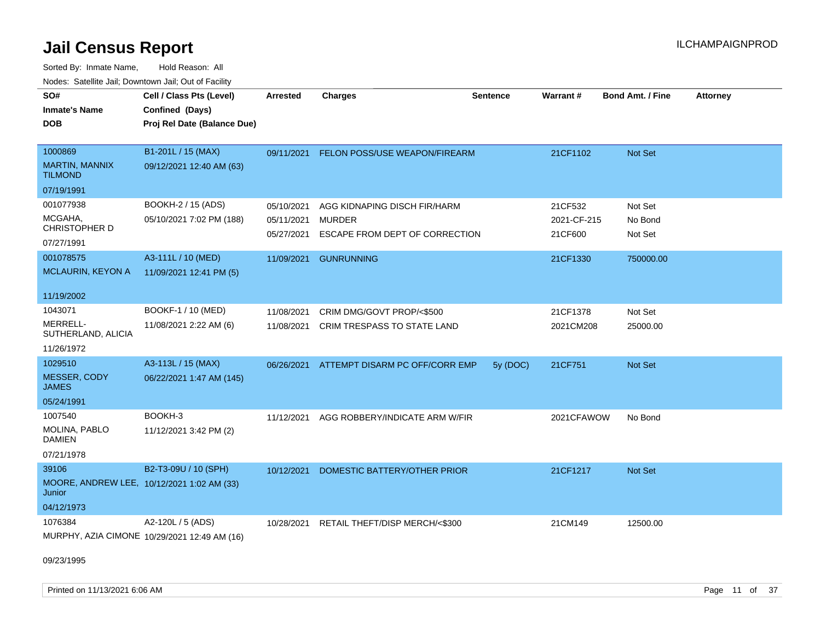Sorted By: Inmate Name, Hold Reason: All Nodes: Satellite Jail; Downtown Jail; Out of Facility

| SO#                                                  | Cell / Class Pts (Level)                     | <b>Arrested</b> | <b>Charges</b>                 | <b>Sentence</b> | Warrant#    | <b>Bond Amt. / Fine</b> | <b>Attorney</b> |
|------------------------------------------------------|----------------------------------------------|-----------------|--------------------------------|-----------------|-------------|-------------------------|-----------------|
| <b>Inmate's Name</b>                                 | Confined (Days)                              |                 |                                |                 |             |                         |                 |
| <b>DOB</b>                                           | Proj Rel Date (Balance Due)                  |                 |                                |                 |             |                         |                 |
|                                                      |                                              |                 |                                |                 |             |                         |                 |
| 1000869                                              | B1-201L / 15 (MAX)                           | 09/11/2021      | FELON POSS/USE WEAPON/FIREARM  |                 | 21CF1102    | Not Set                 |                 |
| MARTIN, MANNIX<br><b>TILMOND</b>                     | 09/12/2021 12:40 AM (63)                     |                 |                                |                 |             |                         |                 |
| 07/19/1991                                           |                                              |                 |                                |                 |             |                         |                 |
| 001077938                                            | BOOKH-2 / 15 (ADS)                           | 05/10/2021      | AGG KIDNAPING DISCH FIR/HARM   |                 | 21CF532     | Not Set                 |                 |
| MCGAHA,                                              | 05/10/2021 7:02 PM (188)                     | 05/11/2021      | MURDER                         |                 | 2021-CF-215 | No Bond                 |                 |
| CHRISTOPHER D                                        |                                              | 05/27/2021      | ESCAPE FROM DEPT OF CORRECTION |                 | 21CF600     | Not Set                 |                 |
| 07/27/1991                                           |                                              |                 |                                |                 |             |                         |                 |
| 001078575                                            | A3-111L / 10 (MED)                           | 11/09/2021      | <b>GUNRUNNING</b>              |                 | 21CF1330    | 750000.00               |                 |
| MCLAURIN, KEYON A                                    | 11/09/2021 12:41 PM (5)                      |                 |                                |                 |             |                         |                 |
|                                                      |                                              |                 |                                |                 |             |                         |                 |
| 11/19/2002                                           |                                              |                 |                                |                 |             |                         |                 |
| 1043071                                              | BOOKF-1 / 10 (MED)                           | 11/08/2021      | CRIM DMG/GOVT PROP/<\$500      |                 | 21CF1378    | Not Set                 |                 |
| MERRELL-<br>SUTHERLAND, ALICIA                       | 11/08/2021 2:22 AM (6)                       | 11/08/2021      | CRIM TRESPASS TO STATE LAND    |                 | 2021CM208   | 25000.00                |                 |
| 11/26/1972                                           |                                              |                 |                                |                 |             |                         |                 |
| 1029510                                              | A3-113L / 15 (MAX)                           | 06/26/2021      | ATTEMPT DISARM PC OFF/CORR EMP | 5y (DOC)        | 21CF751     | Not Set                 |                 |
| MESSER, CODY<br><b>JAMES</b>                         | 06/22/2021 1:47 AM (145)                     |                 |                                |                 |             |                         |                 |
| 05/24/1991                                           |                                              |                 |                                |                 |             |                         |                 |
| 1007540                                              | BOOKH-3                                      | 11/12/2021      | AGG ROBBERY/INDICATE ARM W/FIR |                 | 2021CFAWOW  | No Bond                 |                 |
| MOLINA, PABLO<br><b>DAMIEN</b>                       | 11/12/2021 3:42 PM (2)                       |                 |                                |                 |             |                         |                 |
| 07/21/1978                                           |                                              |                 |                                |                 |             |                         |                 |
| 39106                                                | B2-T3-09U / 10 (SPH)                         | 10/12/2021      | DOMESTIC BATTERY/OTHER PRIOR   |                 | 21CF1217    | Not Set                 |                 |
| MOORE, ANDREW LEE, 10/12/2021 1:02 AM (33)<br>Junior |                                              |                 |                                |                 |             |                         |                 |
| 04/12/1973                                           |                                              |                 |                                |                 |             |                         |                 |
| 1076384                                              | A2-120L / 5 (ADS)                            | 10/28/2021      | RETAIL THEFT/DISP MERCH/<\$300 |                 | 21CM149     | 12500.00                |                 |
|                                                      | MURPHY, AZIA CIMONE 10/29/2021 12:49 AM (16) |                 |                                |                 |             |                         |                 |

09/23/1995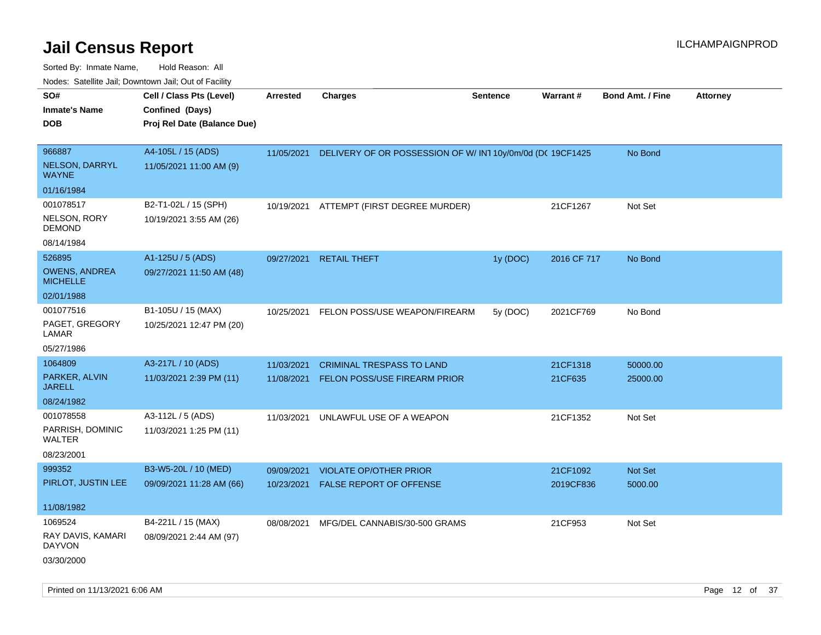| ivouss. Saleline Jali, Downtown Jali, Out of Facility |                             |            |                                                          |                 |             |                         |                 |
|-------------------------------------------------------|-----------------------------|------------|----------------------------------------------------------|-----------------|-------------|-------------------------|-----------------|
| SO#                                                   | Cell / Class Pts (Level)    | Arrested   | <b>Charges</b>                                           | <b>Sentence</b> | Warrant#    | <b>Bond Amt. / Fine</b> | <b>Attorney</b> |
| <b>Inmate's Name</b>                                  | Confined (Days)             |            |                                                          |                 |             |                         |                 |
| <b>DOB</b>                                            | Proj Rel Date (Balance Due) |            |                                                          |                 |             |                         |                 |
|                                                       |                             |            |                                                          |                 |             |                         |                 |
| 966887                                                | A4-105L / 15 (ADS)          | 11/05/2021 | DELIVERY OF OR POSSESSION OF W/IN110y/0m/0d (DC 19CF1425 |                 |             | No Bond                 |                 |
| NELSON, DARRYL<br><b>WAYNE</b>                        | 11/05/2021 11:00 AM (9)     |            |                                                          |                 |             |                         |                 |
| 01/16/1984                                            |                             |            |                                                          |                 |             |                         |                 |
| 001078517                                             | B2-T1-02L / 15 (SPH)        | 10/19/2021 | ATTEMPT (FIRST DEGREE MURDER)                            |                 | 21CF1267    | Not Set                 |                 |
| NELSON, RORY<br><b>DEMOND</b>                         | 10/19/2021 3:55 AM (26)     |            |                                                          |                 |             |                         |                 |
| 08/14/1984                                            |                             |            |                                                          |                 |             |                         |                 |
| 526895                                                | A1-125U / 5 (ADS)           | 09/27/2021 | <b>RETAIL THEFT</b>                                      | 1y (DOC)        | 2016 CF 717 | No Bond                 |                 |
| <b>OWENS, ANDREA</b><br><b>MICHELLE</b>               | 09/27/2021 11:50 AM (48)    |            |                                                          |                 |             |                         |                 |
| 02/01/1988                                            |                             |            |                                                          |                 |             |                         |                 |
| 001077516                                             | B1-105U / 15 (MAX)          | 10/25/2021 | FELON POSS/USE WEAPON/FIREARM                            | 5y (DOC)        | 2021CF769   | No Bond                 |                 |
| PAGET, GREGORY<br>LAMAR                               | 10/25/2021 12:47 PM (20)    |            |                                                          |                 |             |                         |                 |
| 05/27/1986                                            |                             |            |                                                          |                 |             |                         |                 |
| 1064809                                               | A3-217L / 10 (ADS)          | 11/03/2021 | <b>CRIMINAL TRESPASS TO LAND</b>                         |                 | 21CF1318    | 50000.00                |                 |
| PARKER, ALVIN<br><b>JARELL</b>                        | 11/03/2021 2:39 PM (11)     | 11/08/2021 | <b>FELON POSS/USE FIREARM PRIOR</b>                      |                 | 21CF635     | 25000.00                |                 |
| 08/24/1982                                            |                             |            |                                                          |                 |             |                         |                 |
| 001078558                                             | A3-112L / 5 (ADS)           | 11/03/2021 | UNLAWFUL USE OF A WEAPON                                 |                 | 21CF1352    | Not Set                 |                 |
| PARRISH, DOMINIC<br>WALTER                            | 11/03/2021 1:25 PM (11)     |            |                                                          |                 |             |                         |                 |
| 08/23/2001                                            |                             |            |                                                          |                 |             |                         |                 |
| 999352                                                | B3-W5-20L / 10 (MED)        | 09/09/2021 | <b>VIOLATE OP/OTHER PRIOR</b>                            |                 | 21CF1092    | <b>Not Set</b>          |                 |
| PIRLOT, JUSTIN LEE                                    | 09/09/2021 11:28 AM (66)    | 10/23/2021 | FALSE REPORT OF OFFENSE                                  |                 | 2019CF836   | 5000.00                 |                 |
|                                                       |                             |            |                                                          |                 |             |                         |                 |
| 11/08/1982                                            |                             |            |                                                          |                 |             |                         |                 |
| 1069524                                               | B4-221L / 15 (MAX)          | 08/08/2021 | MFG/DEL CANNABIS/30-500 GRAMS                            |                 | 21CF953     | Not Set                 |                 |
| RAY DAVIS, KAMARI<br><b>DAYVON</b>                    | 08/09/2021 2:44 AM (97)     |            |                                                          |                 |             |                         |                 |
| 03/30/2000                                            |                             |            |                                                          |                 |             |                         |                 |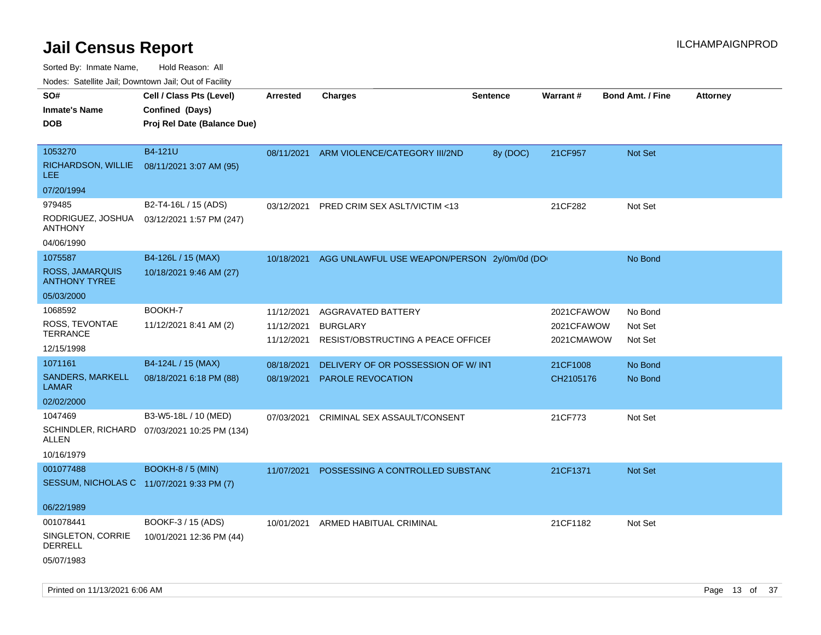Sorted By: Inmate Name, Hold Reason: All

Nodes: Satellite Jail; Downtown Jail; Out of Facility

| rouco. Calcinic Jan, Downtown Jan, Out of Facility |                                              |                 |                                             |                 |            |                         |                 |
|----------------------------------------------------|----------------------------------------------|-----------------|---------------------------------------------|-----------------|------------|-------------------------|-----------------|
| SO#                                                | Cell / Class Pts (Level)                     | <b>Arrested</b> | <b>Charges</b>                              | <b>Sentence</b> | Warrant#   | <b>Bond Amt. / Fine</b> | <b>Attorney</b> |
| <b>Inmate's Name</b>                               | Confined (Days)                              |                 |                                             |                 |            |                         |                 |
| <b>DOB</b>                                         | Proj Rel Date (Balance Due)                  |                 |                                             |                 |            |                         |                 |
|                                                    |                                              |                 |                                             |                 |            |                         |                 |
| 1053270                                            | B4-121U                                      | 08/11/2021      | ARM VIOLENCE/CATEGORY III/2ND               | 8y (DOC)        | 21CF957    | Not Set                 |                 |
| RICHARDSON, WILLIE<br><b>LEE</b>                   | 08/11/2021 3:07 AM (95)                      |                 |                                             |                 |            |                         |                 |
| 07/20/1994                                         |                                              |                 |                                             |                 |            |                         |                 |
| 979485                                             | B2-T4-16L / 15 (ADS)                         | 03/12/2021      | PRED CRIM SEX ASLT/VICTIM <13               |                 | 21CF282    | Not Set                 |                 |
| RODRIGUEZ, JOSHUA<br><b>ANTHONY</b>                | 03/12/2021 1:57 PM (247)                     |                 |                                             |                 |            |                         |                 |
| 04/06/1990                                         |                                              |                 |                                             |                 |            |                         |                 |
| 1075587                                            | B4-126L / 15 (MAX)                           | 10/18/2021      | AGG UNLAWFUL USE WEAPON/PERSON 2y/0m/0d (DO |                 |            | No Bond                 |                 |
| <b>ROSS, JAMARQUIS</b><br><b>ANTHONY TYREE</b>     | 10/18/2021 9:46 AM (27)                      |                 |                                             |                 |            |                         |                 |
| 05/03/2000                                         |                                              |                 |                                             |                 |            |                         |                 |
| 1068592                                            | BOOKH-7                                      | 11/12/2021      | AGGRAVATED BATTERY                          |                 | 2021CFAWOW | No Bond                 |                 |
| ROSS, TEVONTAE                                     | 11/12/2021 8:41 AM (2)                       | 11/12/2021      | <b>BURGLARY</b>                             |                 | 2021CFAWOW | Not Set                 |                 |
| <b>TERRANCE</b>                                    |                                              | 11/12/2021      | RESIST/OBSTRUCTING A PEACE OFFICEF          |                 | 2021CMAWOW | Not Set                 |                 |
| 12/15/1998                                         |                                              |                 |                                             |                 |            |                         |                 |
| 1071161                                            | B4-124L / 15 (MAX)                           | 08/18/2021      | DELIVERY OF OR POSSESSION OF W/INT          |                 | 21CF1008   | No Bond                 |                 |
| SANDERS, MARKELL<br><b>LAMAR</b>                   | 08/18/2021 6:18 PM (88)                      | 08/19/2021      | PAROLE REVOCATION                           |                 | CH2105176  | No Bond                 |                 |
| 02/02/2000                                         |                                              |                 |                                             |                 |            |                         |                 |
| 1047469                                            | B3-W5-18L / 10 (MED)                         | 07/03/2021      | CRIMINAL SEX ASSAULT/CONSENT                |                 | 21CF773    | Not Set                 |                 |
| ALLEN                                              | SCHINDLER, RICHARD 07/03/2021 10:25 PM (134) |                 |                                             |                 |            |                         |                 |
| 10/16/1979                                         |                                              |                 |                                             |                 |            |                         |                 |
| 001077488                                          | <b>BOOKH-8 / 5 (MIN)</b>                     | 11/07/2021      | POSSESSING A CONTROLLED SUBSTAND            |                 | 21CF1371   | <b>Not Set</b>          |                 |
| SESSUM, NICHOLAS C 11/07/2021 9:33 PM (7)          |                                              |                 |                                             |                 |            |                         |                 |
|                                                    |                                              |                 |                                             |                 |            |                         |                 |
| 06/22/1989                                         |                                              |                 |                                             |                 |            |                         |                 |
| 001078441                                          | BOOKF-3 / 15 (ADS)                           |                 | 10/01/2021 ARMED HABITUAL CRIMINAL          |                 | 21CF1182   | Not Set                 |                 |
| SINGLETON, CORRIE<br><b>DERRELL</b>                | 10/01/2021 12:36 PM (44)                     |                 |                                             |                 |            |                         |                 |
| 05/07/1983                                         |                                              |                 |                                             |                 |            |                         |                 |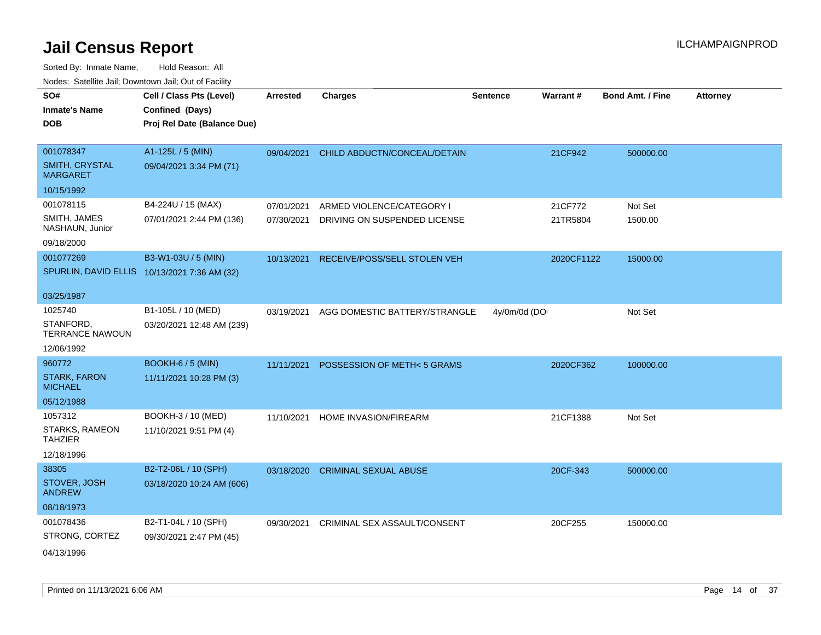| rouco. Calcinic Jan, Downtown Jan, Out of Facility |                                                                            |                 |                               |                 |            |                         |                 |
|----------------------------------------------------|----------------------------------------------------------------------------|-----------------|-------------------------------|-----------------|------------|-------------------------|-----------------|
| SO#<br>Inmate's Name<br><b>DOB</b>                 | Cell / Class Pts (Level)<br>Confined (Days)<br>Proj Rel Date (Balance Due) | <b>Arrested</b> | <b>Charges</b>                | <b>Sentence</b> | Warrant#   | <b>Bond Amt. / Fine</b> | <b>Attorney</b> |
| 001078347<br>SMITH, CRYSTAL<br>MARGARET            | A1-125L / 5 (MIN)<br>09/04/2021 3:34 PM (71)                               | 09/04/2021      | CHILD ABDUCTN/CONCEAL/DETAIN  |                 | 21CF942    | 500000.00               |                 |
| 10/15/1992                                         |                                                                            |                 |                               |                 |            |                         |                 |
| 001078115                                          | B4-224U / 15 (MAX)                                                         | 07/01/2021      | ARMED VIOLENCE/CATEGORY I     |                 | 21CF772    | Not Set                 |                 |
| SMITH, JAMES<br>NASHAUN, Junior                    | 07/01/2021 2:44 PM (136)                                                   | 07/30/2021      | DRIVING ON SUSPENDED LICENSE  |                 | 21TR5804   | 1500.00                 |                 |
| 09/18/2000                                         |                                                                            |                 |                               |                 |            |                         |                 |
| 001077269                                          | B3-W1-03U / 5 (MIN)                                                        | 10/13/2021      | RECEIVE/POSS/SELL STOLEN VEH  |                 | 2020CF1122 | 15000.00                |                 |
|                                                    | SPURLIN, DAVID ELLIS 10/13/2021 7:36 AM (32)                               |                 |                               |                 |            |                         |                 |
| 03/25/1987                                         |                                                                            |                 |                               |                 |            |                         |                 |
| 1025740                                            | B1-105L / 10 (MED)                                                         | 03/19/2021      | AGG DOMESTIC BATTERY/STRANGLE | 4y/0m/0d (DO    |            | Not Set                 |                 |
| STANFORD,<br>TERRANCE NAWOUN                       | 03/20/2021 12:48 AM (239)                                                  |                 |                               |                 |            |                         |                 |
| 12/06/1992                                         |                                                                            |                 |                               |                 |            |                         |                 |
| 960772                                             | <b>BOOKH-6 / 5 (MIN)</b>                                                   | 11/11/2021      | POSSESSION OF METH<5 GRAMS    |                 | 2020CF362  | 100000.00               |                 |
| <b>STARK, FARON</b><br>MICHAEL                     | 11/11/2021 10:28 PM (3)                                                    |                 |                               |                 |            |                         |                 |
| 05/12/1988                                         |                                                                            |                 |                               |                 |            |                         |                 |
| 1057312                                            | BOOKH-3 / 10 (MED)                                                         | 11/10/2021      | HOME INVASION/FIREARM         |                 | 21CF1388   | Not Set                 |                 |
| STARKS, RAMEON<br><b>TAHZIER</b>                   | 11/10/2021 9:51 PM (4)                                                     |                 |                               |                 |            |                         |                 |
| 12/18/1996                                         |                                                                            |                 |                               |                 |            |                         |                 |
| 38305                                              | B2-T2-06L / 10 (SPH)                                                       | 03/18/2020      | <b>CRIMINAL SEXUAL ABUSE</b>  |                 | 20CF-343   | 500000.00               |                 |
| STOVER, JOSH<br><b>ANDREW</b>                      | 03/18/2020 10:24 AM (606)                                                  |                 |                               |                 |            |                         |                 |
| 08/18/1973                                         |                                                                            |                 |                               |                 |            |                         |                 |
| 001078436                                          | B2-T1-04L / 10 (SPH)                                                       | 09/30/2021      | CRIMINAL SEX ASSAULT/CONSENT  |                 | 20CF255    | 150000.00               |                 |
| STRONG, CORTEZ                                     | 09/30/2021 2:47 PM (45)                                                    |                 |                               |                 |            |                         |                 |
| 04/13/1996                                         |                                                                            |                 |                               |                 |            |                         |                 |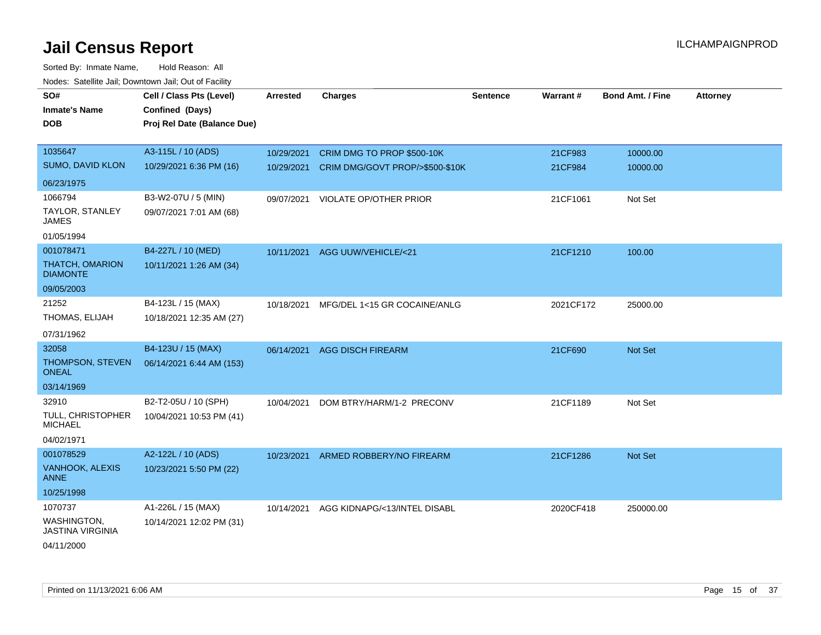| SO#<br><b>Inmate's Name</b><br><b>DOB</b>     | Cell / Class Pts (Level)<br>Confined (Days)<br>Proj Rel Date (Balance Due) | Arrested   | <b>Charges</b>                      | <b>Sentence</b> | <b>Warrant#</b> | <b>Bond Amt. / Fine</b> | <b>Attorney</b> |
|-----------------------------------------------|----------------------------------------------------------------------------|------------|-------------------------------------|-----------------|-----------------|-------------------------|-----------------|
| 1035647                                       | A3-115L / 10 (ADS)                                                         | 10/29/2021 | CRIM DMG TO PROP \$500-10K          |                 | 21CF983         | 10000.00                |                 |
| SUMO, DAVID KLON                              | 10/29/2021 6:36 PM (16)                                                    | 10/29/2021 | CRIM DMG/GOVT PROP/>\$500-\$10K     |                 | 21CF984         | 10000.00                |                 |
| 06/23/1975                                    |                                                                            |            |                                     |                 |                 |                         |                 |
| 1066794                                       | B3-W2-07U / 5 (MIN)                                                        |            | 09/07/2021 VIOLATE OP/OTHER PRIOR   |                 | 21CF1061        | Not Set                 |                 |
| TAYLOR, STANLEY<br>JAMES                      | 09/07/2021 7:01 AM (68)                                                    |            |                                     |                 |                 |                         |                 |
| 01/05/1994                                    |                                                                            |            |                                     |                 |                 |                         |                 |
| 001078471                                     | B4-227L / 10 (MED)                                                         | 10/11/2021 | AGG UUW/VEHICLE/<21                 |                 | 21CF1210        | 100.00                  |                 |
| THATCH, OMARION<br><b>DIAMONTE</b>            | 10/11/2021 1:26 AM (34)                                                    |            |                                     |                 |                 |                         |                 |
| 09/05/2003                                    |                                                                            |            |                                     |                 |                 |                         |                 |
| 21252                                         | B4-123L / 15 (MAX)                                                         | 10/18/2021 | MFG/DEL 1<15 GR COCAINE/ANLG        |                 | 2021CF172       | 25000.00                |                 |
| THOMAS, ELIJAH                                | 10/18/2021 12:35 AM (27)                                                   |            |                                     |                 |                 |                         |                 |
| 07/31/1962                                    |                                                                            |            |                                     |                 |                 |                         |                 |
| 32058                                         | B4-123U / 15 (MAX)                                                         |            | 06/14/2021 AGG DISCH FIREARM        |                 | 21CF690         | Not Set                 |                 |
| THOMPSON, STEVEN<br><b>ONEAL</b>              | 06/14/2021 6:44 AM (153)                                                   |            |                                     |                 |                 |                         |                 |
| 03/14/1969                                    |                                                                            |            |                                     |                 |                 |                         |                 |
| 32910                                         | B2-T2-05U / 10 (SPH)                                                       | 10/04/2021 | DOM BTRY/HARM/1-2 PRECONV           |                 | 21CF1189        | Not Set                 |                 |
| <b>TULL, CHRISTOPHER</b><br><b>MICHAEL</b>    | 10/04/2021 10:53 PM (41)                                                   |            |                                     |                 |                 |                         |                 |
| 04/02/1971                                    |                                                                            |            |                                     |                 |                 |                         |                 |
| 001078529                                     | A2-122L / 10 (ADS)                                                         |            | 10/23/2021 ARMED ROBBERY/NO FIREARM |                 | 21CF1286        | Not Set                 |                 |
| VANHOOK, ALEXIS<br><b>ANNE</b>                | 10/23/2021 5:50 PM (22)                                                    |            |                                     |                 |                 |                         |                 |
| 10/25/1998                                    |                                                                            |            |                                     |                 |                 |                         |                 |
| 1070737                                       | A1-226L / 15 (MAX)                                                         | 10/14/2021 | AGG KIDNAPG/<13/INTEL DISABL        |                 | 2020CF418       | 250000.00               |                 |
| <b>WASHINGTON,</b><br><b>JASTINA VIRGINIA</b> | 10/14/2021 12:02 PM (31)                                                   |            |                                     |                 |                 |                         |                 |
| 04/11/2000                                    |                                                                            |            |                                     |                 |                 |                         |                 |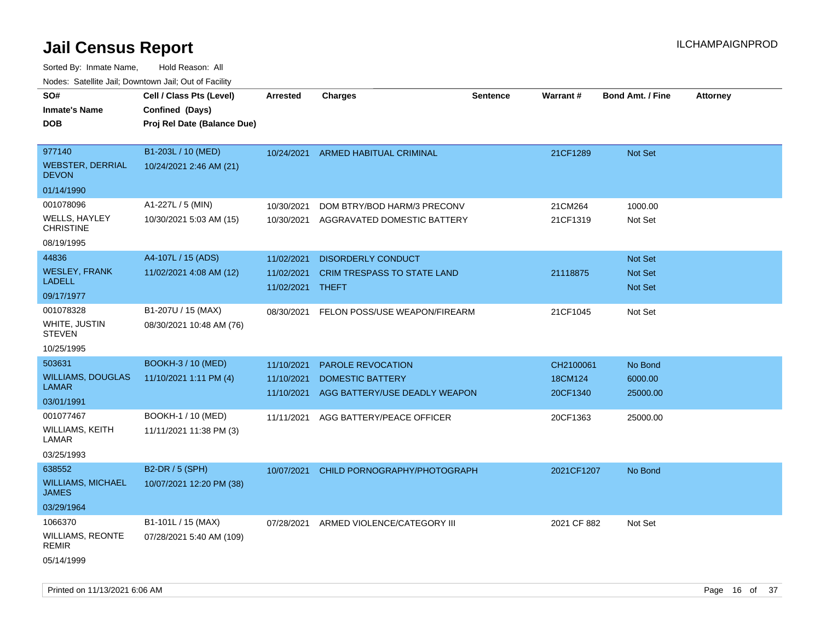| roaco. Calcinio dan, Downtown dan, Cal or Fability                  |                                                                            |                                                      |                                                                                                            |                 |                                              |                                            |                 |
|---------------------------------------------------------------------|----------------------------------------------------------------------------|------------------------------------------------------|------------------------------------------------------------------------------------------------------------|-----------------|----------------------------------------------|--------------------------------------------|-----------------|
| SO#<br><b>Inmate's Name</b><br>DOB                                  | Cell / Class Pts (Level)<br>Confined (Days)<br>Proj Rel Date (Balance Due) | <b>Arrested</b>                                      | Charges                                                                                                    | <b>Sentence</b> | <b>Warrant#</b>                              | <b>Bond Amt. / Fine</b>                    | <b>Attorney</b> |
| 977140<br><b>WEBSTER, DERRIAL</b><br><b>DEVON</b>                   | B1-203L / 10 (MED)<br>10/24/2021 2:46 AM (21)                              | 10/24/2021                                           | <b>ARMED HABITUAL CRIMINAL</b>                                                                             |                 | 21CF1289                                     | <b>Not Set</b>                             |                 |
| 01/14/1990<br>001078096<br>WELLS, HAYLEY<br><b>CHRISTINE</b>        | A1-227L / 5 (MIN)<br>10/30/2021 5:03 AM (15)                               | 10/30/2021<br>10/30/2021                             | DOM BTRY/BOD HARM/3 PRECONV<br>AGGRAVATED DOMESTIC BATTERY                                                 |                 | 21CM264<br>21CF1319                          | 1000.00<br>Not Set                         |                 |
| 08/19/1995<br>44836<br><b>WESLEY, FRANK</b><br>LADELL<br>09/17/1977 | A4-107L / 15 (ADS)<br>11/02/2021 4:08 AM (12)                              | 11/02/2021<br>11/02/2021<br>11/02/2021 THEFT         | DISORDERLY CONDUCT<br><b>CRIM TRESPASS TO STATE LAND</b>                                                   |                 | 21118875                                     | Not Set<br><b>Not Set</b><br>Not Set       |                 |
| 001078328<br>WHITE, JUSTIN<br><b>STEVEN</b><br>10/25/1995           | B1-207U / 15 (MAX)<br>08/30/2021 10:48 AM (76)                             | 08/30/2021                                           | FELON POSS/USE WEAPON/FIREARM                                                                              |                 | 21CF1045                                     | Not Set                                    |                 |
| 503631<br>WILLIAMS, DOUGLAS<br>LAMAR<br>03/01/1991<br>001077467     | <b>BOOKH-3 / 10 (MED)</b><br>11/10/2021 1:11 PM (4)<br>BOOKH-1 / 10 (MED)  | 11/10/2021<br>11/10/2021<br>11/10/2021<br>11/11/2021 | PAROLE REVOCATION<br><b>DOMESTIC BATTERY</b><br>AGG BATTERY/USE DEADLY WEAPON<br>AGG BATTERY/PEACE OFFICER |                 | CH2100061<br>18CM124<br>20CF1340<br>20CF1363 | No Bond<br>6000.00<br>25000.00<br>25000.00 |                 |
| WILLIAMS, KEITH<br>LAMAR<br>03/25/1993                              | 11/11/2021 11:38 PM (3)                                                    |                                                      |                                                                                                            |                 |                                              |                                            |                 |
| 638552<br>WILLIAMS, MICHAEL<br>JAMES<br>03/29/1964                  | B2-DR / 5 (SPH)<br>10/07/2021 12:20 PM (38)                                | 10/07/2021                                           | CHILD PORNOGRAPHY/PHOTOGRAPH                                                                               |                 | 2021CF1207                                   | No Bond                                    |                 |
| 1066370<br>WILLIAMS, REONTE<br>REMIR<br>05/14/1999                  | B1-101L / 15 (MAX)<br>07/28/2021 5:40 AM (109)                             | 07/28/2021                                           | ARMED VIOLENCE/CATEGORY III                                                                                |                 | 2021 CF 882                                  | Not Set                                    |                 |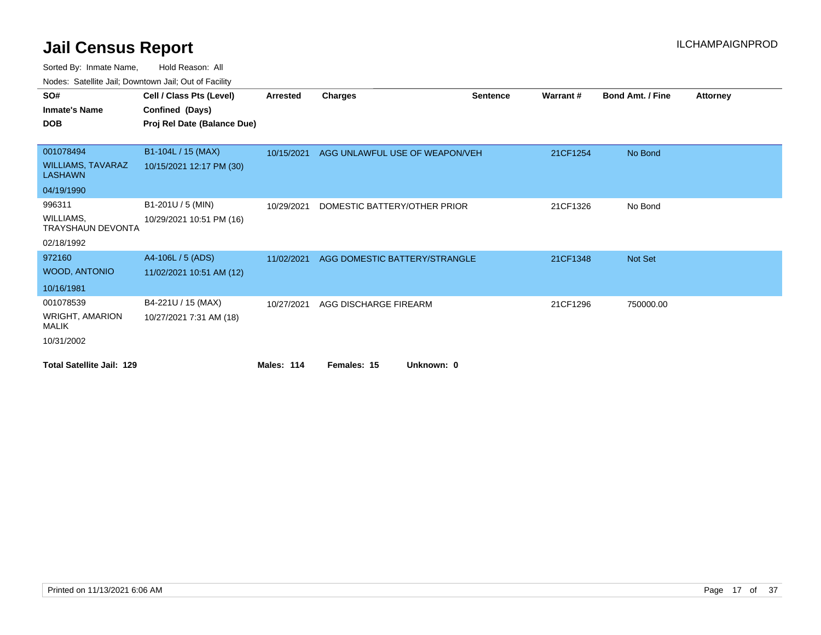| SO#                                        | Cell / Class Pts (Level)    | Arrested   | <b>Charges</b>                 | <b>Sentence</b> | Warrant# | <b>Bond Amt. / Fine</b> | <b>Attorney</b> |
|--------------------------------------------|-----------------------------|------------|--------------------------------|-----------------|----------|-------------------------|-----------------|
| <b>Inmate's Name</b>                       | Confined (Days)             |            |                                |                 |          |                         |                 |
| <b>DOB</b>                                 | Proj Rel Date (Balance Due) |            |                                |                 |          |                         |                 |
|                                            |                             |            |                                |                 |          |                         |                 |
| 001078494                                  | B1-104L / 15 (MAX)          | 10/15/2021 | AGG UNLAWFUL USE OF WEAPON/VEH |                 | 21CF1254 | No Bond                 |                 |
| <b>WILLIAMS, TAVARAZ</b><br><b>LASHAWN</b> | 10/15/2021 12:17 PM (30)    |            |                                |                 |          |                         |                 |
| 04/19/1990                                 |                             |            |                                |                 |          |                         |                 |
| 996311                                     | B1-201U / 5 (MIN)           | 10/29/2021 | DOMESTIC BATTERY/OTHER PRIOR   |                 | 21CF1326 | No Bond                 |                 |
| WILLIAMS,<br><b>TRAYSHAUN DEVONTA</b>      | 10/29/2021 10:51 PM (16)    |            |                                |                 |          |                         |                 |
| 02/18/1992                                 |                             |            |                                |                 |          |                         |                 |
| 972160                                     | A4-106L / 5 (ADS)           | 11/02/2021 | AGG DOMESTIC BATTERY/STRANGLE  |                 | 21CF1348 | Not Set                 |                 |
| <b>WOOD, ANTONIO</b>                       | 11/02/2021 10:51 AM (12)    |            |                                |                 |          |                         |                 |
| 10/16/1981                                 |                             |            |                                |                 |          |                         |                 |
| 001078539                                  | B4-221U / 15 (MAX)          | 10/27/2021 | AGG DISCHARGE FIREARM          |                 | 21CF1296 | 750000.00               |                 |
| <b>WRIGHT, AMARION</b><br><b>MALIK</b>     | 10/27/2021 7:31 AM (18)     |            |                                |                 |          |                         |                 |
| 10/31/2002                                 |                             |            |                                |                 |          |                         |                 |
| <b>Total Satellite Jail: 129</b>           |                             | Males: 114 | Females: 15<br>Unknown: 0      |                 |          |                         |                 |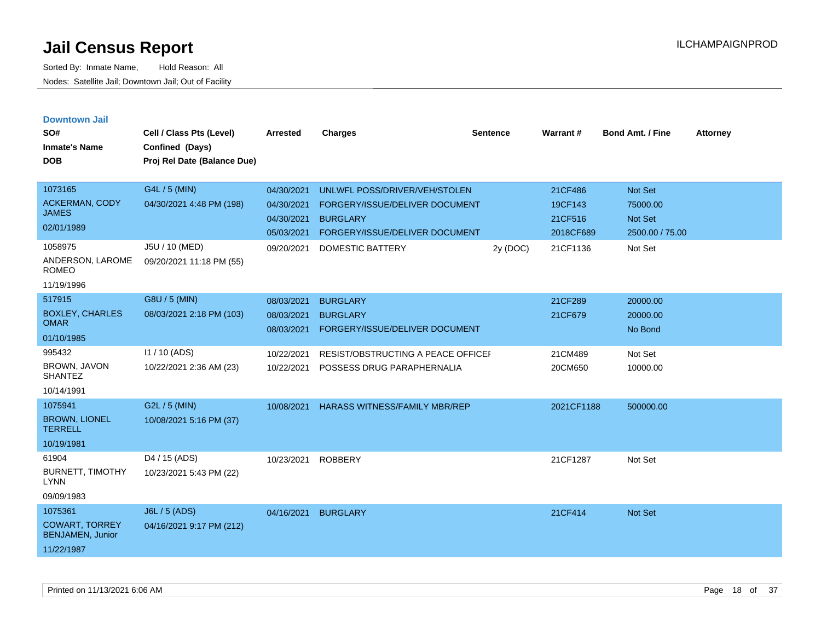| <b>Downtown Jail</b> |  |  |
|----------------------|--|--|

| SO#<br><b>Inmate's Name</b><br><b>DOB</b>                                 | Cell / Class Pts (Level)<br>Confined (Days)<br>Proj Rel Date (Balance Due) | <b>Arrested</b>                                      | <b>Charges</b>                                                                                                       | <b>Sentence</b> | Warrant#                                   | <b>Bond Amt. / Fine</b>                                         | <b>Attorney</b> |
|---------------------------------------------------------------------------|----------------------------------------------------------------------------|------------------------------------------------------|----------------------------------------------------------------------------------------------------------------------|-----------------|--------------------------------------------|-----------------------------------------------------------------|-----------------|
| 1073165<br>ACKERMAN, CODY<br><b>JAMES</b><br>02/01/1989                   | G4L / 5 (MIN)<br>04/30/2021 4:48 PM (198)                                  | 04/30/2021<br>04/30/2021<br>04/30/2021<br>05/03/2021 | UNLWFL POSS/DRIVER/VEH/STOLEN<br>FORGERY/ISSUE/DELIVER DOCUMENT<br><b>BURGLARY</b><br>FORGERY/ISSUE/DELIVER DOCUMENT |                 | 21CF486<br>19CF143<br>21CF516<br>2018CF689 | <b>Not Set</b><br>75000.00<br><b>Not Set</b><br>2500.00 / 75.00 |                 |
| 1058975<br>ANDERSON, LAROME<br><b>ROMEO</b><br>11/19/1996                 | J5U / 10 (MED)<br>09/20/2021 11:18 PM (55)                                 | 09/20/2021                                           | DOMESTIC BATTERY                                                                                                     | 2y (DOC)        | 21CF1136                                   | Not Set                                                         |                 |
| 517915<br><b>BOXLEY, CHARLES</b><br><b>OMAR</b><br>01/10/1985             | G8U / 5 (MIN)<br>08/03/2021 2:18 PM (103)                                  | 08/03/2021<br>08/03/2021<br>08/03/2021               | <b>BURGLARY</b><br><b>BURGLARY</b><br>FORGERY/ISSUE/DELIVER DOCUMENT                                                 |                 | 21CF289<br>21CF679                         | 20000.00<br>20000.00<br>No Bond                                 |                 |
| 995432<br>BROWN, JAVON<br><b>SHANTEZ</b><br>10/14/1991                    | 11/10 (ADS)<br>10/22/2021 2:36 AM (23)                                     | 10/22/2021<br>10/22/2021                             | RESIST/OBSTRUCTING A PEACE OFFICEI<br>POSSESS DRUG PARAPHERNALIA                                                     |                 | 21CM489<br>20CM650                         | Not Set<br>10000.00                                             |                 |
| 1075941<br><b>BROWN, LIONEL</b><br><b>TERRELL</b><br>10/19/1981           | G2L / 5 (MIN)<br>10/08/2021 5:16 PM (37)                                   | 10/08/2021                                           | <b>HARASS WITNESS/FAMILY MBR/REP</b>                                                                                 |                 | 2021CF1188                                 | 500000.00                                                       |                 |
| 61904<br><b>BURNETT, TIMOTHY</b><br><b>LYNN</b><br>09/09/1983             | D <sub>4</sub> / 15 (ADS)<br>10/23/2021 5:43 PM (22)                       | 10/23/2021                                           | <b>ROBBERY</b>                                                                                                       |                 | 21CF1287                                   | Not Set                                                         |                 |
| 1075361<br><b>COWART, TORREY</b><br><b>BENJAMEN, Junior</b><br>11/22/1987 | <b>J6L / 5 (ADS)</b><br>04/16/2021 9:17 PM (212)                           | 04/16/2021                                           | <b>BURGLARY</b>                                                                                                      |                 | 21CF414                                    | Not Set                                                         |                 |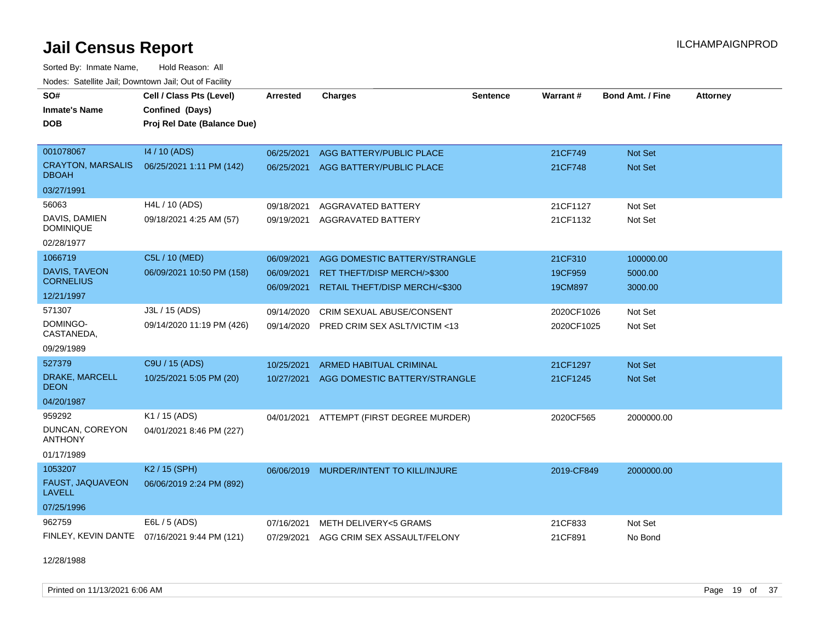Sorted By: Inmate Name, Hold Reason: All

| Nodes: Satellite Jail; Downtown Jail; Out of Facility |                                              |                 |                                        |          |            |                         |                 |
|-------------------------------------------------------|----------------------------------------------|-----------------|----------------------------------------|----------|------------|-------------------------|-----------------|
| SO#                                                   | Cell / Class Pts (Level)                     | <b>Arrested</b> | <b>Charges</b>                         | Sentence | Warrant#   | <b>Bond Amt. / Fine</b> | <b>Attorney</b> |
| <b>Inmate's Name</b>                                  | Confined (Days)                              |                 |                                        |          |            |                         |                 |
| <b>DOB</b>                                            | Proj Rel Date (Balance Due)                  |                 |                                        |          |            |                         |                 |
|                                                       |                                              |                 |                                        |          |            |                         |                 |
| 001078067                                             | 14 / 10 (ADS)                                | 06/25/2021      | AGG BATTERY/PUBLIC PLACE               |          | 21CF749    | <b>Not Set</b>          |                 |
| <b>CRAYTON, MARSALIS</b><br><b>DBOAH</b>              | 06/25/2021 1:11 PM (142)                     | 06/25/2021      | AGG BATTERY/PUBLIC PLACE               |          | 21CF748    | Not Set                 |                 |
| 03/27/1991                                            |                                              |                 |                                        |          |            |                         |                 |
| 56063                                                 | H4L / 10 (ADS)                               | 09/18/2021      | AGGRAVATED BATTERY                     |          | 21CF1127   | Not Set                 |                 |
| DAVIS, DAMIEN<br><b>DOMINIQUE</b>                     | 09/18/2021 4:25 AM (57)                      | 09/19/2021      | AGGRAVATED BATTERY                     |          | 21CF1132   | Not Set                 |                 |
| 02/28/1977                                            |                                              |                 |                                        |          |            |                         |                 |
| 1066719                                               | C5L / 10 (MED)                               | 06/09/2021      | AGG DOMESTIC BATTERY/STRANGLE          |          | 21CF310    | 100000.00               |                 |
| DAVIS, TAVEON                                         | 06/09/2021 10:50 PM (158)                    | 06/09/2021      | RET THEFT/DISP MERCH/>\$300            |          | 19CF959    | 5000.00                 |                 |
| <b>CORNELIUS</b>                                      |                                              | 06/09/2021      | RETAIL THEFT/DISP MERCH/<\$300         |          | 19CM897    | 3000.00                 |                 |
| 12/21/1997                                            |                                              |                 |                                        |          |            |                         |                 |
| 571307                                                | J3L / 15 (ADS)                               | 09/14/2020      | CRIM SEXUAL ABUSE/CONSENT              |          | 2020CF1026 | Not Set                 |                 |
| DOMINGO-<br>CASTANEDA,                                | 09/14/2020 11:19 PM (426)                    | 09/14/2020      | PRED CRIM SEX ASLT/VICTIM <13          |          | 2020CF1025 | Not Set                 |                 |
| 09/29/1989                                            |                                              |                 |                                        |          |            |                         |                 |
| 527379                                                | C9U / 15 (ADS)                               | 10/25/2021      | <b>ARMED HABITUAL CRIMINAL</b>         |          | 21CF1297   | <b>Not Set</b>          |                 |
| DRAKE, MARCELL<br><b>DEON</b>                         | 10/25/2021 5:05 PM (20)                      | 10/27/2021      | AGG DOMESTIC BATTERY/STRANGLE          |          | 21CF1245   | <b>Not Set</b>          |                 |
| 04/20/1987                                            |                                              |                 |                                        |          |            |                         |                 |
| 959292                                                | K1 / 15 (ADS)                                | 04/01/2021      | ATTEMPT (FIRST DEGREE MURDER)          |          | 2020CF565  | 2000000.00              |                 |
| DUNCAN, COREYON<br><b>ANTHONY</b>                     | 04/01/2021 8:46 PM (227)                     |                 |                                        |          |            |                         |                 |
| 01/17/1989                                            |                                              |                 |                                        |          |            |                         |                 |
| 1053207                                               | K <sub>2</sub> / 15 (SPH)                    | 06/06/2019      | MURDER/INTENT TO KILL/INJURE           |          | 2019-CF849 | 2000000.00              |                 |
| FAUST, JAQUAVEON<br><b>LAVELL</b>                     | 06/06/2019 2:24 PM (892)                     |                 |                                        |          |            |                         |                 |
| 07/25/1996                                            |                                              |                 |                                        |          |            |                         |                 |
| 962759                                                | E6L / 5 (ADS)                                | 07/16/2021      | METH DELIVERY<5 GRAMS                  |          | 21CF833    | Not Set                 |                 |
|                                                       | FINLEY, KEVIN DANTE 07/16/2021 9:44 PM (121) |                 | 07/29/2021 AGG CRIM SEX ASSAULT/FELONY |          | 21CF891    | No Bond                 |                 |

12/28/1988

Printed on 11/13/2021 6:06 AM **Page 19 of 37**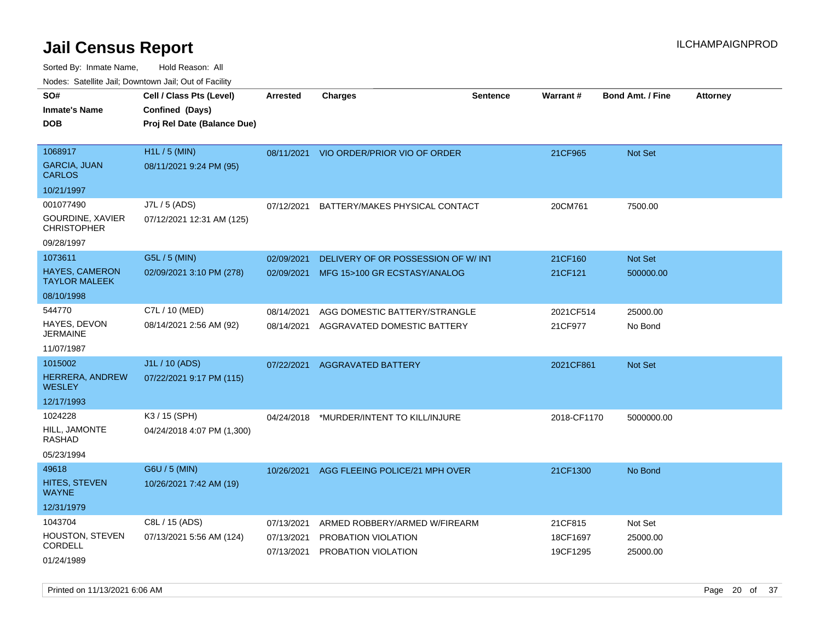| rouco. Calcillo Jali, Downtown Jali, Out of Facility |                                                                            |                          |                                                              |                 |                      |                         |                 |
|------------------------------------------------------|----------------------------------------------------------------------------|--------------------------|--------------------------------------------------------------|-----------------|----------------------|-------------------------|-----------------|
| SO#<br>Inmate's Name<br><b>DOB</b>                   | Cell / Class Pts (Level)<br>Confined (Days)<br>Proj Rel Date (Balance Due) | <b>Arrested</b>          | Charges                                                      | <b>Sentence</b> | Warrant#             | <b>Bond Amt. / Fine</b> | <b>Attorney</b> |
| 1068917<br><b>GARCIA, JUAN</b><br><b>CARLOS</b>      | H <sub>1</sub> L / 5 (MIN)<br>08/11/2021 9:24 PM (95)                      |                          | 08/11/2021 VIO ORDER/PRIOR VIO OF ORDER                      |                 | 21CF965              | Not Set                 |                 |
| 10/21/1997                                           |                                                                            |                          |                                                              |                 |                      |                         |                 |
| 001077490<br>GOURDINE, XAVIER<br>CHRISTOPHER         | J7L / 5 (ADS)<br>07/12/2021 12:31 AM (125)                                 | 07/12/2021               | BATTERY/MAKES PHYSICAL CONTACT                               |                 | 20CM761              | 7500.00                 |                 |
| 09/28/1997                                           |                                                                            |                          |                                                              |                 |                      |                         |                 |
| 1073611                                              | G5L / 5 (MIN)                                                              | 02/09/2021               | DELIVERY OF OR POSSESSION OF W/INT                           |                 | 21CF160              | <b>Not Set</b>          |                 |
| HAYES, CAMERON<br>TAYLOR MALEEK                      | 02/09/2021 3:10 PM (278)                                                   | 02/09/2021               | MFG 15>100 GR ECSTASY/ANALOG                                 |                 | 21CF121              | 500000.00               |                 |
| 08/10/1998                                           |                                                                            |                          |                                                              |                 |                      |                         |                 |
| 544770<br>HAYES, DEVON<br>JERMAINE                   | C7L / 10 (MED)<br>08/14/2021 2:56 AM (92)                                  | 08/14/2021<br>08/14/2021 | AGG DOMESTIC BATTERY/STRANGLE<br>AGGRAVATED DOMESTIC BATTERY |                 | 2021CF514<br>21CF977 | 25000.00<br>No Bond     |                 |
| 11/07/1987                                           |                                                                            |                          |                                                              |                 |                      |                         |                 |
| 1015002                                              | J1L / 10 (ADS)                                                             | 07/22/2021               | <b>AGGRAVATED BATTERY</b>                                    |                 | 2021CF861            | <b>Not Set</b>          |                 |
| HERRERA, ANDREW<br>WESLEY                            | 07/22/2021 9:17 PM (115)                                                   |                          |                                                              |                 |                      |                         |                 |
| 12/17/1993                                           |                                                                            |                          |                                                              |                 |                      |                         |                 |
| 1024228                                              | K3 / 15 (SPH)                                                              | 04/24/2018               | *MURDER/INTENT TO KILL/INJURE                                |                 | 2018-CF1170          | 5000000.00              |                 |
| HILL, JAMONTE<br>RASHAD                              | 04/24/2018 4:07 PM (1,300)                                                 |                          |                                                              |                 |                      |                         |                 |
| 05/23/1994                                           |                                                                            |                          |                                                              |                 |                      |                         |                 |
| 49618                                                | G6U / 5 (MIN)                                                              | 10/26/2021               | AGG FLEEING POLICE/21 MPH OVER                               |                 | 21CF1300             | No Bond                 |                 |
| HITES, STEVEN<br>WAYNE                               | 10/26/2021 7:42 AM (19)                                                    |                          |                                                              |                 |                      |                         |                 |
| 12/31/1979                                           |                                                                            |                          |                                                              |                 |                      |                         |                 |
| 1043704                                              | C8L / 15 (ADS)                                                             | 07/13/2021               | ARMED ROBBERY/ARMED W/FIREARM                                |                 | 21CF815              | Not Set                 |                 |
| HOUSTON, STEVEN<br>CORDELL                           | 07/13/2021 5:56 AM (124)                                                   | 07/13/2021<br>07/13/2021 | PROBATION VIOLATION<br><b>PROBATION VIOLATION</b>            |                 | 18CF1697<br>19CF1295 | 25000.00<br>25000.00    |                 |
| 01/24/1989                                           |                                                                            |                          |                                                              |                 |                      |                         |                 |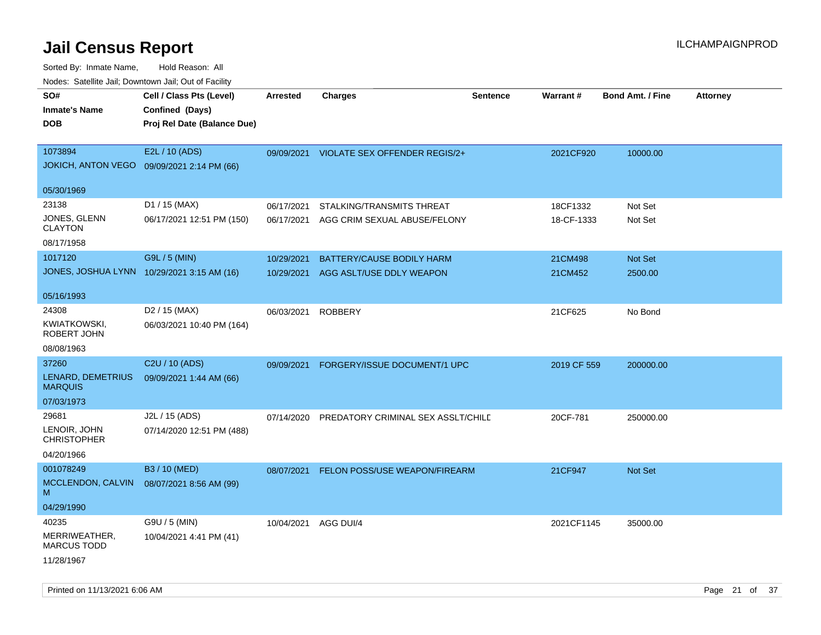| ivouss. Saleling Jali, Downtown Jali, Out of Facility |            |                           |                                                                                                                          |                                                                                                     |                         |                 |
|-------------------------------------------------------|------------|---------------------------|--------------------------------------------------------------------------------------------------------------------------|-----------------------------------------------------------------------------------------------------|-------------------------|-----------------|
| Cell / Class Pts (Level)                              | Arrested   | <b>Charges</b>            | <b>Sentence</b>                                                                                                          |                                                                                                     | <b>Bond Amt. / Fine</b> | <b>Attorney</b> |
| Confined (Days)                                       |            |                           |                                                                                                                          |                                                                                                     |                         |                 |
| Proj Rel Date (Balance Due)                           |            |                           |                                                                                                                          |                                                                                                     |                         |                 |
|                                                       |            |                           |                                                                                                                          |                                                                                                     |                         |                 |
| E2L / 10 (ADS)                                        | 09/09/2021 |                           |                                                                                                                          | 2021CF920                                                                                           | 10000.00                |                 |
| JOKICH, ANTON VEGO 09/09/2021 2:14 PM (66)            |            |                           |                                                                                                                          |                                                                                                     |                         |                 |
|                                                       |            |                           |                                                                                                                          |                                                                                                     |                         |                 |
| D1 / 15 (MAX)                                         | 06/17/2021 | STALKING/TRANSMITS THREAT |                                                                                                                          | 18CF1332                                                                                            | Not Set                 |                 |
| 06/17/2021 12:51 PM (150)                             | 06/17/2021 |                           |                                                                                                                          | 18-CF-1333                                                                                          | Not Set                 |                 |
|                                                       |            |                           |                                                                                                                          |                                                                                                     |                         |                 |
| G9L / 5 (MIN)                                         | 10/29/2021 | BATTERY/CAUSE BODILY HARM |                                                                                                                          | 21CM498                                                                                             | <b>Not Set</b>          |                 |
| JONES, JOSHUA LYNN 10/29/2021 3:15 AM (16)            | 10/29/2021 |                           |                                                                                                                          | 21CM452                                                                                             | 2500.00                 |                 |
|                                                       |            |                           |                                                                                                                          |                                                                                                     |                         |                 |
| D2 / 15 (MAX)                                         | 06/03/2021 |                           |                                                                                                                          | 21CF625                                                                                             | No Bond                 |                 |
| 06/03/2021 10:40 PM (164)                             |            |                           |                                                                                                                          |                                                                                                     |                         |                 |
|                                                       |            |                           |                                                                                                                          |                                                                                                     |                         |                 |
| C <sub>2</sub> U / 10 (ADS)                           | 09/09/2021 |                           |                                                                                                                          | 2019 CF 559                                                                                         | 200000.00               |                 |
| 09/09/2021 1:44 AM (66)                               |            |                           |                                                                                                                          |                                                                                                     |                         |                 |
|                                                       |            |                           |                                                                                                                          |                                                                                                     |                         |                 |
| J2L / 15 (ADS)                                        | 07/14/2020 |                           |                                                                                                                          | 20CF-781                                                                                            | 250000.00               |                 |
| 07/14/2020 12:51 PM (488)                             |            |                           |                                                                                                                          |                                                                                                     |                         |                 |
|                                                       |            |                           |                                                                                                                          |                                                                                                     |                         |                 |
| B3 / 10 (MED)                                         | 08/07/2021 |                           |                                                                                                                          | 21CF947                                                                                             | <b>Not Set</b>          |                 |
| 08/07/2021 8:56 AM (99)                               |            |                           |                                                                                                                          |                                                                                                     |                         |                 |
|                                                       |            |                           |                                                                                                                          |                                                                                                     |                         |                 |
| G9U / 5 (MIN)                                         | 10/04/2021 |                           |                                                                                                                          | 2021CF1145                                                                                          | 35000.00                |                 |
| 10/04/2021 4:41 PM (41)                               |            |                           |                                                                                                                          |                                                                                                     |                         |                 |
|                                                       |            |                           |                                                                                                                          |                                                                                                     |                         |                 |
|                                                       |            |                           | VIOLATE SEX OFFENDER REGIS/2+<br>AGG CRIM SEXUAL ABUSE/FELONY<br>AGG ASLT/USE DDLY WEAPON<br><b>ROBBERY</b><br>AGG DUI/4 | FORGERY/ISSUE DOCUMENT/1 UPC<br>PREDATORY CRIMINAL SEX ASSLT/CHILD<br>FELON POSS/USE WEAPON/FIREARM | Warrant#                |                 |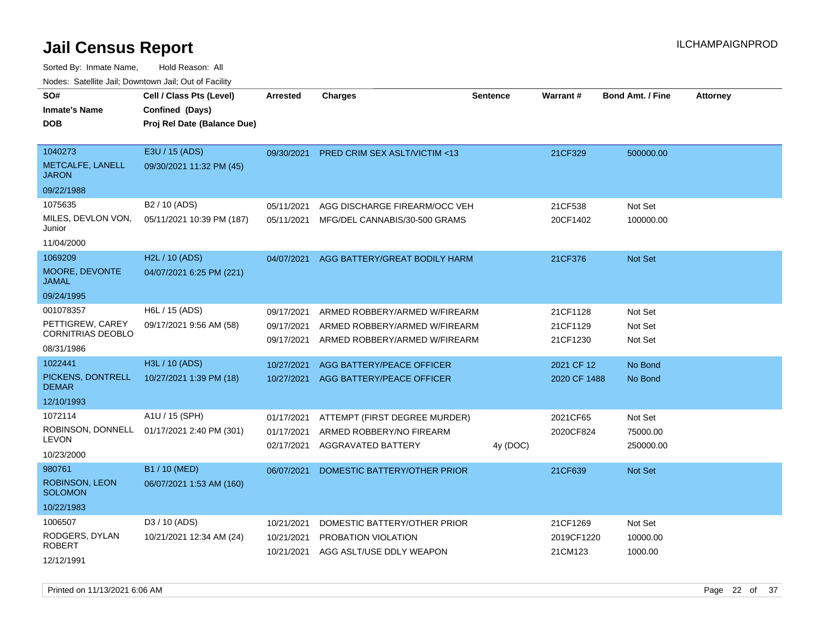Sorted By: Inmate Name, Hold Reason: All

|  | Nodes: Satellite Jail; Downtown Jail; Out of Facility |
|--|-------------------------------------------------------|
|  |                                                       |

| SO#<br><b>Inmate's Name</b><br><b>DOB</b>                               | Cell / Class Pts (Level)<br>Confined (Days)<br>Proj Rel Date (Balance Due) | <b>Arrested</b>                        | <b>Charges</b>                                                                                  | <b>Sentence</b> | <b>Warrant#</b>                   | <b>Bond Amt. / Fine</b>          | <b>Attorney</b> |
|-------------------------------------------------------------------------|----------------------------------------------------------------------------|----------------------------------------|-------------------------------------------------------------------------------------------------|-----------------|-----------------------------------|----------------------------------|-----------------|
| 1040273<br>METCALFE, LANELL<br><b>JARON</b><br>09/22/1988               | E3U / 15 (ADS)<br>09/30/2021 11:32 PM (45)                                 | 09/30/2021                             | PRED CRIM SEX ASLT/VICTIM <13                                                                   |                 | 21CF329                           | 500000.00                        |                 |
| 1075635<br>MILES, DEVLON VON,<br>Junior<br>11/04/2000                   | B2 / 10 (ADS)<br>05/11/2021 10:39 PM (187)                                 | 05/11/2021<br>05/11/2021               | AGG DISCHARGE FIREARM/OCC VEH<br>MFG/DEL CANNABIS/30-500 GRAMS                                  |                 | 21CF538<br>20CF1402               | Not Set<br>100000.00             |                 |
| 1069209<br>MOORE, DEVONTE<br><b>JAMAL</b><br>09/24/1995                 | H2L / 10 (ADS)<br>04/07/2021 6:25 PM (221)                                 | 04/07/2021                             | AGG BATTERY/GREAT BODILY HARM                                                                   |                 | 21CF376                           | Not Set                          |                 |
| 001078357<br>PETTIGREW, CAREY<br><b>CORNITRIAS DEOBLO</b><br>08/31/1986 | H6L / 15 (ADS)<br>09/17/2021 9:56 AM (58)                                  | 09/17/2021<br>09/17/2021<br>09/17/2021 | ARMED ROBBERY/ARMED W/FIREARM<br>ARMED ROBBERY/ARMED W/FIREARM<br>ARMED ROBBERY/ARMED W/FIREARM |                 | 21CF1128<br>21CF1129<br>21CF1230  | Not Set<br>Not Set<br>Not Set    |                 |
| 1022441<br>PICKENS, DONTRELL<br><b>DEMAR</b><br>12/10/1993              | H3L / 10 (ADS)<br>10/27/2021 1:39 PM (18)                                  | 10/27/2021                             | <b>AGG BATTERY/PEACE OFFICER</b><br>10/27/2021 AGG BATTERY/PEACE OFFICER                        |                 | 2021 CF 12<br>2020 CF 1488        | No Bond<br>No Bond               |                 |
| 1072114<br>ROBINSON, DONNELL<br><b>LEVON</b><br>10/23/2000              | A1U / 15 (SPH)<br>01/17/2021 2:40 PM (301)                                 | 01/17/2021<br>01/17/2021<br>02/17/2021 | ATTEMPT (FIRST DEGREE MURDER)<br>ARMED ROBBERY/NO FIREARM<br>AGGRAVATED BATTERY                 | 4y (DOC)        | 2021CF65<br>2020CF824             | Not Set<br>75000.00<br>250000.00 |                 |
| 980761<br><b>ROBINSON, LEON</b><br><b>SOLOMON</b><br>10/22/1983         | B1 / 10 (MED)<br>06/07/2021 1:53 AM (160)                                  | 06/07/2021                             | DOMESTIC BATTERY/OTHER PRIOR                                                                    |                 | 21CF639                           | Not Set                          |                 |
| 1006507<br>RODGERS, DYLAN<br><b>ROBERT</b><br>12/12/1991                | D3 / 10 (ADS)<br>10/21/2021 12:34 AM (24)                                  | 10/21/2021<br>10/21/2021               | DOMESTIC BATTERY/OTHER PRIOR<br>PROBATION VIOLATION<br>10/21/2021 AGG ASLT/USE DDLY WEAPON      |                 | 21CF1269<br>2019CF1220<br>21CM123 | Not Set<br>10000.00<br>1000.00   |                 |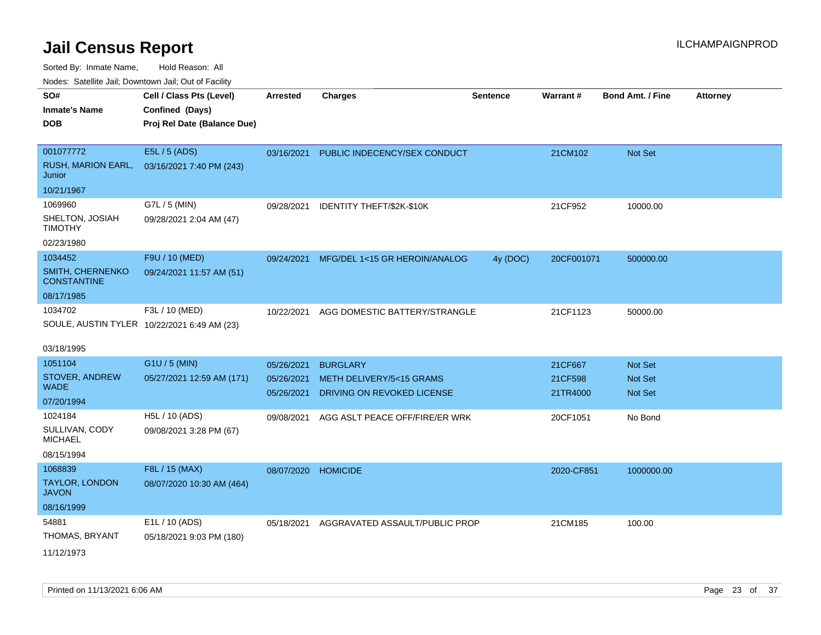Sorted By: Inmate Name, Hold Reason: All

Nodes: Satellite Jail; Downtown Jail; Out of Facility

| SO#                                    | Cell / Class Pts (Level)                    | <b>Arrested</b>          | <b>Charges</b>                                         | <b>Sentence</b> | <b>Warrant#</b>     | <b>Bond Amt. / Fine</b>          | <b>Attorney</b> |
|----------------------------------------|---------------------------------------------|--------------------------|--------------------------------------------------------|-----------------|---------------------|----------------------------------|-----------------|
| <b>Inmate's Name</b>                   | Confined (Days)                             |                          |                                                        |                 |                     |                                  |                 |
| <b>DOB</b>                             | Proj Rel Date (Balance Due)                 |                          |                                                        |                 |                     |                                  |                 |
|                                        |                                             |                          |                                                        |                 |                     |                                  |                 |
| 001077772                              | E5L / 5 (ADS)                               | 03/16/2021               | PUBLIC INDECENCY/SEX CONDUCT                           |                 | 21CM102             | Not Set                          |                 |
| RUSH, MARION EARL,<br>Junior           | 03/16/2021 7:40 PM (243)                    |                          |                                                        |                 |                     |                                  |                 |
| 10/21/1967                             |                                             |                          |                                                        |                 |                     |                                  |                 |
| 1069960                                | G7L / 5 (MIN)                               | 09/28/2021               | IDENTITY THEFT/\$2K-\$10K                              |                 | 21CF952             | 10000.00                         |                 |
| SHELTON, JOSIAH<br><b>TIMOTHY</b>      | 09/28/2021 2:04 AM (47)                     |                          |                                                        |                 |                     |                                  |                 |
| 02/23/1980                             |                                             |                          |                                                        |                 |                     |                                  |                 |
| 1034452                                | F9U / 10 (MED)                              | 09/24/2021               | MFG/DEL 1<15 GR HEROIN/ANALOG                          | 4y (DOC)        | 20CF001071          | 500000.00                        |                 |
| SMITH, CHERNENKO<br><b>CONSTANTINE</b> | 09/24/2021 11:57 AM (51)                    |                          |                                                        |                 |                     |                                  |                 |
| 08/17/1985                             |                                             |                          |                                                        |                 |                     |                                  |                 |
| 1034702                                | F3L / 10 (MED)                              | 10/22/2021               | AGG DOMESTIC BATTERY/STRANGLE                          |                 | 21CF1123            | 50000.00                         |                 |
|                                        | SOULE, AUSTIN TYLER 10/22/2021 6:49 AM (23) |                          |                                                        |                 |                     |                                  |                 |
| 03/18/1995                             |                                             |                          |                                                        |                 |                     |                                  |                 |
| 1051104                                | G1U / 5 (MIN)                               | 05/26/2021               | <b>BURGLARY</b>                                        |                 | 21CF667             | <b>Not Set</b>                   |                 |
| <b>STOVER, ANDREW</b><br><b>WADE</b>   | 05/27/2021 12:59 AM (171)                   | 05/26/2021<br>05/26/2021 | METH DELIVERY/5<15 GRAMS<br>DRIVING ON REVOKED LICENSE |                 | 21CF598<br>21TR4000 | <b>Not Set</b><br><b>Not Set</b> |                 |
| 07/20/1994                             |                                             |                          |                                                        |                 |                     |                                  |                 |
| 1024184                                | H5L / 10 (ADS)                              | 09/08/2021               | AGG ASLT PEACE OFF/FIRE/ER WRK                         |                 | 20CF1051            | No Bond                          |                 |
| SULLIVAN, CODY<br><b>MICHAEL</b>       | 09/08/2021 3:28 PM (67)                     |                          |                                                        |                 |                     |                                  |                 |
| 08/15/1994                             |                                             |                          |                                                        |                 |                     |                                  |                 |
| 1068839                                | F8L / 15 (MAX)                              | 08/07/2020               | <b>HOMICIDE</b>                                        |                 | 2020-CF851          | 1000000.00                       |                 |
| TAYLOR, LONDON<br><b>JAVON</b>         | 08/07/2020 10:30 AM (464)                   |                          |                                                        |                 |                     |                                  |                 |
| 08/16/1999                             |                                             |                          |                                                        |                 |                     |                                  |                 |
| 54881                                  | E1L / 10 (ADS)                              | 05/18/2021               | AGGRAVATED ASSAULT/PUBLIC PROP                         |                 | 21CM185             | 100.00                           |                 |
| THOMAS, BRYANT                         | 05/18/2021 9:03 PM (180)                    |                          |                                                        |                 |                     |                                  |                 |
| 11/12/1973                             |                                             |                          |                                                        |                 |                     |                                  |                 |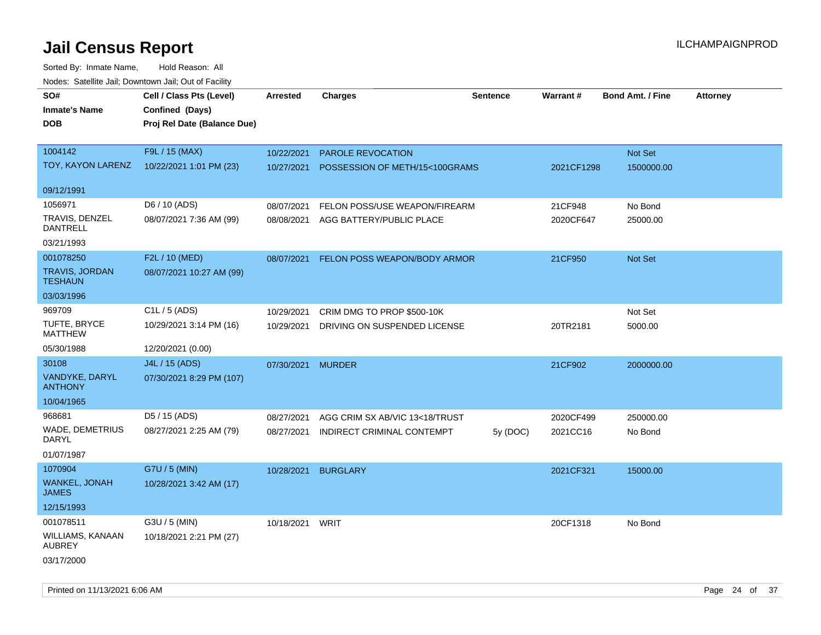| rouce. Calcinic Jan, Downtown Jan, Out or Facility |                             |                 |                                |                 |                 |                         |                 |
|----------------------------------------------------|-----------------------------|-----------------|--------------------------------|-----------------|-----------------|-------------------------|-----------------|
| SO#                                                | Cell / Class Pts (Level)    | <b>Arrested</b> | <b>Charges</b>                 | <b>Sentence</b> | <b>Warrant#</b> | <b>Bond Amt. / Fine</b> | <b>Attorney</b> |
| <b>Inmate's Name</b>                               | Confined (Days)             |                 |                                |                 |                 |                         |                 |
| <b>DOB</b>                                         | Proj Rel Date (Balance Due) |                 |                                |                 |                 |                         |                 |
|                                                    |                             |                 |                                |                 |                 |                         |                 |
| 1004142                                            | F9L / 15 (MAX)              | 10/22/2021      | PAROLE REVOCATION              |                 |                 | Not Set                 |                 |
| TOY, KAYON LARENZ                                  | 10/22/2021 1:01 PM (23)     | 10/27/2021      | POSSESSION OF METH/15<100GRAMS |                 | 2021CF1298      | 1500000.00              |                 |
| 09/12/1991                                         |                             |                 |                                |                 |                 |                         |                 |
| 1056971                                            | D6 / 10 (ADS)               | 08/07/2021      | FELON POSS/USE WEAPON/FIREARM  |                 | 21CF948         | No Bond                 |                 |
| TRAVIS, DENZEL                                     | 08/07/2021 7:36 AM (99)     | 08/08/2021      | AGG BATTERY/PUBLIC PLACE       |                 | 2020CF647       | 25000.00                |                 |
| <b>DANTRELL</b>                                    |                             |                 |                                |                 |                 |                         |                 |
| 03/21/1993                                         |                             |                 |                                |                 |                 |                         |                 |
| 001078250                                          | F2L / 10 (MED)              | 08/07/2021      | FELON POSS WEAPON/BODY ARMOR   |                 | 21CF950         | Not Set                 |                 |
| TRAVIS, JORDAN<br><b>TESHAUN</b>                   | 08/07/2021 10:27 AM (99)    |                 |                                |                 |                 |                         |                 |
| 03/03/1996                                         |                             |                 |                                |                 |                 |                         |                 |
| 969709                                             | C <sub>1</sub> L / 5 (ADS)  | 10/29/2021      | CRIM DMG TO PROP \$500-10K     |                 |                 | Not Set                 |                 |
| <b>TUFTE, BRYCE</b><br><b>MATTHEW</b>              | 10/29/2021 3:14 PM (16)     | 10/29/2021      | DRIVING ON SUSPENDED LICENSE   |                 | 20TR2181        | 5000.00                 |                 |
| 05/30/1988                                         | 12/20/2021 (0.00)           |                 |                                |                 |                 |                         |                 |
| 30108                                              | J4L / 15 (ADS)              | 07/30/2021      | <b>MURDER</b>                  |                 | 21CF902         | 2000000.00              |                 |
| VANDYKE, DARYL<br><b>ANTHONY</b>                   | 07/30/2021 8:29 PM (107)    |                 |                                |                 |                 |                         |                 |
| 10/04/1965                                         |                             |                 |                                |                 |                 |                         |                 |
| 968681                                             | D5 / 15 (ADS)               | 08/27/2021      | AGG CRIM SX AB/VIC 13<18/TRUST |                 | 2020CF499       | 250000.00               |                 |
| WADE, DEMETRIUS<br>DARYL                           | 08/27/2021 2:25 AM (79)     | 08/27/2021      | INDIRECT CRIMINAL CONTEMPT     | 5y (DOC)        | 2021CC16        | No Bond                 |                 |
| 01/07/1987                                         |                             |                 |                                |                 |                 |                         |                 |
| 1070904                                            | G7U / 5 (MIN)               | 10/28/2021      | <b>BURGLARY</b>                |                 | 2021CF321       | 15000.00                |                 |
| WANKEL, JONAH<br><b>JAMES</b>                      | 10/28/2021 3:42 AM (17)     |                 |                                |                 |                 |                         |                 |
| 12/15/1993                                         |                             |                 |                                |                 |                 |                         |                 |
| 001078511                                          | G3U / 5 (MIN)               | 10/18/2021      | <b>WRIT</b>                    |                 | 20CF1318        | No Bond                 |                 |
| WILLIAMS, KANAAN<br><b>AUBREY</b>                  | 10/18/2021 2:21 PM (27)     |                 |                                |                 |                 |                         |                 |
| 03/17/2000                                         |                             |                 |                                |                 |                 |                         |                 |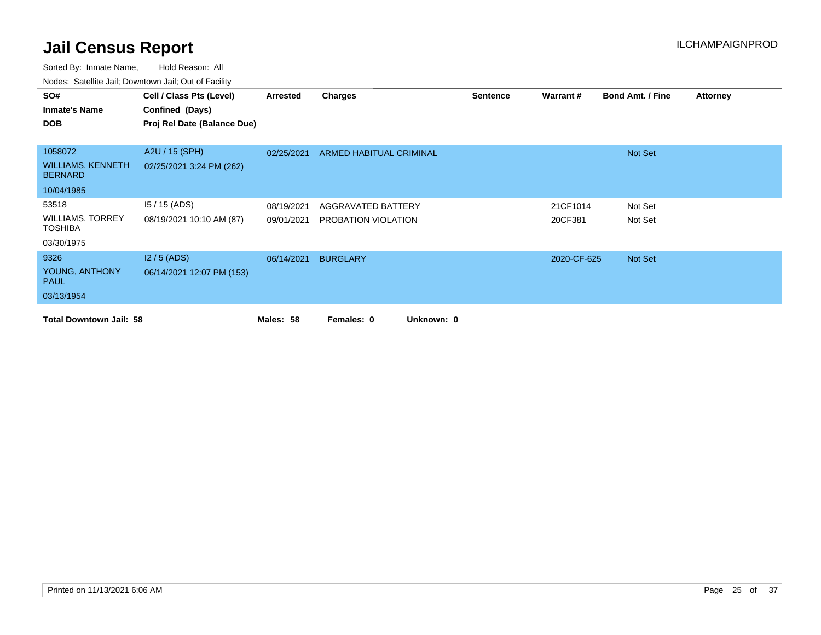| SO#                                        | Cell / Class Pts (Level)    | Arrested   | <b>Charges</b>           | <b>Sentence</b> | Warrant#    | <b>Bond Amt. / Fine</b> | <b>Attorney</b> |
|--------------------------------------------|-----------------------------|------------|--------------------------|-----------------|-------------|-------------------------|-----------------|
| <b>Inmate's Name</b>                       | Confined (Days)             |            |                          |                 |             |                         |                 |
| <b>DOB</b>                                 | Proj Rel Date (Balance Due) |            |                          |                 |             |                         |                 |
|                                            |                             |            |                          |                 |             |                         |                 |
| 1058072                                    | A2U / 15 (SPH)              | 02/25/2021 | ARMED HABITUAL CRIMINAL  |                 |             | Not Set                 |                 |
| <b>WILLIAMS, KENNETH</b><br><b>BERNARD</b> | 02/25/2021 3:24 PM (262)    |            |                          |                 |             |                         |                 |
| 10/04/1985                                 |                             |            |                          |                 |             |                         |                 |
| 53518                                      | $15/15$ (ADS)               | 08/19/2021 | AGGRAVATED BATTERY       |                 | 21CF1014    | Not Set                 |                 |
| <b>WILLIAMS, TORREY</b><br><b>TOSHIBA</b>  | 08/19/2021 10:10 AM (87)    | 09/01/2021 | PROBATION VIOLATION      |                 | 20CF381     | Not Set                 |                 |
| 03/30/1975                                 |                             |            |                          |                 |             |                         |                 |
| 9326                                       | $12/5$ (ADS)                | 06/14/2021 | <b>BURGLARY</b>          |                 | 2020-CF-625 | Not Set                 |                 |
| YOUNG, ANTHONY<br><b>PAUL</b>              | 06/14/2021 12:07 PM (153)   |            |                          |                 |             |                         |                 |
| 03/13/1954                                 |                             |            |                          |                 |             |                         |                 |
| <b>Total Downtown Jail: 58</b>             |                             | Males: 58  | Unknown: 0<br>Females: 0 |                 |             |                         |                 |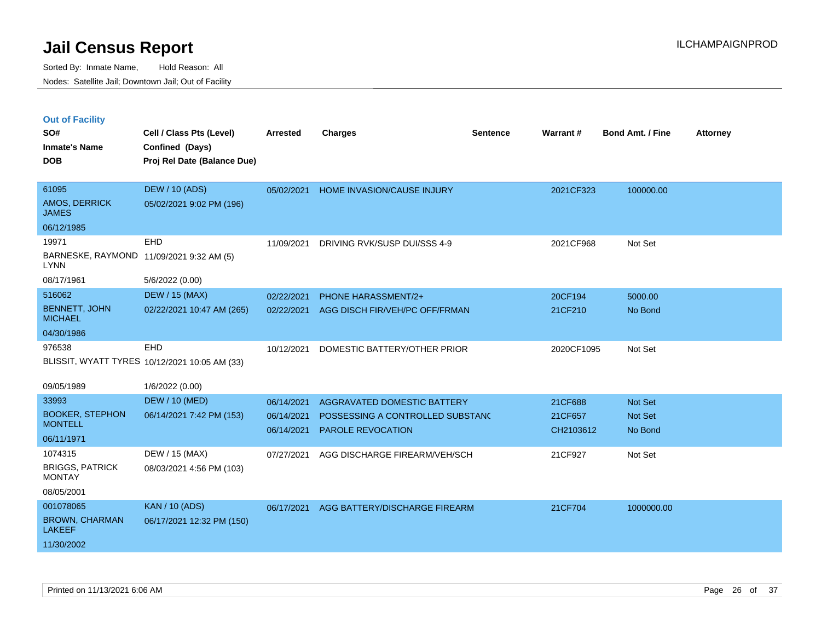|  | <b>Out of Facility</b> |  |
|--|------------------------|--|

| SO#<br><b>Inmate's Name</b>             | Cell / Class Pts (Level)<br>Confined (Days)   | <b>Arrested</b> | <b>Charges</b>                     | <b>Sentence</b> | <b>Warrant#</b> | <b>Bond Amt. / Fine</b> | <b>Attorney</b> |
|-----------------------------------------|-----------------------------------------------|-----------------|------------------------------------|-----------------|-----------------|-------------------------|-----------------|
| <b>DOB</b>                              | Proj Rel Date (Balance Due)                   |                 |                                    |                 |                 |                         |                 |
| 61095                                   | <b>DEW / 10 (ADS)</b>                         | 05/02/2021      | HOME INVASION/CAUSE INJURY         |                 | 2021CF323       | 100000.00               |                 |
| AMOS, DERRICK<br><b>JAMES</b>           | 05/02/2021 9:02 PM (196)                      |                 |                                    |                 |                 |                         |                 |
| 06/12/1985                              |                                               |                 |                                    |                 |                 |                         |                 |
| 19971                                   | EHD                                           | 11/09/2021      | DRIVING RVK/SUSP DUI/SSS 4-9       |                 | 2021CF968       | Not Set                 |                 |
| <b>LYNN</b>                             | BARNESKE, RAYMOND 11/09/2021 9:32 AM (5)      |                 |                                    |                 |                 |                         |                 |
| 08/17/1961                              | 5/6/2022 (0.00)                               |                 |                                    |                 |                 |                         |                 |
| 516062                                  | <b>DEW / 15 (MAX)</b>                         | 02/22/2021      | PHONE HARASSMENT/2+                |                 | 20CF194         | 5000.00                 |                 |
| <b>BENNETT, JOHN</b><br><b>MICHAEL</b>  | 02/22/2021 10:47 AM (265)                     | 02/22/2021      | AGG DISCH FIR/VEH/PC OFF/FRMAN     |                 | 21CF210         | No Bond                 |                 |
| 04/30/1986                              |                                               |                 |                                    |                 |                 |                         |                 |
| 976538                                  | EHD                                           | 10/12/2021      | DOMESTIC BATTERY/OTHER PRIOR       |                 | 2020CF1095      | Not Set                 |                 |
|                                         | BLISSIT, WYATT TYRES 10/12/2021 10:05 AM (33) |                 |                                    |                 |                 |                         |                 |
| 09/05/1989                              | 1/6/2022 (0.00)                               |                 |                                    |                 |                 |                         |                 |
| 33993                                   | <b>DEW / 10 (MED)</b>                         | 06/14/2021      | <b>AGGRAVATED DOMESTIC BATTERY</b> |                 | 21CF688         | Not Set                 |                 |
| <b>BOOKER, STEPHON</b>                  | 06/14/2021 7:42 PM (153)                      | 06/14/2021      | POSSESSING A CONTROLLED SUBSTANC   |                 | 21CF657         | Not Set                 |                 |
| <b>MONTELL</b>                          |                                               | 06/14/2021      | <b>PAROLE REVOCATION</b>           |                 | CH2103612       | No Bond                 |                 |
| 06/11/1971                              |                                               |                 |                                    |                 |                 |                         |                 |
| 1074315                                 | DEW / 15 (MAX)                                | 07/27/2021      | AGG DISCHARGE FIREARM/VEH/SCH      |                 | 21CF927         | Not Set                 |                 |
| <b>BRIGGS, PATRICK</b><br><b>MONTAY</b> | 08/03/2021 4:56 PM (103)                      |                 |                                    |                 |                 |                         |                 |
| 08/05/2001                              |                                               |                 |                                    |                 |                 |                         |                 |
| 001078065                               | <b>KAN / 10 (ADS)</b>                         | 06/17/2021      | AGG BATTERY/DISCHARGE FIREARM      |                 | 21CF704         | 1000000.00              |                 |
| <b>BROWN, CHARMAN</b><br><b>LAKEEF</b>  | 06/17/2021 12:32 PM (150)                     |                 |                                    |                 |                 |                         |                 |
| 11/30/2002                              |                                               |                 |                                    |                 |                 |                         |                 |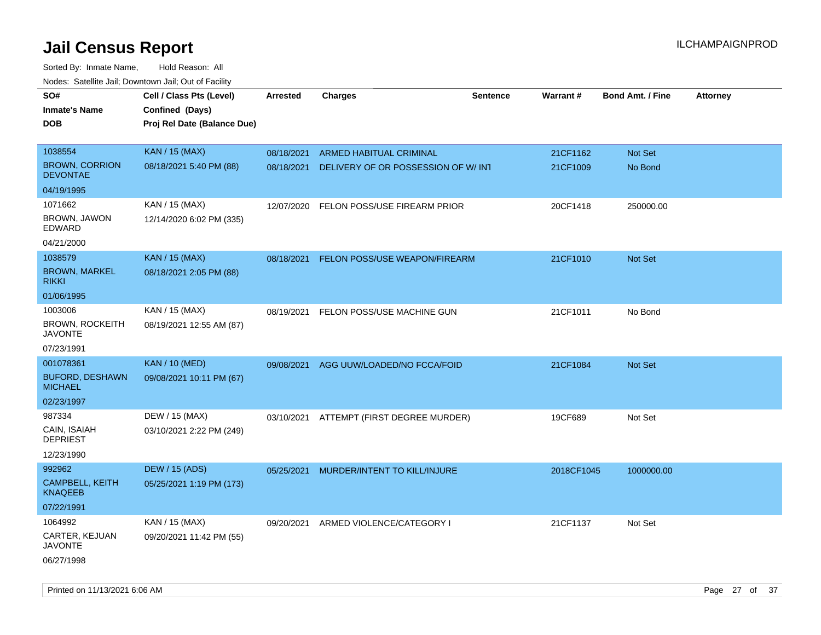Sorted By: Inmate Name, Hold Reason: All Nodes: Satellite Jail; Downtown Jail; Out of Facility

| roaco. Oatomto dan, Downtown dan, Oat or Fability |                             |            |                                    |                 |            |                         |                 |
|---------------------------------------------------|-----------------------------|------------|------------------------------------|-----------------|------------|-------------------------|-----------------|
| SO#                                               | Cell / Class Pts (Level)    | Arrested   | <b>Charges</b>                     | <b>Sentence</b> | Warrant#   | <b>Bond Amt. / Fine</b> | <b>Attorney</b> |
| <b>Inmate's Name</b>                              | Confined (Days)             |            |                                    |                 |            |                         |                 |
| <b>DOB</b>                                        | Proj Rel Date (Balance Due) |            |                                    |                 |            |                         |                 |
|                                                   |                             |            |                                    |                 |            |                         |                 |
| 1038554                                           | <b>KAN / 15 (MAX)</b>       | 08/18/2021 | <b>ARMED HABITUAL CRIMINAL</b>     |                 | 21CF1162   | Not Set                 |                 |
| <b>BROWN, CORRION</b><br><b>DEVONTAE</b>          | 08/18/2021 5:40 PM (88)     | 08/18/2021 | DELIVERY OF OR POSSESSION OF W/INT |                 | 21CF1009   | No Bond                 |                 |
| 04/19/1995                                        |                             |            |                                    |                 |            |                         |                 |
| 1071662                                           | KAN / 15 (MAX)              | 12/07/2020 | FELON POSS/USE FIREARM PRIOR       |                 | 20CF1418   | 250000.00               |                 |
| <b>BROWN, JAWON</b><br>EDWARD                     | 12/14/2020 6:02 PM (335)    |            |                                    |                 |            |                         |                 |
| 04/21/2000                                        |                             |            |                                    |                 |            |                         |                 |
| 1038579                                           | <b>KAN / 15 (MAX)</b>       | 08/18/2021 | FELON POSS/USE WEAPON/FIREARM      |                 | 21CF1010   | <b>Not Set</b>          |                 |
| <b>BROWN, MARKEL</b><br><b>RIKKI</b>              | 08/18/2021 2:05 PM (88)     |            |                                    |                 |            |                         |                 |
| 01/06/1995                                        |                             |            |                                    |                 |            |                         |                 |
| 1003006                                           | KAN / 15 (MAX)              | 08/19/2021 | FELON POSS/USE MACHINE GUN         |                 | 21CF1011   | No Bond                 |                 |
| <b>BROWN, ROCKEITH</b><br><b>JAVONTE</b>          | 08/19/2021 12:55 AM (87)    |            |                                    |                 |            |                         |                 |
| 07/23/1991                                        |                             |            |                                    |                 |            |                         |                 |
| 001078361                                         | KAN / 10 (MED)              | 09/08/2021 | AGG UUW/LOADED/NO FCCA/FOID        |                 | 21CF1084   | Not Set                 |                 |
| <b>BUFORD, DESHAWN</b><br><b>MICHAEL</b>          | 09/08/2021 10:11 PM (67)    |            |                                    |                 |            |                         |                 |
| 02/23/1997                                        |                             |            |                                    |                 |            |                         |                 |
| 987334                                            | DEW / 15 (MAX)              | 03/10/2021 | ATTEMPT (FIRST DEGREE MURDER)      |                 | 19CF689    | Not Set                 |                 |
| CAIN, ISAIAH<br><b>DEPRIEST</b>                   | 03/10/2021 2:22 PM (249)    |            |                                    |                 |            |                         |                 |
| 12/23/1990                                        |                             |            |                                    |                 |            |                         |                 |
| 992962                                            | <b>DEW / 15 (ADS)</b>       | 05/25/2021 | MURDER/INTENT TO KILL/INJURE       |                 | 2018CF1045 | 1000000.00              |                 |
| CAMPBELL, KEITH<br><b>KNAQEEB</b>                 | 05/25/2021 1:19 PM (173)    |            |                                    |                 |            |                         |                 |
| 07/22/1991                                        |                             |            |                                    |                 |            |                         |                 |
| 1064992                                           | KAN / 15 (MAX)              | 09/20/2021 | ARMED VIOLENCE/CATEGORY I          |                 | 21CF1137   | Not Set                 |                 |
| CARTER, KEJUAN<br><b>JAVONTE</b>                  | 09/20/2021 11:42 PM (55)    |            |                                    |                 |            |                         |                 |
| 06/27/1998                                        |                             |            |                                    |                 |            |                         |                 |

Printed on 11/13/2021 6:06 AM Page 27 of 37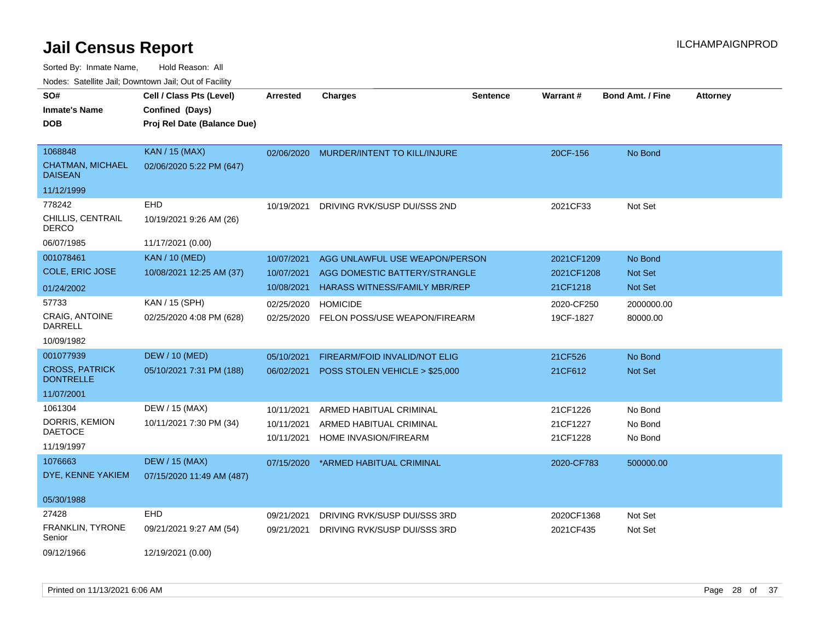| rougs. Calcinic Jan, Downtown Jan, Out of Facility   |                                                                            |                                        |                                                                                                         |                 |                                      |                               |                 |
|------------------------------------------------------|----------------------------------------------------------------------------|----------------------------------------|---------------------------------------------------------------------------------------------------------|-----------------|--------------------------------------|-------------------------------|-----------------|
| SO#<br><b>Inmate's Name</b><br><b>DOB</b>            | Cell / Class Pts (Level)<br>Confined (Days)<br>Proj Rel Date (Balance Due) | <b>Arrested</b>                        | <b>Charges</b>                                                                                          | <b>Sentence</b> | <b>Warrant#</b>                      | <b>Bond Amt. / Fine</b>       | <b>Attorney</b> |
| 1068848<br><b>CHATMAN, MICHAEL</b><br><b>DAISEAN</b> | <b>KAN / 15 (MAX)</b><br>02/06/2020 5:22 PM (647)                          |                                        | 02/06/2020 MURDER/INTENT TO KILL/INJURE                                                                 |                 | 20CF-156                             | No Bond                       |                 |
| 11/12/1999                                           |                                                                            |                                        |                                                                                                         |                 |                                      |                               |                 |
| 778242<br>CHILLIS, CENTRAIL<br><b>DERCO</b>          | EHD<br>10/19/2021 9:26 AM (26)                                             | 10/19/2021                             | DRIVING RVK/SUSP DUI/SSS 2ND                                                                            |                 | 2021CF33                             | Not Set                       |                 |
| 06/07/1985                                           | 11/17/2021 (0.00)                                                          |                                        |                                                                                                         |                 |                                      |                               |                 |
| 001078461<br>COLE, ERIC JOSE                         | <b>KAN / 10 (MED)</b><br>10/08/2021 12:25 AM (37)                          | 10/07/2021<br>10/07/2021<br>10/08/2021 | AGG UNLAWFUL USE WEAPON/PERSON<br>AGG DOMESTIC BATTERY/STRANGLE<br><b>HARASS WITNESS/FAMILY MBR/REP</b> |                 | 2021CF1209<br>2021CF1208<br>21CF1218 | No Bond<br>Not Set<br>Not Set |                 |
| 01/24/2002                                           |                                                                            |                                        |                                                                                                         |                 |                                      |                               |                 |
| 57733<br>CRAIG, ANTOINE<br>DARRELL                   | KAN / 15 (SPH)<br>02/25/2020 4:08 PM (628)                                 | 02/25/2020<br>02/25/2020               | <b>HOMICIDE</b><br>FELON POSS/USE WEAPON/FIREARM                                                        |                 | 2020-CF250<br>19CF-1827              | 2000000.00<br>80000.00        |                 |
| 10/09/1982                                           |                                                                            |                                        |                                                                                                         |                 |                                      |                               |                 |
| 001077939                                            | <b>DEW / 10 (MED)</b>                                                      | 05/10/2021                             | FIREARM/FOID INVALID/NOT ELIG                                                                           |                 | 21CF526                              | No Bond                       |                 |
| <b>CROSS, PATRICK</b><br><b>DONTRELLE</b>            | 05/10/2021 7:31 PM (188)                                                   | 06/02/2021                             | POSS STOLEN VEHICLE > \$25,000                                                                          |                 | 21CF612                              | Not Set                       |                 |
| 11/07/2001                                           |                                                                            |                                        |                                                                                                         |                 |                                      |                               |                 |
| 1061304                                              | DEW / 15 (MAX)                                                             | 10/11/2021                             | ARMED HABITUAL CRIMINAL                                                                                 |                 | 21CF1226                             | No Bond                       |                 |
| DORRIS, KEMION                                       | 10/11/2021 7:30 PM (34)                                                    | 10/11/2021                             | ARMED HABITUAL CRIMINAL                                                                                 |                 | 21CF1227                             | No Bond                       |                 |
| <b>DAETOCE</b><br>11/19/1997                         |                                                                            | 10/11/2021                             | HOME INVASION/FIREARM                                                                                   |                 | 21CF1228                             | No Bond                       |                 |
| 1076663<br>DYE, KENNE YAKIEM                         | <b>DEW / 15 (MAX)</b><br>07/15/2020 11:49 AM (487)                         | 07/15/2020                             | *ARMED HABITUAL CRIMINAL                                                                                |                 | 2020-CF783                           | 500000.00                     |                 |
| 05/30/1988                                           |                                                                            |                                        |                                                                                                         |                 |                                      |                               |                 |
| 27428                                                | EHD                                                                        | 09/21/2021                             | DRIVING RVK/SUSP DUI/SSS 3RD                                                                            |                 | 2020CF1368                           | Not Set                       |                 |
| FRANKLIN, TYRONE<br>Senior                           | 09/21/2021 9:27 AM (54)                                                    | 09/21/2021                             | DRIVING RVK/SUSP DUI/SSS 3RD                                                                            |                 | 2021CF435                            | Not Set                       |                 |
| 09/12/1966                                           | 12/19/2021 (0.00)                                                          |                                        |                                                                                                         |                 |                                      |                               |                 |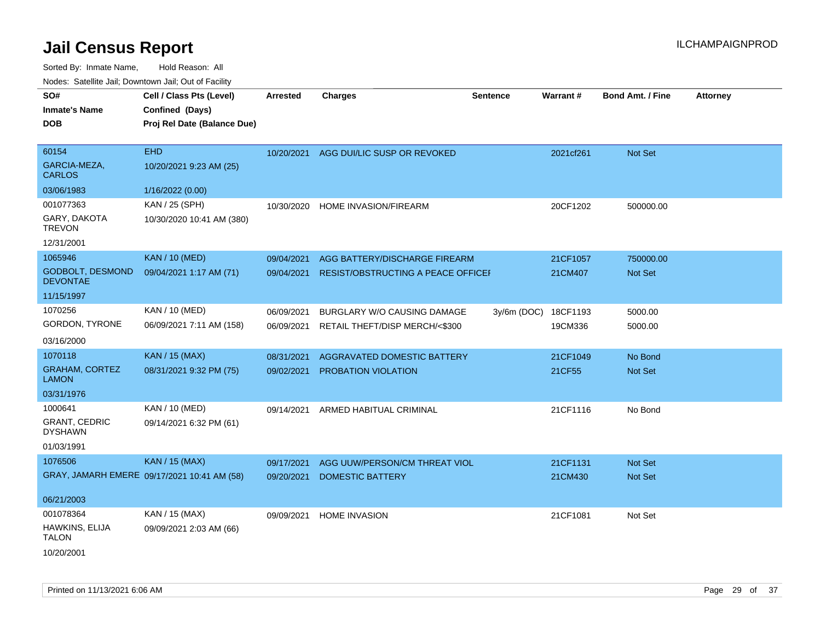| SO#<br><b>Inmate's Name</b><br><b>DOB</b>                | Cell / Class Pts (Level)<br>Confined (Days)<br>Proj Rel Date (Balance Due) | <b>Arrested</b>          | <b>Charges</b>                                                | <b>Sentence</b> | Warrant#            | Bond Amt. / Fine   | <b>Attorney</b> |
|----------------------------------------------------------|----------------------------------------------------------------------------|--------------------------|---------------------------------------------------------------|-----------------|---------------------|--------------------|-----------------|
| 60154<br>GARCIA-MEZA,<br><b>CARLOS</b>                   | <b>EHD</b><br>10/20/2021 9:23 AM (25)                                      | 10/20/2021               | AGG DUI/LIC SUSP OR REVOKED                                   |                 | 2021cf261           | Not Set            |                 |
| 03/06/1983                                               | 1/16/2022 (0.00)                                                           |                          |                                                               |                 |                     |                    |                 |
| 001077363<br>GARY, DAKOTA<br><b>TREVON</b><br>12/31/2001 | KAN / 25 (SPH)<br>10/30/2020 10:41 AM (380)                                | 10/30/2020               | HOME INVASION/FIREARM                                         |                 | 20CF1202            | 500000.00          |                 |
| 1065946                                                  | <b>KAN / 10 (MED)</b>                                                      | 09/04/2021               | AGG BATTERY/DISCHARGE FIREARM                                 |                 | 21CF1057            | 750000.00          |                 |
| <b>GODBOLT, DESMOND</b><br><b>DEVONTAE</b>               | 09/04/2021 1:17 AM (71)                                                    | 09/04/2021               | RESIST/OBSTRUCTING A PEACE OFFICEF                            |                 | 21CM407             | Not Set            |                 |
| 11/15/1997                                               |                                                                            |                          |                                                               |                 |                     |                    |                 |
| 1070256<br>GORDON, TYRONE                                | <b>KAN / 10 (MED)</b><br>06/09/2021 7:11 AM (158)                          | 06/09/2021<br>06/09/2021 | BURGLARY W/O CAUSING DAMAGE<br>RETAIL THEFT/DISP MERCH/<\$300 | $3y/6m$ (DOC)   | 18CF1193<br>19CM336 | 5000.00<br>5000.00 |                 |
| 03/16/2000                                               |                                                                            |                          |                                                               |                 |                     |                    |                 |
| 1070118                                                  | <b>KAN / 15 (MAX)</b>                                                      | 08/31/2021               | AGGRAVATED DOMESTIC BATTERY                                   |                 | 21CF1049            | No Bond            |                 |
| <b>GRAHAM, CORTEZ</b><br><b>LAMON</b>                    | 08/31/2021 9:32 PM (75)                                                    | 09/02/2021               | PROBATION VIOLATION                                           |                 | 21CF55              | Not Set            |                 |
| 03/31/1976                                               |                                                                            |                          |                                                               |                 |                     |                    |                 |
| 1000641<br><b>GRANT, CEDRIC</b><br><b>DYSHAWN</b>        | <b>KAN / 10 (MED)</b><br>09/14/2021 6:32 PM (61)                           | 09/14/2021               | ARMED HABITUAL CRIMINAL                                       |                 | 21CF1116            | No Bond            |                 |
| 01/03/1991                                               |                                                                            |                          |                                                               |                 |                     |                    |                 |
| 1076506                                                  | <b>KAN / 15 (MAX)</b>                                                      | 09/17/2021               | AGG UUW/PERSON/CM THREAT VIOL                                 |                 | 21CF1131            | Not Set            |                 |
|                                                          | GRAY, JAMARH EMERE 09/17/2021 10:41 AM (58)                                | 09/20/2021               | <b>DOMESTIC BATTERY</b>                                       |                 | 21CM430             | Not Set            |                 |
| 06/21/2003                                               |                                                                            |                          |                                                               |                 |                     |                    |                 |
| 001078364                                                | KAN / 15 (MAX)                                                             | 09/09/2021               | <b>HOME INVASION</b>                                          |                 | 21CF1081            | Not Set            |                 |
| HAWKINS, ELIJA<br><b>TALON</b><br>10/20/2001             | 09/09/2021 2:03 AM (66)                                                    |                          |                                                               |                 |                     |                    |                 |
|                                                          |                                                                            |                          |                                                               |                 |                     |                    |                 |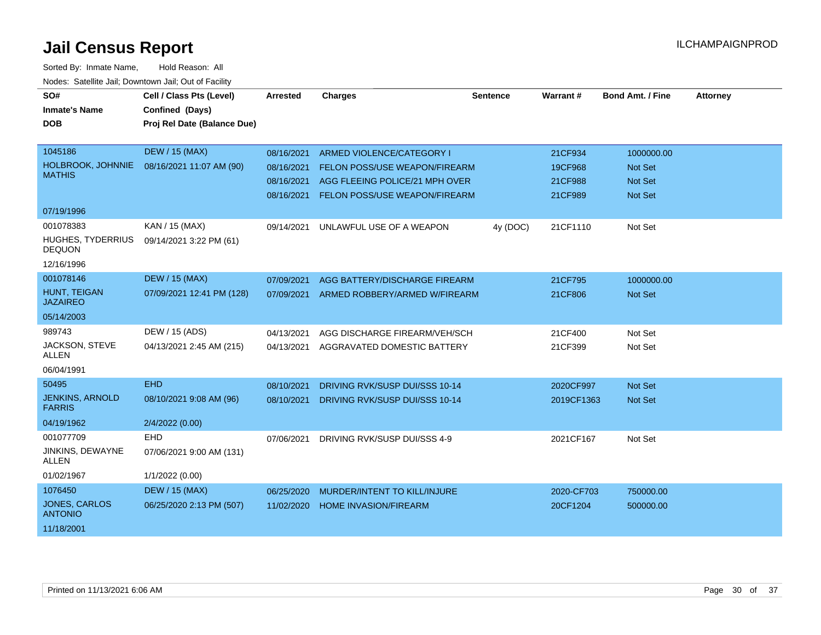| SO#<br><b>Inmate's Name</b>             | Cell / Class Pts (Level)<br>Confined (Days) | <b>Arrested</b> | <b>Charges</b>                           | <b>Sentence</b> | Warrant#   | <b>Bond Amt. / Fine</b> | <b>Attorney</b> |
|-----------------------------------------|---------------------------------------------|-----------------|------------------------------------------|-----------------|------------|-------------------------|-----------------|
| <b>DOB</b>                              | Proj Rel Date (Balance Due)                 |                 |                                          |                 |            |                         |                 |
| 1045186                                 | <b>DEW / 15 (MAX)</b>                       | 08/16/2021      | ARMED VIOLENCE/CATEGORY I                |                 | 21CF934    | 1000000.00              |                 |
| HOLBROOK, JOHNNIE                       | 08/16/2021 11:07 AM (90)                    | 08/16/2021      | <b>FELON POSS/USE WEAPON/FIREARM</b>     |                 | 19CF968    | Not Set                 |                 |
| <b>MATHIS</b>                           |                                             | 08/16/2021      | AGG FLEEING POLICE/21 MPH OVER           |                 | 21CF988    | <b>Not Set</b>          |                 |
|                                         |                                             | 08/16/2021      | FELON POSS/USE WEAPON/FIREARM            |                 | 21CF989    | <b>Not Set</b>          |                 |
| 07/19/1996                              |                                             |                 |                                          |                 |            |                         |                 |
| 001078383                               | KAN / 15 (MAX)                              |                 | 09/14/2021 UNLAWFUL USE OF A WEAPON      | 4y (DOC)        | 21CF1110   | Not Set                 |                 |
| HUGHES, TYDERRIUS<br><b>DEQUON</b>      | 09/14/2021 3:22 PM (61)                     |                 |                                          |                 |            |                         |                 |
| 12/16/1996                              |                                             |                 |                                          |                 |            |                         |                 |
| 001078146                               | <b>DEW / 15 (MAX)</b>                       | 07/09/2021      | AGG BATTERY/DISCHARGE FIREARM            |                 | 21CF795    | 1000000.00              |                 |
| HUNT, TEIGAN<br><b>JAZAIREO</b>         | 07/09/2021 12:41 PM (128)                   |                 | 07/09/2021 ARMED ROBBERY/ARMED W/FIREARM |                 | 21CF806    | <b>Not Set</b>          |                 |
| 05/14/2003                              |                                             |                 |                                          |                 |            |                         |                 |
| 989743                                  | DEW / 15 (ADS)                              | 04/13/2021      | AGG DISCHARGE FIREARM/VEH/SCH            |                 | 21CF400    | Not Set                 |                 |
| JACKSON, STEVE<br><b>ALLEN</b>          | 04/13/2021 2:45 AM (215)                    | 04/13/2021      | AGGRAVATED DOMESTIC BATTERY              |                 | 21CF399    | Not Set                 |                 |
| 06/04/1991                              |                                             |                 |                                          |                 |            |                         |                 |
| 50495                                   | <b>EHD</b>                                  | 08/10/2021      | DRIVING RVK/SUSP DUI/SSS 10-14           |                 | 2020CF997  | Not Set                 |                 |
| <b>JENKINS, ARNOLD</b><br><b>FARRIS</b> | 08/10/2021 9:08 AM (96)                     | 08/10/2021      | DRIVING RVK/SUSP DUI/SSS 10-14           |                 | 2019CF1363 | <b>Not Set</b>          |                 |
| 04/19/1962                              | 2/4/2022 (0.00)                             |                 |                                          |                 |            |                         |                 |
| 001077709                               | EHD                                         | 07/06/2021      | DRIVING RVK/SUSP DUI/SSS 4-9             |                 | 2021CF167  | Not Set                 |                 |
| JINKINS, DEWAYNE<br>ALLEN               | 07/06/2021 9:00 AM (131)                    |                 |                                          |                 |            |                         |                 |
| 01/02/1967                              | 1/1/2022 (0.00)                             |                 |                                          |                 |            |                         |                 |
| 1076450                                 | <b>DEW / 15 (MAX)</b>                       | 06/25/2020      | MURDER/INTENT TO KILL/INJURE             |                 | 2020-CF703 | 750000.00               |                 |
| <b>JONES, CARLOS</b><br><b>ANTONIO</b>  | 06/25/2020 2:13 PM (507)                    | 11/02/2020      | <b>HOME INVASION/FIREARM</b>             |                 | 20CF1204   | 500000.00               |                 |
| 11/18/2001                              |                                             |                 |                                          |                 |            |                         |                 |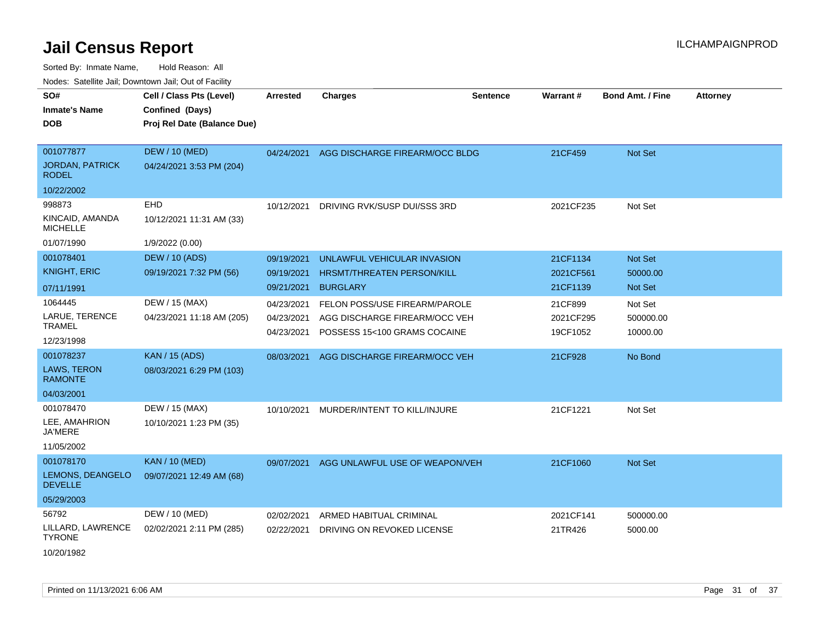| ivouss. Saleline Jali, Downtown Jali, Out of Facility |                             |                 |                                   |                 |           |                         |                 |
|-------------------------------------------------------|-----------------------------|-----------------|-----------------------------------|-----------------|-----------|-------------------------|-----------------|
| SO#                                                   | Cell / Class Pts (Level)    | <b>Arrested</b> | <b>Charges</b>                    | <b>Sentence</b> | Warrant#  | <b>Bond Amt. / Fine</b> | <b>Attorney</b> |
| <b>Inmate's Name</b>                                  | Confined (Days)             |                 |                                   |                 |           |                         |                 |
| <b>DOB</b>                                            | Proj Rel Date (Balance Due) |                 |                                   |                 |           |                         |                 |
|                                                       |                             |                 |                                   |                 |           |                         |                 |
| 001077877                                             | <b>DEW / 10 (MED)</b>       | 04/24/2021      | AGG DISCHARGE FIREARM/OCC BLDG    |                 | 21CF459   | Not Set                 |                 |
| <b>JORDAN, PATRICK</b><br><b>RODEL</b>                | 04/24/2021 3:53 PM (204)    |                 |                                   |                 |           |                         |                 |
| 10/22/2002                                            |                             |                 |                                   |                 |           |                         |                 |
| 998873                                                | <b>EHD</b>                  | 10/12/2021      | DRIVING RVK/SUSP DUI/SSS 3RD      |                 | 2021CF235 | Not Set                 |                 |
| KINCAID, AMANDA<br><b>MICHELLE</b>                    | 10/12/2021 11:31 AM (33)    |                 |                                   |                 |           |                         |                 |
| 01/07/1990                                            | 1/9/2022 (0.00)             |                 |                                   |                 |           |                         |                 |
| 001078401                                             | <b>DEW / 10 (ADS)</b>       | 09/19/2021      | UNLAWFUL VEHICULAR INVASION       |                 | 21CF1134  | Not Set                 |                 |
| <b>KNIGHT, ERIC</b>                                   | 09/19/2021 7:32 PM (56)     | 09/19/2021      | <b>HRSMT/THREATEN PERSON/KILL</b> |                 | 2021CF561 | 50000.00                |                 |
| 07/11/1991                                            |                             | 09/21/2021      | <b>BURGLARY</b>                   |                 | 21CF1139  | Not Set                 |                 |
| 1064445                                               | DEW / 15 (MAX)              | 04/23/2021      | FELON POSS/USE FIREARM/PAROLE     |                 | 21CF899   | Not Set                 |                 |
| LARUE, TERENCE                                        | 04/23/2021 11:18 AM (205)   | 04/23/2021      | AGG DISCHARGE FIREARM/OCC VEH     |                 | 2021CF295 | 500000.00               |                 |
| <b>TRAMEL</b>                                         |                             | 04/23/2021      | POSSESS 15<100 GRAMS COCAINE      |                 | 19CF1052  | 10000.00                |                 |
| 12/23/1998                                            |                             |                 |                                   |                 |           |                         |                 |
| 001078237                                             | <b>KAN / 15 (ADS)</b>       | 08/03/2021      | AGG DISCHARGE FIREARM/OCC VEH     |                 | 21CF928   | No Bond                 |                 |
| <b>LAWS, TERON</b><br><b>RAMONTE</b>                  | 08/03/2021 6:29 PM (103)    |                 |                                   |                 |           |                         |                 |
| 04/03/2001                                            |                             |                 |                                   |                 |           |                         |                 |
| 001078470                                             | DEW / 15 (MAX)              | 10/10/2021      | MURDER/INTENT TO KILL/INJURE      |                 | 21CF1221  | Not Set                 |                 |
| LEE, AMAHRION<br><b>JA'MERE</b>                       | 10/10/2021 1:23 PM (35)     |                 |                                   |                 |           |                         |                 |
| 11/05/2002                                            |                             |                 |                                   |                 |           |                         |                 |
| 001078170                                             | <b>KAN / 10 (MED)</b>       | 09/07/2021      | AGG UNLAWFUL USE OF WEAPON/VEH    |                 | 21CF1060  | Not Set                 |                 |
| LEMONS, DEANGELO<br><b>DEVELLE</b>                    | 09/07/2021 12:49 AM (68)    |                 |                                   |                 |           |                         |                 |
| 05/29/2003                                            |                             |                 |                                   |                 |           |                         |                 |
| 56792                                                 | DEW / 10 (MED)              | 02/02/2021      | ARMED HABITUAL CRIMINAL           |                 | 2021CF141 | 500000.00               |                 |
| LILLARD, LAWRENCE<br><b>TYRONE</b>                    | 02/02/2021 2:11 PM (285)    | 02/22/2021      | DRIVING ON REVOKED LICENSE        |                 | 21TR426   | 5000.00                 |                 |
| 10/20/1982                                            |                             |                 |                                   |                 |           |                         |                 |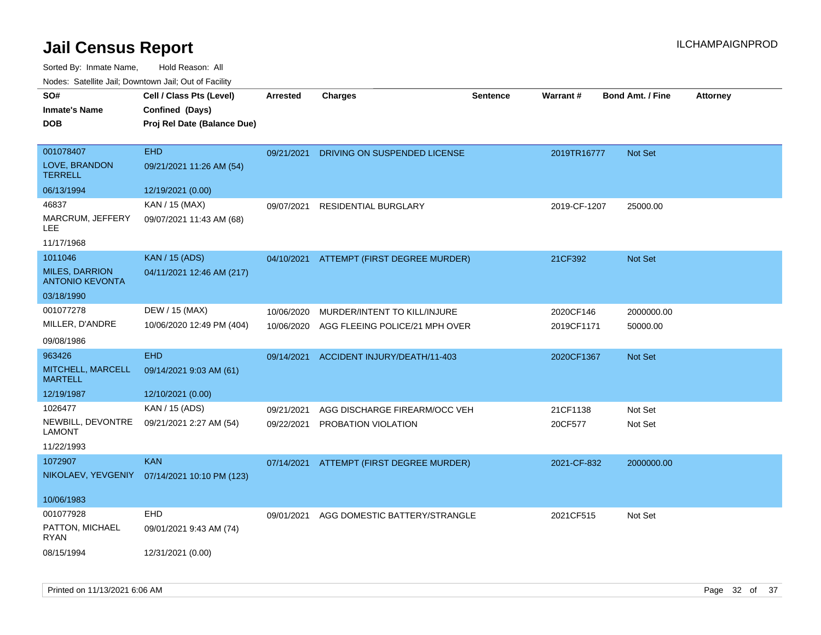Sorted By: Inmate Name, Hold Reason: All

| Nodes: Satellite Jail; Downtown Jail; Out of Facility |  |
|-------------------------------------------------------|--|
|                                                       |  |

| SO#                                             | Cell / Class Pts (Level)                     | <b>Arrested</b> | <b>Charges</b>                           | Sentence | Warrant#     | <b>Bond Amt. / Fine</b> | <b>Attorney</b> |
|-------------------------------------------------|----------------------------------------------|-----------------|------------------------------------------|----------|--------------|-------------------------|-----------------|
| <b>Inmate's Name</b>                            | Confined (Days)                              |                 |                                          |          |              |                         |                 |
| <b>DOB</b>                                      | Proj Rel Date (Balance Due)                  |                 |                                          |          |              |                         |                 |
|                                                 |                                              |                 |                                          |          |              |                         |                 |
| 001078407                                       | <b>EHD</b>                                   | 09/21/2021      | DRIVING ON SUSPENDED LICENSE             |          | 2019TR16777  | <b>Not Set</b>          |                 |
| LOVE, BRANDON<br><b>TERRELL</b>                 | 09/21/2021 11:26 AM (54)                     |                 |                                          |          |              |                         |                 |
| 06/13/1994                                      | 12/19/2021 (0.00)                            |                 |                                          |          |              |                         |                 |
| 46837                                           | KAN / 15 (MAX)                               | 09/07/2021      | RESIDENTIAL BURGLARY                     |          | 2019-CF-1207 | 25000.00                |                 |
| MARCRUM, JEFFERY<br>LEE.                        | 09/07/2021 11:43 AM (68)                     |                 |                                          |          |              |                         |                 |
| 11/17/1968                                      |                                              |                 |                                          |          |              |                         |                 |
| 1011046                                         | <b>KAN / 15 (ADS)</b>                        |                 | 04/10/2021 ATTEMPT (FIRST DEGREE MURDER) |          | 21CF392      | Not Set                 |                 |
| <b>MILES, DARRION</b><br><b>ANTONIO KEVONTA</b> | 04/11/2021 12:46 AM (217)                    |                 |                                          |          |              |                         |                 |
| 03/18/1990                                      |                                              |                 |                                          |          |              |                         |                 |
| 001077278                                       | DEW / 15 (MAX)                               | 10/06/2020      | MURDER/INTENT TO KILL/INJURE             |          | 2020CF146    | 2000000.00              |                 |
| MILLER, D'ANDRE                                 | 10/06/2020 12:49 PM (404)                    | 10/06/2020      | AGG FLEEING POLICE/21 MPH OVER           |          | 2019CF1171   | 50000.00                |                 |
| 09/08/1986                                      |                                              |                 |                                          |          |              |                         |                 |
| 963426                                          | <b>EHD</b>                                   | 09/14/2021      | ACCIDENT INJURY/DEATH/11-403             |          | 2020CF1367   | Not Set                 |                 |
| MITCHELL, MARCELL<br><b>MARTELL</b>             | 09/14/2021 9:03 AM (61)                      |                 |                                          |          |              |                         |                 |
| 12/19/1987                                      | 12/10/2021 (0.00)                            |                 |                                          |          |              |                         |                 |
| 1026477                                         | KAN / 15 (ADS)                               | 09/21/2021      | AGG DISCHARGE FIREARM/OCC VEH            |          | 21CF1138     | Not Set                 |                 |
| NEWBILL, DEVONTRE<br><b>LAMONT</b>              | 09/21/2021 2:27 AM (54)                      | 09/22/2021      | PROBATION VIOLATION                      |          | 20CF577      | Not Set                 |                 |
| 11/22/1993                                      |                                              |                 |                                          |          |              |                         |                 |
| 1072907                                         | <b>KAN</b>                                   | 07/14/2021      | ATTEMPT (FIRST DEGREE MURDER)            |          | 2021-CF-832  | 2000000.00              |                 |
|                                                 | NIKOLAEV, YEVGENIY 07/14/2021 10:10 PM (123) |                 |                                          |          |              |                         |                 |
| 10/06/1983                                      |                                              |                 |                                          |          |              |                         |                 |
| 001077928                                       | EHD                                          | 09/01/2021      | AGG DOMESTIC BATTERY/STRANGLE            |          | 2021CF515    | Not Set                 |                 |
| PATTON, MICHAEL<br><b>RYAN</b>                  | 09/01/2021 9:43 AM (74)                      |                 |                                          |          |              |                         |                 |
| 08/15/1994                                      | 12/31/2021 (0.00)                            |                 |                                          |          |              |                         |                 |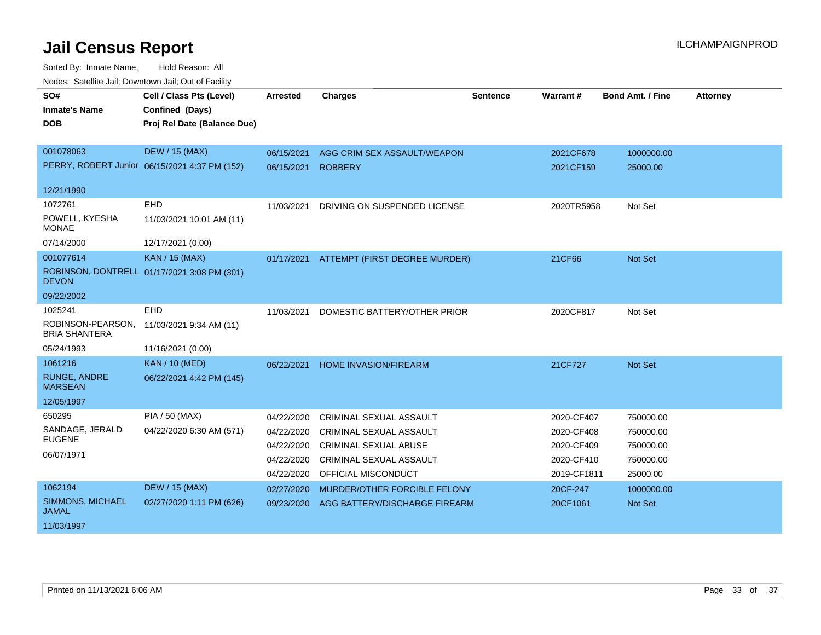| SO#                                       | Cell / Class Pts (Level)                      | <b>Arrested</b> | <b>Charges</b>                 | <b>Sentence</b> | Warrant#    | <b>Bond Amt. / Fine</b> | <b>Attorney</b> |
|-------------------------------------------|-----------------------------------------------|-----------------|--------------------------------|-----------------|-------------|-------------------------|-----------------|
| <b>Inmate's Name</b>                      | Confined (Days)                               |                 |                                |                 |             |                         |                 |
| <b>DOB</b>                                | Proj Rel Date (Balance Due)                   |                 |                                |                 |             |                         |                 |
|                                           |                                               |                 |                                |                 |             |                         |                 |
| 001078063                                 | <b>DEW / 15 (MAX)</b>                         | 06/15/2021      | AGG CRIM SEX ASSAULT/WEAPON    |                 | 2021CF678   | 1000000.00              |                 |
|                                           | PERRY, ROBERT Junior 06/15/2021 4:37 PM (152) | 06/15/2021      | <b>ROBBERY</b>                 |                 | 2021CF159   | 25000.00                |                 |
| 12/21/1990                                |                                               |                 |                                |                 |             |                         |                 |
| 1072761                                   | <b>EHD</b>                                    | 11/03/2021      | DRIVING ON SUSPENDED LICENSE   |                 | 2020TR5958  | Not Set                 |                 |
| POWELL, KYESHA<br><b>MONAE</b>            | 11/03/2021 10:01 AM (11)                      |                 |                                |                 |             |                         |                 |
| 07/14/2000                                | 12/17/2021 (0.00)                             |                 |                                |                 |             |                         |                 |
| 001077614                                 | <b>KAN / 15 (MAX)</b>                         | 01/17/2021      | ATTEMPT (FIRST DEGREE MURDER)  |                 | 21CF66      | Not Set                 |                 |
| <b>DEVON</b>                              | ROBINSON, DONTRELL 01/17/2021 3:08 PM (301)   |                 |                                |                 |             |                         |                 |
| 09/22/2002                                |                                               |                 |                                |                 |             |                         |                 |
| 1025241                                   | <b>EHD</b>                                    | 11/03/2021      | DOMESTIC BATTERY/OTHER PRIOR   |                 | 2020CF817   | Not Set                 |                 |
| ROBINSON-PEARSON,<br><b>BRIA SHANTERA</b> | 11/03/2021 9:34 AM (11)                       |                 |                                |                 |             |                         |                 |
| 05/24/1993                                | 11/16/2021 (0.00)                             |                 |                                |                 |             |                         |                 |
| 1061216                                   | <b>KAN / 10 (MED)</b>                         | 06/22/2021      | <b>HOME INVASION/FIREARM</b>   |                 | 21CF727     | <b>Not Set</b>          |                 |
| <b>RUNGE, ANDRE</b><br><b>MARSEAN</b>     | 06/22/2021 4:42 PM (145)                      |                 |                                |                 |             |                         |                 |
| 12/05/1997                                |                                               |                 |                                |                 |             |                         |                 |
| 650295                                    | PIA / 50 (MAX)                                | 04/22/2020      | <b>CRIMINAL SEXUAL ASSAULT</b> |                 | 2020-CF407  | 750000.00               |                 |
| SANDAGE, JERALD                           | 04/22/2020 6:30 AM (571)                      | 04/22/2020      | CRIMINAL SEXUAL ASSAULT        |                 | 2020-CF408  | 750000.00               |                 |
| <b>EUGENE</b>                             |                                               | 04/22/2020      | <b>CRIMINAL SEXUAL ABUSE</b>   |                 | 2020-CF409  | 750000.00               |                 |
| 06/07/1971                                |                                               | 04/22/2020      | CRIMINAL SEXUAL ASSAULT        |                 | 2020-CF410  | 750000.00               |                 |
|                                           |                                               | 04/22/2020      | <b>OFFICIAL MISCONDUCT</b>     |                 | 2019-CF1811 | 25000.00                |                 |
| 1062194                                   | <b>DEW / 15 (MAX)</b>                         | 02/27/2020      | MURDER/OTHER FORCIBLE FELONY   |                 | 20CF-247    | 1000000.00              |                 |
| SIMMONS, MICHAEL<br><b>JAMAL</b>          | 02/27/2020 1:11 PM (626)                      | 09/23/2020      | AGG BATTERY/DISCHARGE FIREARM  |                 | 20CF1061    | Not Set                 |                 |
| 11/03/1997                                |                                               |                 |                                |                 |             |                         |                 |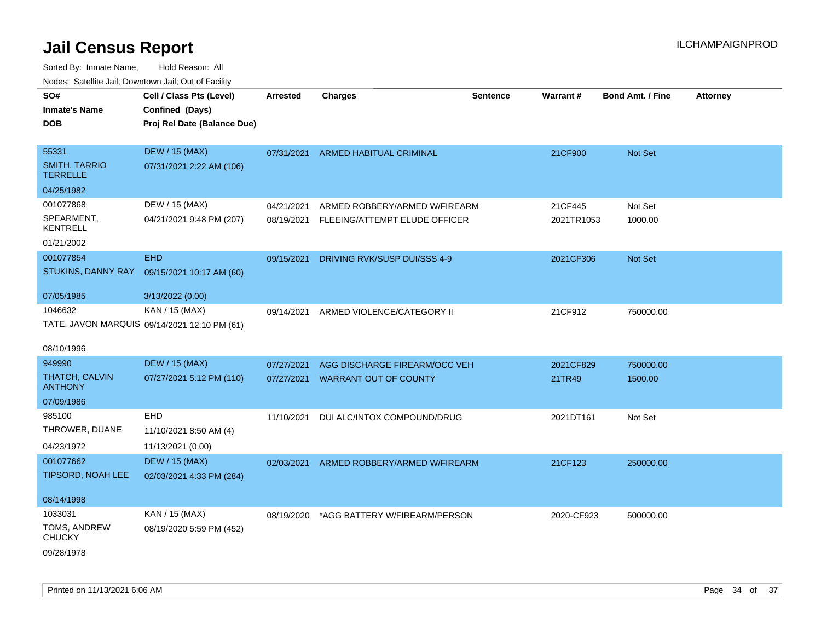| SO#                                     | Cell / Class Pts (Level)                     | <b>Arrested</b> | <b>Charges</b>                           | <b>Sentence</b> | <b>Warrant#</b> | <b>Bond Amt. / Fine</b> | <b>Attorney</b> |
|-----------------------------------------|----------------------------------------------|-----------------|------------------------------------------|-----------------|-----------------|-------------------------|-----------------|
| <b>Inmate's Name</b>                    | Confined (Days)                              |                 |                                          |                 |                 |                         |                 |
| <b>DOB</b>                              | Proj Rel Date (Balance Due)                  |                 |                                          |                 |                 |                         |                 |
|                                         |                                              |                 |                                          |                 |                 |                         |                 |
| 55331                                   | <b>DEW / 15 (MAX)</b>                        | 07/31/2021      | ARMED HABITUAL CRIMINAL                  |                 | 21CF900         | Not Set                 |                 |
| <b>SMITH, TARRIO</b><br><b>TERRELLE</b> | 07/31/2021 2:22 AM (106)                     |                 |                                          |                 |                 |                         |                 |
| 04/25/1982                              |                                              |                 |                                          |                 |                 |                         |                 |
| 001077868                               | DEW / 15 (MAX)                               | 04/21/2021      | ARMED ROBBERY/ARMED W/FIREARM            |                 | 21CF445         | Not Set                 |                 |
| SPEARMENT,<br><b>KENTRELL</b>           | 04/21/2021 9:48 PM (207)                     | 08/19/2021      | FLEEING/ATTEMPT ELUDE OFFICER            |                 | 2021TR1053      | 1000.00                 |                 |
| 01/21/2002                              |                                              |                 |                                          |                 |                 |                         |                 |
| 001077854                               | <b>EHD</b>                                   | 09/15/2021      | DRIVING RVK/SUSP DUI/SSS 4-9             |                 | 2021CF306       | Not Set                 |                 |
| STUKINS, DANNY RAY                      | 09/15/2021 10:17 AM (60)                     |                 |                                          |                 |                 |                         |                 |
|                                         |                                              |                 |                                          |                 |                 |                         |                 |
| 07/05/1985                              | 3/13/2022 (0.00)                             |                 |                                          |                 |                 |                         |                 |
| 1046632                                 | KAN / 15 (MAX)                               | 09/14/2021      | ARMED VIOLENCE/CATEGORY II               |                 | 21CF912         | 750000.00               |                 |
|                                         | TATE, JAVON MARQUIS 09/14/2021 12:10 PM (61) |                 |                                          |                 |                 |                         |                 |
| 08/10/1996                              |                                              |                 |                                          |                 |                 |                         |                 |
| 949990                                  | <b>DEW / 15 (MAX)</b>                        | 07/27/2021      | AGG DISCHARGE FIREARM/OCC VEH            |                 | 2021CF829       | 750000.00               |                 |
| <b>THATCH, CALVIN</b><br><b>ANTHONY</b> | 07/27/2021 5:12 PM (110)                     | 07/27/2021      | <b>WARRANT OUT OF COUNTY</b>             |                 | 21TR49          | 1500.00                 |                 |
| 07/09/1986                              |                                              |                 |                                          |                 |                 |                         |                 |
| 985100                                  | <b>EHD</b>                                   | 11/10/2021      | DUI ALC/INTOX COMPOUND/DRUG              |                 | 2021DT161       | Not Set                 |                 |
| THROWER, DUANE                          | 11/10/2021 8:50 AM (4)                       |                 |                                          |                 |                 |                         |                 |
| 04/23/1972                              | 11/13/2021 (0.00)                            |                 |                                          |                 |                 |                         |                 |
| 001077662                               | <b>DEW / 15 (MAX)</b>                        | 02/03/2021      | ARMED ROBBERY/ARMED W/FIREARM            |                 | 21CF123         | 250000.00               |                 |
| <b>TIPSORD, NOAH LEE</b>                | 02/03/2021 4:33 PM (284)                     |                 |                                          |                 |                 |                         |                 |
|                                         |                                              |                 |                                          |                 |                 |                         |                 |
| 08/14/1998                              |                                              |                 |                                          |                 |                 |                         |                 |
| 1033031                                 | KAN / 15 (MAX)                               |                 | 08/19/2020 *AGG BATTERY W/FIREARM/PERSON |                 | 2020-CF923      | 500000.00               |                 |
| TOMS, ANDREW<br><b>CHUCKY</b>           | 08/19/2020 5:59 PM (452)                     |                 |                                          |                 |                 |                         |                 |
| 09/28/1978                              |                                              |                 |                                          |                 |                 |                         |                 |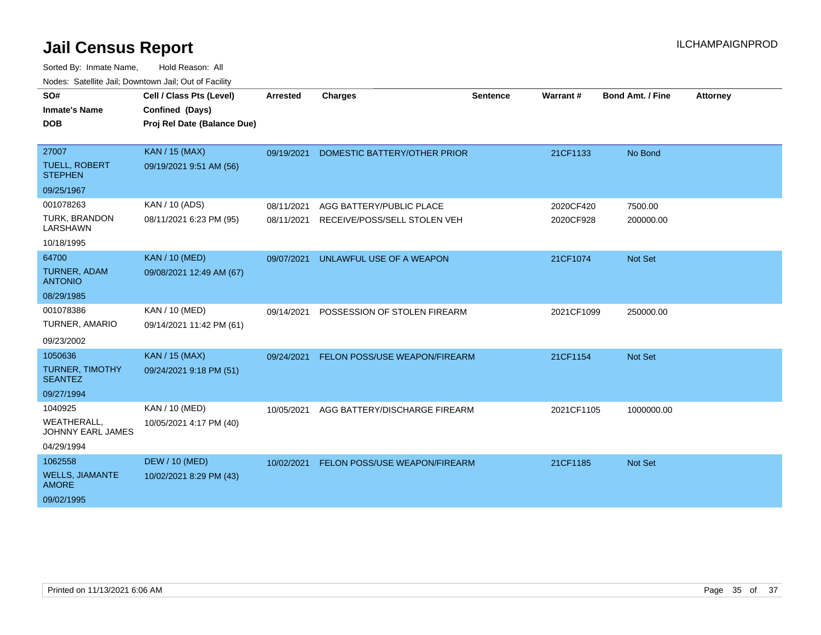| SO#                                            | Cell / Class Pts (Level)    | <b>Arrested</b> | <b>Charges</b>                       | <b>Sentence</b> | Warrant#   | <b>Bond Amt. / Fine</b> | <b>Attorney</b> |
|------------------------------------------------|-----------------------------|-----------------|--------------------------------------|-----------------|------------|-------------------------|-----------------|
| <b>Inmate's Name</b>                           | Confined (Days)             |                 |                                      |                 |            |                         |                 |
| <b>DOB</b>                                     | Proj Rel Date (Balance Due) |                 |                                      |                 |            |                         |                 |
|                                                |                             |                 |                                      |                 |            |                         |                 |
| 27007                                          | KAN / 15 (MAX)              | 09/19/2021      | DOMESTIC BATTERY/OTHER PRIOR         |                 | 21CF1133   | No Bond                 |                 |
| <b>TUELL, ROBERT</b><br><b>STEPHEN</b>         | 09/19/2021 9:51 AM (56)     |                 |                                      |                 |            |                         |                 |
| 09/25/1967                                     |                             |                 |                                      |                 |            |                         |                 |
| 001078263                                      | KAN / 10 (ADS)              | 08/11/2021      | AGG BATTERY/PUBLIC PLACE             |                 | 2020CF420  | 7500.00                 |                 |
| TURK, BRANDON<br>LARSHAWN                      | 08/11/2021 6:23 PM (95)     | 08/11/2021      | RECEIVE/POSS/SELL STOLEN VEH         |                 | 2020CF928  | 200000.00               |                 |
| 10/18/1995                                     |                             |                 |                                      |                 |            |                         |                 |
| 64700                                          | <b>KAN / 10 (MED)</b>       | 09/07/2021      | UNLAWFUL USE OF A WEAPON             |                 | 21CF1074   | Not Set                 |                 |
| <b>TURNER, ADAM</b><br><b>ANTONIO</b>          | 09/08/2021 12:49 AM (67)    |                 |                                      |                 |            |                         |                 |
| 08/29/1985                                     |                             |                 |                                      |                 |            |                         |                 |
| 001078386                                      | KAN / 10 (MED)              | 09/14/2021      | POSSESSION OF STOLEN FIREARM         |                 | 2021CF1099 | 250000.00               |                 |
| TURNER, AMARIO                                 | 09/14/2021 11:42 PM (61)    |                 |                                      |                 |            |                         |                 |
| 09/23/2002                                     |                             |                 |                                      |                 |            |                         |                 |
| 1050636                                        | <b>KAN / 15 (MAX)</b>       | 09/24/2021      | <b>FELON POSS/USE WEAPON/FIREARM</b> |                 | 21CF1154   | <b>Not Set</b>          |                 |
| TURNER, TIMOTHY<br><b>SEANTEZ</b>              | 09/24/2021 9:18 PM (51)     |                 |                                      |                 |            |                         |                 |
| 09/27/1994                                     |                             |                 |                                      |                 |            |                         |                 |
| 1040925                                        | KAN / 10 (MED)              | 10/05/2021      | AGG BATTERY/DISCHARGE FIREARM        |                 | 2021CF1105 | 1000000.00              |                 |
| <b>WEATHERALL,</b><br><b>JOHNNY EARL JAMES</b> | 10/05/2021 4:17 PM (40)     |                 |                                      |                 |            |                         |                 |
| 04/29/1994                                     |                             |                 |                                      |                 |            |                         |                 |
| 1062558                                        | <b>DEW / 10 (MED)</b>       | 10/02/2021      | FELON POSS/USE WEAPON/FIREARM        |                 | 21CF1185   | <b>Not Set</b>          |                 |
| <b>WELLS, JIAMANTE</b><br><b>AMORE</b>         | 10/02/2021 8:29 PM (43)     |                 |                                      |                 |            |                         |                 |
| 09/02/1995                                     |                             |                 |                                      |                 |            |                         |                 |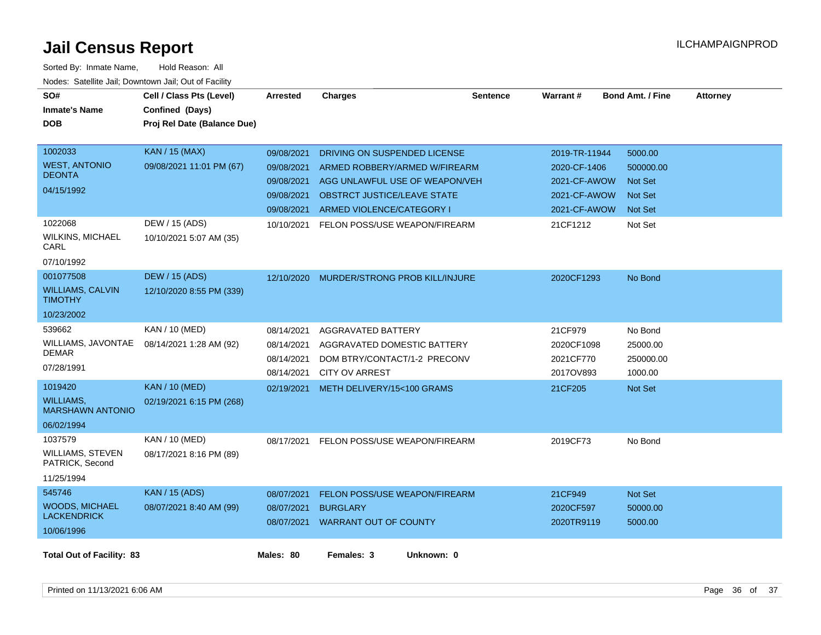| SO#<br><b>Inmate's Name</b><br><b>DOB</b>                                                                    | Cell / Class Pts (Level)<br>Confined (Days)<br>Proj Rel Date (Balance Due)                     | Arrested                                                                         | <b>Charges</b>                                                                                                                                                                                      | <b>Sentence</b> | Warrant#                                                                                  | <b>Bond Amt. / Fine</b>                                                               | <b>Attorney</b> |
|--------------------------------------------------------------------------------------------------------------|------------------------------------------------------------------------------------------------|----------------------------------------------------------------------------------|-----------------------------------------------------------------------------------------------------------------------------------------------------------------------------------------------------|-----------------|-------------------------------------------------------------------------------------------|---------------------------------------------------------------------------------------|-----------------|
| 1002033<br><b>WEST, ANTONIO</b><br><b>DEONTA</b><br>04/15/1992<br>1022068<br><b>WILKINS, MICHAEL</b><br>CARL | <b>KAN / 15 (MAX)</b><br>09/08/2021 11:01 PM (67)<br>DEW / 15 (ADS)<br>10/10/2021 5:07 AM (35) | 09/08/2021<br>09/08/2021<br>09/08/2021<br>09/08/2021<br>09/08/2021<br>10/10/2021 | DRIVING ON SUSPENDED LICENSE<br>ARMED ROBBERY/ARMED W/FIREARM<br>AGG UNLAWFUL USE OF WEAPON/VEH<br><b>OBSTRCT JUSTICE/LEAVE STATE</b><br>ARMED VIOLENCE/CATEGORY I<br>FELON POSS/USE WEAPON/FIREARM |                 | 2019-TR-11944<br>2020-CF-1406<br>2021-CF-AWOW<br>2021-CF-AWOW<br>2021-CF-AWOW<br>21CF1212 | 5000.00<br>500000.00<br><b>Not Set</b><br><b>Not Set</b><br><b>Not Set</b><br>Not Set |                 |
| 07/10/1992<br>001077508<br><b>WILLIAMS, CALVIN</b><br><b>TIMOTHY</b><br>10/23/2002                           | <b>DEW / 15 (ADS)</b><br>12/10/2020 8:55 PM (339)                                              | 12/10/2020                                                                       | MURDER/STRONG PROB KILL/INJURE                                                                                                                                                                      |                 | 2020CF1293                                                                                | No Bond                                                                               |                 |
| 539662<br>WILLIAMS, JAVONTAE<br><b>DEMAR</b><br>07/28/1991                                                   | KAN / 10 (MED)<br>08/14/2021 1:28 AM (92)                                                      | 08/14/2021<br>08/14/2021<br>08/14/2021<br>08/14/2021                             | AGGRAVATED BATTERY<br>AGGRAVATED DOMESTIC BATTERY<br>DOM BTRY/CONTACT/1-2 PRECONV<br><b>CITY OV ARREST</b>                                                                                          |                 | 21CF979<br>2020CF1098<br>2021CF770<br>2017OV893                                           | No Bond<br>25000.00<br>250000.00<br>1000.00                                           |                 |
| 1019420<br><b>WILLIAMS,</b><br><b>MARSHAWN ANTONIO</b><br>06/02/1994                                         | <b>KAN / 10 (MED)</b><br>02/19/2021 6:15 PM (268)                                              |                                                                                  | 02/19/2021 METH DELIVERY/15<100 GRAMS                                                                                                                                                               |                 | 21CF205                                                                                   | Not Set                                                                               |                 |
| 1037579<br>WILLIAMS, STEVEN<br>PATRICK, Second<br>11/25/1994                                                 | KAN / 10 (MED)<br>08/17/2021 8:16 PM (89)                                                      | 08/17/2021                                                                       | FELON POSS/USE WEAPON/FIREARM                                                                                                                                                                       |                 | 2019CF73                                                                                  | No Bond                                                                               |                 |
| 545746<br><b>WOODS, MICHAEL</b><br><b>LACKENDRICK</b><br>10/06/1996                                          | <b>KAN / 15 (ADS)</b><br>08/07/2021 8:40 AM (99)                                               | 08/07/2021<br>08/07/2021                                                         | FELON POSS/USE WEAPON/FIREARM<br><b>BURGLARY</b><br>08/07/2021 WARRANT OUT OF COUNTY                                                                                                                |                 | 21CF949<br>2020CF597<br>2020TR9119                                                        | Not Set<br>50000.00<br>5000.00                                                        |                 |
| <b>Total Out of Facility: 83</b>                                                                             |                                                                                                | Males: 80                                                                        | Females: 3<br>Unknown: 0                                                                                                                                                                            |                 |                                                                                           |                                                                                       |                 |